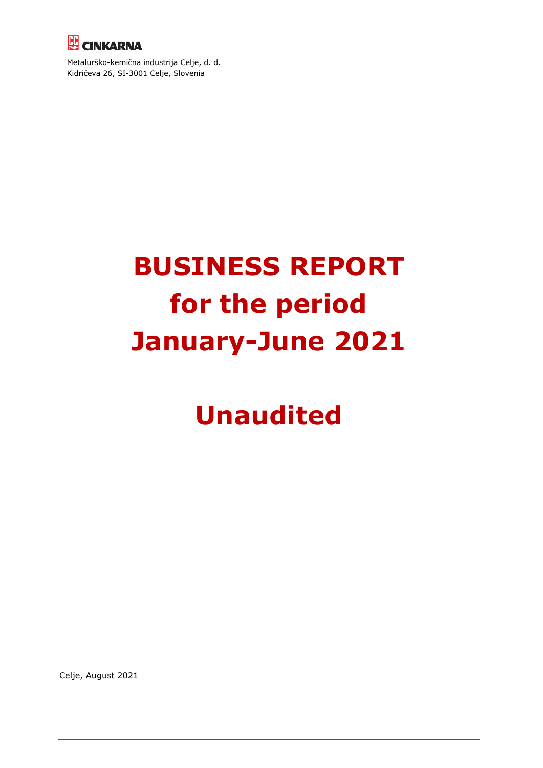

Metalurško-kemična industrija Celje, d. d. Kidričeva 26, SI-3001 Celje, Slovenia

# **BUSINESS REPORT for the period January-June 2021**

# **Unaudited**

Celje, August 2021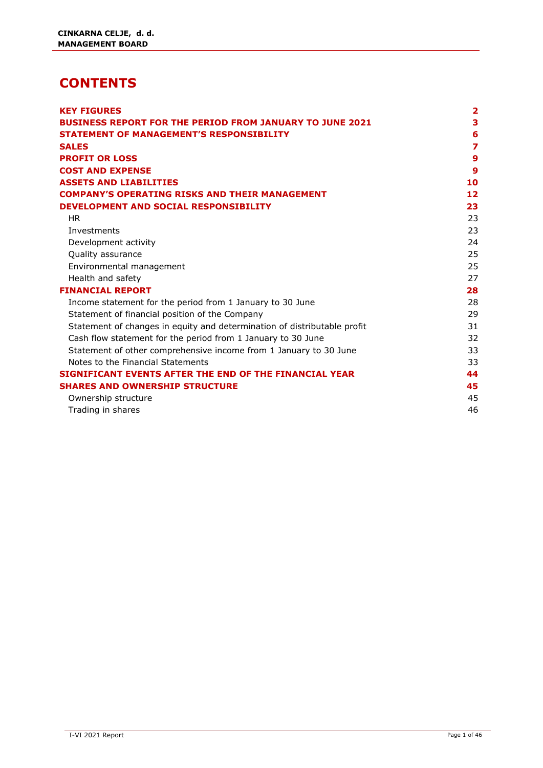### **CONTENTS**

| <b>KEY FIGURES</b>                                                       | $\mathbf{2}$     |
|--------------------------------------------------------------------------|------------------|
| <b>BUSINESS REPORT FOR THE PERIOD FROM JANUARY TO JUNE 2021</b>          | 3                |
| <b>STATEMENT OF MANAGEMENT'S RESPONSIBILITY</b>                          | 6                |
| <b>SALES</b>                                                             | $\overline{z}$   |
| <b>PROFIT OR LOSS</b>                                                    | $\boldsymbol{9}$ |
| <b>COST AND EXPENSE</b>                                                  | $\boldsymbol{9}$ |
| <b>ASSETS AND LIABILITIES</b>                                            | 10               |
| <b>COMPANY'S OPERATING RISKS AND THEIR MANAGEMENT</b>                    | 12               |
| DEVELOPMENT AND SOCIAL RESPONSIBILITY                                    | 23               |
| <b>HR</b>                                                                | 23               |
| Investments                                                              | 23               |
| Development activity                                                     | 24               |
| Quality assurance                                                        | 25               |
| Environmental management                                                 | 25               |
| Health and safety                                                        | 27               |
| <b>FINANCIAL REPORT</b>                                                  | 28               |
| Income statement for the period from 1 January to 30 June                | 28               |
| Statement of financial position of the Company                           | 29               |
| Statement of changes in equity and determination of distributable profit | 31               |
| Cash flow statement for the period from 1 January to 30 June             | 32               |
| Statement of other comprehensive income from 1 January to 30 June        | 33               |
| Notes to the Financial Statements                                        | 33               |
| SIGNIFICANT EVENTS AFTER THE END OF THE FINANCIAL YEAR                   | 44               |
| <b>SHARES AND OWNERSHIP STRUCTURE</b>                                    | 45               |
| Ownership structure                                                      | 45               |
| Trading in shares                                                        | 46               |
|                                                                          |                  |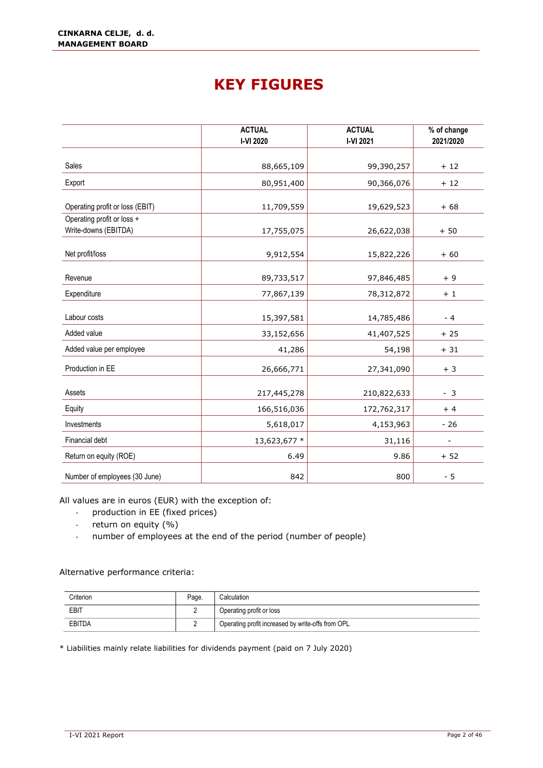### **KEY FIGURES**

<span id="page-2-0"></span>

|                                                    | <b>ACTUAL</b><br>I-VI 2020 | <b>ACTUAL</b><br>I-VI 2021 | % of change<br>2021/2020 |
|----------------------------------------------------|----------------------------|----------------------------|--------------------------|
|                                                    |                            |                            |                          |
| Sales                                              | 88,665,109                 | 99,390,257                 | $+12$                    |
| Export                                             | 80,951,400                 | 90,366,076                 | $+12$                    |
| Operating profit or loss (EBIT)                    | 11,709,559                 | 19,629,523                 | $+68$                    |
| Operating profit or loss +<br>Write-downs (EBITDA) | 17,755,075                 | 26,622,038                 | $+50$                    |
| Net profit/loss                                    | 9,912,554                  | 15,822,226                 | $+60$                    |
| Revenue                                            | 89,733,517                 | 97,846,485                 | $+9$                     |
| Expenditure                                        | 77,867,139                 | 78,312,872                 | $+1$                     |
| Labour costs                                       | 15,397,581                 | 14,785,486                 | $-4$                     |
| Added value                                        | 33,152,656                 | 41,407,525                 | $+25$                    |
| Added value per employee                           | 41,286                     | 54,198                     | $+31$                    |
| Production in EE                                   | 26,666,771                 | 27,341,090                 | $+3$                     |
| Assets                                             | 217,445,278                | 210,822,633                | $-3$                     |
| Equity                                             | 166,516,036                | 172,762,317                | $+4$                     |
| Investments                                        | 5,618,017                  | 4,153,963                  | $-26$                    |
| Financial debt                                     | 13,623,677 *               | 31,116                     |                          |
| Return on equity (ROE)                             | 6.49                       | 9.86                       | $+52$                    |
| Number of employees (30 June)                      | 842                        | 800                        | $-5$                     |

All values are in euros (EUR) with the exception of:

- production in EE (fixed prices)
- return on equity (%)
- number of employees at the end of the period (number of people)

#### Alternative performance criteria:

| Criterion | Page. | Calculation                                       |
|-----------|-------|---------------------------------------------------|
| EBIT      |       | Operating profit or loss                          |
| EBITDA    |       | Operating profit increased by write-offs from OPL |

\* Liabilities mainly relate liabilities for dividends payment (paid on 7 July 2020)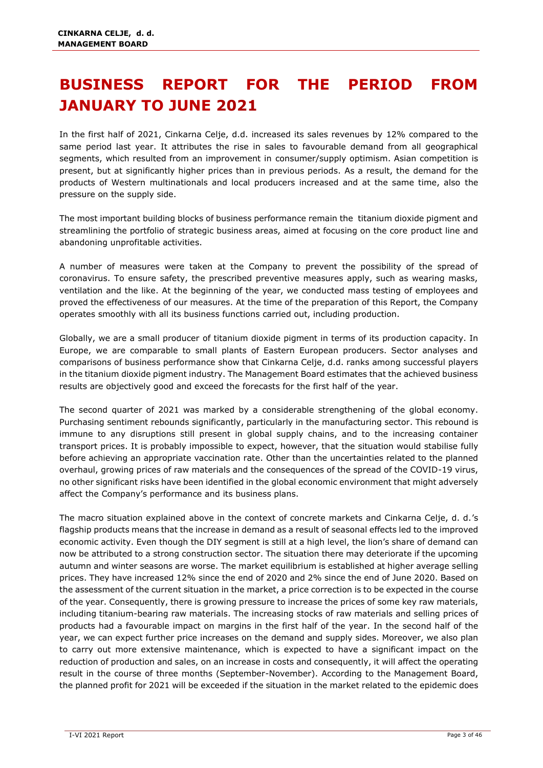# <span id="page-3-0"></span>**BUSINESS REPORT FOR THE PERIOD FROM JANUARY TO JUNE 2021**

In the first half of 2021, Cinkarna Celje, d.d. increased its sales revenues by 12% compared to the same period last year. It attributes the rise in sales to favourable demand from all geographical segments, which resulted from an improvement in consumer/supply optimism. Asian competition is present, but at significantly higher prices than in previous periods. As a result, the demand for the products of Western multinationals and local producers increased and at the same time, also the pressure on the supply side.

The most important building blocks of business performance remain the titanium dioxide pigment and streamlining the portfolio of strategic business areas, aimed at focusing on the core product line and abandoning unprofitable activities.

A number of measures were taken at the Company to prevent the possibility of the spread of coronavirus. To ensure safety, the prescribed preventive measures apply, such as wearing masks, ventilation and the like. At the beginning of the year, we conducted mass testing of employees and proved the effectiveness of our measures. At the time of the preparation of this Report, the Company operates smoothly with all its business functions carried out, including production.

Globally, we are a small producer of titanium dioxide pigment in terms of its production capacity. In Europe, we are comparable to small plants of Eastern European producers. Sector analyses and comparisons of business performance show that Cinkarna Celje, d.d. ranks among successful players in the titanium dioxide pigment industry. The Management Board estimates that the achieved business results are objectively good and exceed the forecasts for the first half of the year.

The second quarter of 2021 was marked by a considerable strengthening of the global economy. Purchasing sentiment rebounds significantly, particularly in the manufacturing sector. This rebound is immune to any disruptions still present in global supply chains, and to the increasing container transport prices. It is probably impossible to expect, however, that the situation would stabilise fully before achieving an appropriate vaccination rate. Other than the uncertainties related to the planned overhaul, growing prices of raw materials and the consequences of the spread of the COVID-19 virus, no other significant risks have been identified in the global economic environment that might adversely affect the Company's performance and its business plans.

The macro situation explained above in the context of concrete markets and Cinkarna Celje, d. d.'s flagship products means that the increase in demand as a result of seasonal effects led to the improved economic activity. Even though the DIY segment is still at a high level, the lion's share of demand can now be attributed to a strong construction sector. The situation there may deteriorate if the upcoming autumn and winter seasons are worse. The market equilibrium is established at higher average selling prices. They have increased 12% since the end of 2020 and 2% since the end of June 2020. Based on the assessment of the current situation in the market, a price correction is to be expected in the course of the year. Consequently, there is growing pressure to increase the prices of some key raw materials, including titanium-bearing raw materials. The increasing stocks of raw materials and selling prices of products had a favourable impact on margins in the first half of the year. In the second half of the year, we can expect further price increases on the demand and supply sides. Moreover, we also plan to carry out more extensive maintenance, which is expected to have a significant impact on the reduction of production and sales, on an increase in costs and consequently, it will affect the operating result in the course of three months (September-November). According to the Management Board, the planned profit for 2021 will be exceeded if the situation in the market related to the epidemic does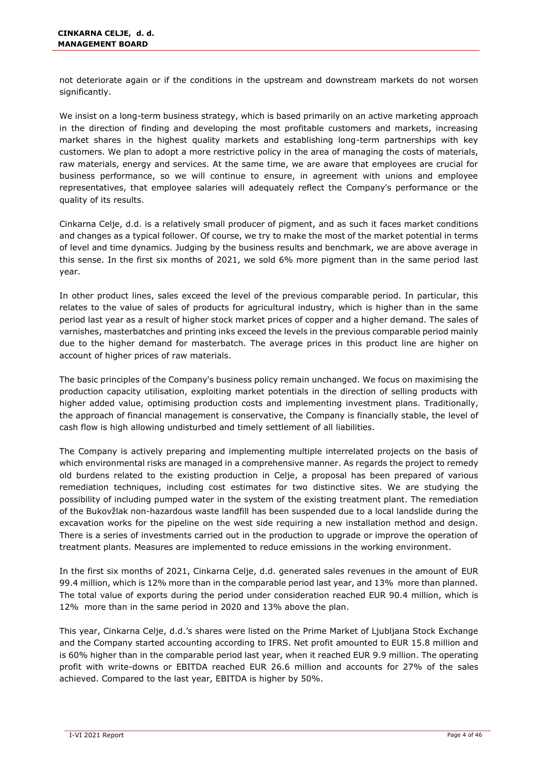not deteriorate again or if the conditions in the upstream and downstream markets do not worsen significantly.

We insist on a long-term business strategy, which is based primarily on an active marketing approach in the direction of finding and developing the most profitable customers and markets, increasing market shares in the highest quality markets and establishing long-term partnerships with key customers. We plan to adopt a more restrictive policy in the area of managing the costs of materials, raw materials, energy and services. At the same time, we are aware that employees are crucial for business performance, so we will continue to ensure, in agreement with unions and employee representatives, that employee salaries will adequately reflect the Company's performance or the quality of its results.

Cinkarna Celje, d.d. is a relatively small producer of pigment, and as such it faces market conditions and changes as a typical follower. Of course, we try to make the most of the market potential in terms of level and time dynamics. Judging by the business results and benchmark, we are above average in this sense. In the first six months of 2021, we sold 6% more pigment than in the same period last year.

In other product lines, sales exceed the level of the previous comparable period. In particular, this relates to the value of sales of products for agricultural industry, which is higher than in the same period last year as a result of higher stock market prices of copper and a higher demand. The sales of varnishes, masterbatches and printing inks exceed the levels in the previous comparable period mainly due to the higher demand for masterbatch. The average prices in this product line are higher on account of higher prices of raw materials.

The basic principles of the Company's business policy remain unchanged. We focus on maximising the production capacity utilisation, exploiting market potentials in the direction of selling products with higher added value, optimising production costs and implementing investment plans. Traditionally, the approach of financial management is conservative, the Company is financially stable, the level of cash flow is high allowing undisturbed and timely settlement of all liabilities.

The Company is actively preparing and implementing multiple interrelated projects on the basis of which environmental risks are managed in a comprehensive manner. As regards the project to remedy old burdens related to the existing production in Celje, a proposal has been prepared of various remediation techniques, including cost estimates for two distinctive sites. We are studying the possibility of including pumped water in the system of the existing treatment plant. The remediation of the Bukovžlak non-hazardous waste landfill has been suspended due to a local landslide during the excavation works for the pipeline on the west side requiring a new installation method and design. There is a series of investments carried out in the production to upgrade or improve the operation of treatment plants. Measures are implemented to reduce emissions in the working environment.

In the first six months of 2021, Cinkarna Celje, d.d. generated sales revenues in the amount of EUR 99.4 million, which is 12% more than in the comparable period last year, and 13% more than planned. The total value of exports during the period under consideration reached EUR 90.4 million, which is 12% more than in the same period in 2020 and 13% above the plan.

This year, Cinkarna Celje, d.d.'s shares were listed on the Prime Market of Ljubljana Stock Exchange and the Company started accounting according to IFRS. Net profit amounted to EUR 15.8 million and is 60% higher than in the comparable period last year, when it reached EUR 9.9 million. The operating profit with write-downs or EBITDA reached EUR 26.6 million and accounts for 27% of the sales achieved. Compared to the last year, EBITDA is higher by 50%.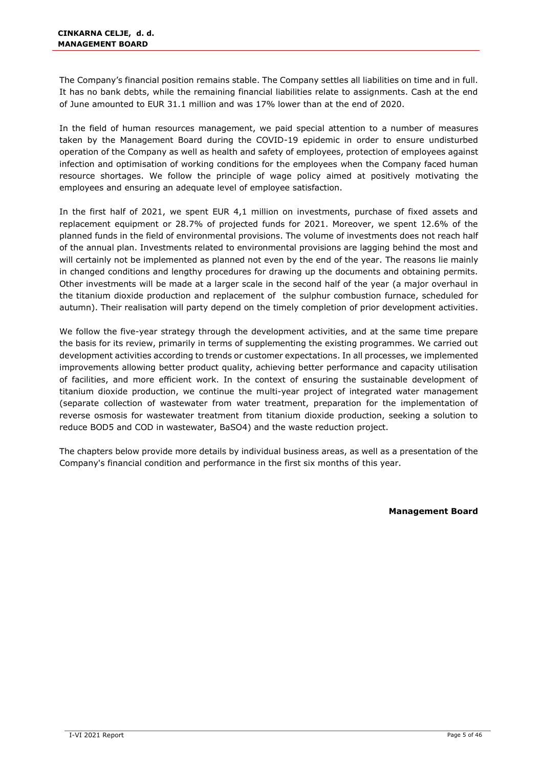The Company's financial position remains stable. The Company settles all liabilities on time and in full. It has no bank debts, while the remaining financial liabilities relate to assignments. Cash at the end of June amounted to EUR 31.1 million and was 17% lower than at the end of 2020.

In the field of human resources management, we paid special attention to a number of measures taken by the Management Board during the COVID-19 epidemic in order to ensure undisturbed operation of the Company as well as health and safety of employees, protection of employees against infection and optimisation of working conditions for the employees when the Company faced human resource shortages. We follow the principle of wage policy aimed at positively motivating the employees and ensuring an adequate level of employee satisfaction.

In the first half of 2021, we spent EUR 4,1 million on investments, purchase of fixed assets and replacement equipment or 28.7% of projected funds for 2021. Moreover, we spent 12.6% of the planned funds in the field of environmental provisions. The volume of investments does not reach half of the annual plan. Investments related to environmental provisions are lagging behind the most and will certainly not be implemented as planned not even by the end of the year. The reasons lie mainly in changed conditions and lengthy procedures for drawing up the documents and obtaining permits. Other investments will be made at a larger scale in the second half of the year (a major overhaul in the titanium dioxide production and replacement of the sulphur combustion furnace, scheduled for autumn). Their realisation will party depend on the timely completion of prior development activities.

We follow the five-year strategy through the development activities, and at the same time prepare the basis for its review, primarily in terms of supplementing the existing programmes. We carried out development activities according to trends or customer expectations. In all processes, we implemented improvements allowing better product quality, achieving better performance and capacity utilisation of facilities, and more efficient work. In the context of ensuring the sustainable development of titanium dioxide production, we continue the multi-year project of integrated water management (separate collection of wastewater from water treatment, preparation for the implementation of reverse osmosis for wastewater treatment from titanium dioxide production, seeking a solution to reduce BOD5 and COD in wastewater, BaSO4) and the waste reduction project.

The chapters below provide more details by individual business areas, as well as a presentation of the Company's financial condition and performance in the first six months of this year.

**Management Board**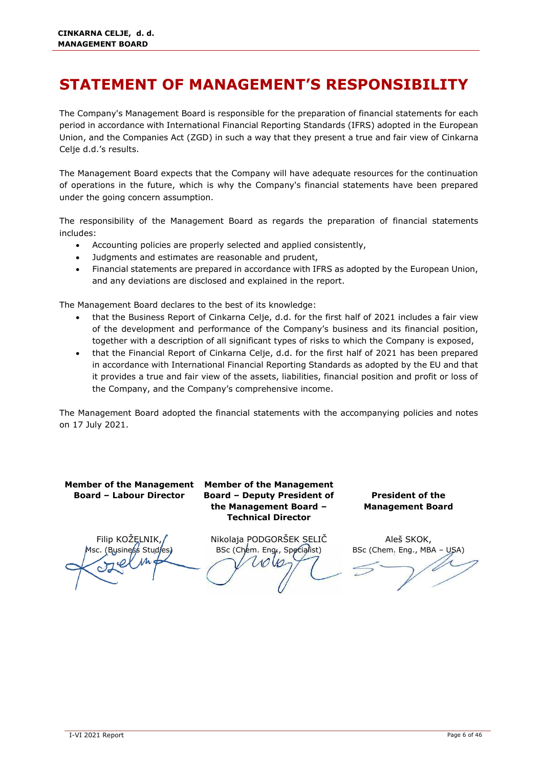# <span id="page-6-0"></span>**STATEMENT OF MANAGEMENT'S RESPONSIBILITY**

The Company's Management Board is responsible for the preparation of financial statements for each period in accordance with International Financial Reporting Standards (IFRS) adopted in the European Union, and the Companies Act (ZGD) in such a way that they present a true and fair view of Cinkarna Celje d.d.'s results.

The Management Board expects that the Company will have adequate resources for the continuation of operations in the future, which is why the Company's financial statements have been prepared under the going concern assumption.

The responsibility of the Management Board as regards the preparation of financial statements includes:

- Accounting policies are properly selected and applied consistently,
- Judgments and estimates are reasonable and prudent,
- Financial statements are prepared in accordance with IFRS as adopted by the European Union, and any deviations are disclosed and explained in the report.

The Management Board declares to the best of its knowledge:

- that the Business Report of Cinkarna Celje, d.d. for the first half of 2021 includes a fair view of the development and performance of the Company's business and its financial position, together with a description of all significant types of risks to which the Company is exposed,
- that the Financial Report of Cinkarna Celje, d.d. for the first half of 2021 has been prepared in accordance with International Financial Reporting Standards as adopted by the EU and that it provides a true and fair view of the assets, liabilities, financial position and profit or loss of the Company, and the Company's comprehensive income.

The Management Board adopted the financial statements with the accompanying policies and notes on 17 July 2021.

**Board – Labour Director**

**Member of the Management Member of the Management Board – Deputy President of the Management Board – Technical Director**

**President of the Management Board** 

Filip KOŽELNIK, (Business Studies)

Nikolaja PODGORŠEK SELIČ BSc (Chem. Eng., Specialist)  $1000$ 

Aleš SKOK, BSc (Chem. Eng., MBA - USA)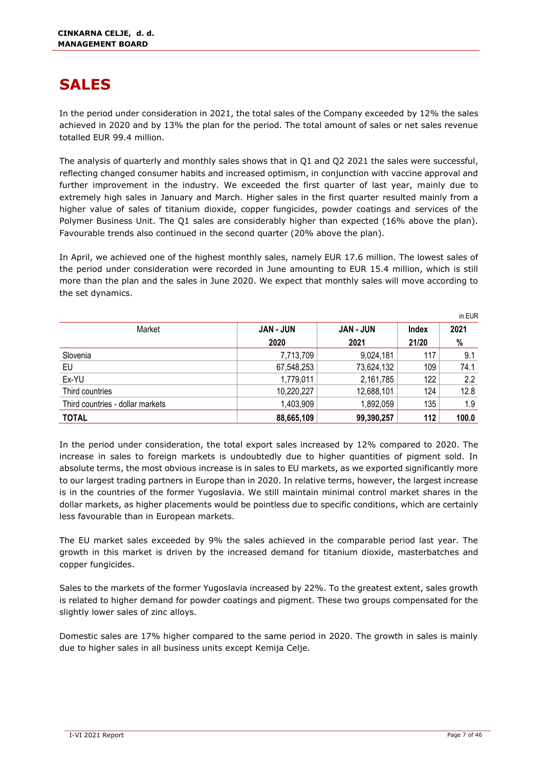# <span id="page-7-0"></span>**SALES**

In the period under consideration in 2021, the total sales of the Company exceeded by 12% the sales achieved in 2020 and by 13% the plan for the period. The total amount of sales or net sales revenue totalled EUR 99.4 million.

The analysis of quarterly and monthly sales shows that in Q1 and Q2 2021 the sales were successful, reflecting changed consumer habits and increased optimism, in conjunction with vaccine approval and further improvement in the industry. We exceeded the first quarter of last year, mainly due to extremely high sales in January and March. Higher sales in the first quarter resulted mainly from a higher value of sales of titanium dioxide, copper fungicides, powder coatings and services of the Polymer Business Unit. The Q1 sales are considerably higher than expected (16% above the plan). Favourable trends also continued in the second quarter (20% above the plan).

In April, we achieved one of the highest monthly sales, namely EUR 17.6 million. The lowest sales of the period under consideration were recorded in June amounting to EUR 15.4 million, which is still more than the plan and the sales in June 2020. We expect that monthly sales will move according to the set dynamics.

|                                  |                  |                  |              | in EUR |
|----------------------------------|------------------|------------------|--------------|--------|
| Market                           | <b>JAN - JUN</b> | <b>JAN - JUN</b> | <b>Index</b> | 2021   |
|                                  | 2020             | 2021             | 21/20        | %      |
| Slovenia                         | 7,713,709        | 9,024,181        | 117          | 9.1    |
| EU                               | 67,548,253       | 73,624,132       | 109          | 74.1   |
| Ex-YU                            | 1,779,011        | 2,161,785        | 122          | 2.2    |
| Third countries                  | 10,220,227       | 12,688,101       | 124          | 12.8   |
| Third countries - dollar markets | 1,403,909        | 1,892,059        | 135          | 1.9    |
| <b>TOTAL</b>                     | 88,665,109       | 99,390,257       | 112          | 100.0  |

In the period under consideration, the total export sales increased by 12% compared to 2020. The increase in sales to foreign markets is undoubtedly due to higher quantities of pigment sold. In absolute terms, the most obvious increase is in sales to EU markets, as we exported significantly more to our largest trading partners in Europe than in 2020. In relative terms, however, the largest increase is in the countries of the former Yugoslavia. We still maintain minimal control market shares in the dollar markets, as higher placements would be pointless due to specific conditions, which are certainly less favourable than in European markets.

The EU market sales exceeded by 9% the sales achieved in the comparable period last year. The growth in this market is driven by the increased demand for titanium dioxide, masterbatches and copper fungicides.

Sales to the markets of the former Yugoslavia increased by 22%. To the greatest extent, sales growth is related to higher demand for powder coatings and pigment. These two groups compensated for the slightly lower sales of zinc alloys.

Domestic sales are 17% higher compared to the same period in 2020. The growth in sales is mainly due to higher sales in all business units except Kemija Celje.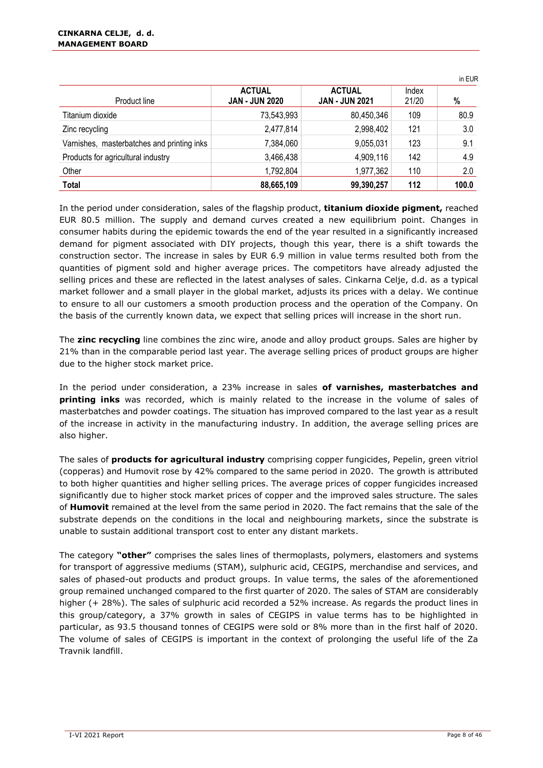| Product line                               | <b>ACTUAL</b><br><b>JAN - JUN 2020</b> | <b>ACTUAL</b><br><b>JAN - JUN 2021</b> | Index<br>21/20 | %     |
|--------------------------------------------|----------------------------------------|----------------------------------------|----------------|-------|
| Titanium dioxide                           | 73,543,993                             | 80,450,346                             | 109            | 80.9  |
| Zinc recycling                             | 2,477,814                              | 2,998,402                              | 121            | 3.0   |
| Varnishes, masterbatches and printing inks | 7,384,060                              | 9,055,031                              | 123            | 9.1   |
| Products for agricultural industry         | 3,466,438                              | 4,909,116                              | 142            | 4.9   |
| Other                                      | 1,792,804                              | 1,977,362                              | 110            | 2.0   |
| <b>Total</b>                               | 88,665,109                             | 99,390,257                             | 112            | 100.0 |

In the period under consideration, sales of the flagship product, **titanium dioxide pigment,** reached EUR 80.5 million. The supply and demand curves created a new equilibrium point. Changes in consumer habits during the epidemic towards the end of the year resulted in a significantly increased demand for pigment associated with DIY projects, though this year, there is a shift towards the construction sector. The increase in sales by EUR 6.9 million in value terms resulted both from the quantities of pigment sold and higher average prices. The competitors have already adjusted the selling prices and these are reflected in the latest analyses of sales. Cinkarna Celje, d.d. as a typical market follower and a small player in the global market, adjusts its prices with a delay. We continue to ensure to all our customers a smooth production process and the operation of the Company. On the basis of the currently known data, we expect that selling prices will increase in the short run.

The **zinc recycling** line combines the zinc wire, anode and alloy product groups. Sales are higher by 21% than in the comparable period last year. The average selling prices of product groups are higher due to the higher stock market price.

In the period under consideration, a 23% increase in sales **of varnishes, masterbatches and printing inks** was recorded, which is mainly related to the increase in the volume of sales of masterbatches and powder coatings. The situation has improved compared to the last year as a result of the increase in activity in the manufacturing industry. In addition, the average selling prices are also higher.

The sales of **products for agricultural industry** comprising copper fungicides, Pepelin, green vitriol (copperas) and Humovit rose by 42% compared to the same period in 2020. The growth is attributed to both higher quantities and higher selling prices. The average prices of copper fungicides increased significantly due to higher stock market prices of copper and the improved sales structure. The sales of **Humovit** remained at the level from the same period in 2020. The fact remains that the sale of the substrate depends on the conditions in the local and neighbouring markets, since the substrate is unable to sustain additional transport cost to enter any distant markets.

The category **"other"** comprises the sales lines of thermoplasts, polymers, elastomers and systems for transport of aggressive mediums (STAM), sulphuric acid, CEGIPS, merchandise and services, and sales of phased-out products and product groups. In value terms, the sales of the aforementioned group remained unchanged compared to the first quarter of 2020. The sales of STAM are considerably higher (+ 28%). The sales of sulphuric acid recorded a 52% increase. As regards the product lines in this group/category, a 37% growth in sales of CEGIPS in value terms has to be highlighted in particular, as 93.5 thousand tonnes of CEGIPS were sold or 8% more than in the first half of 2020. The volume of sales of CEGIPS is important in the context of prolonging the useful life of the Za Travnik landfill.

in EUR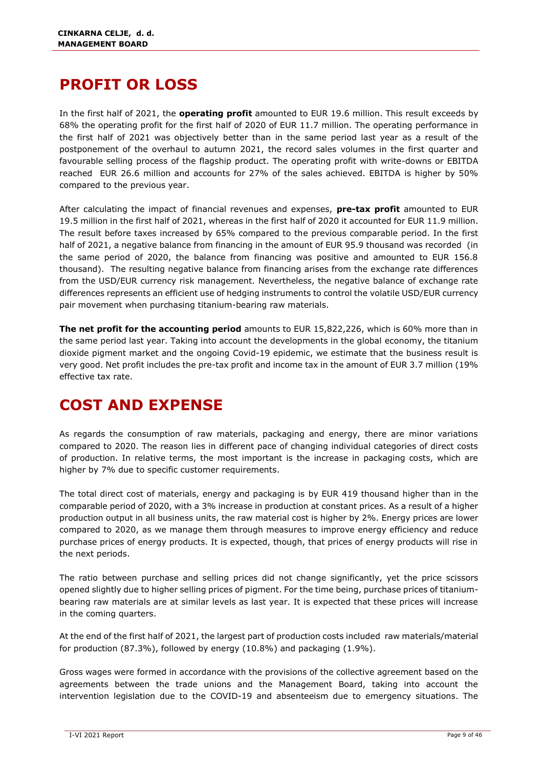# <span id="page-9-0"></span>**PROFIT OR LOSS**

In the first half of 2021, the **operating profit** amounted to EUR 19.6 million. This result exceeds by 68% the operating profit for the first half of 2020 of EUR 11.7 million. The operating performance in the first half of 2021 was objectively better than in the same period last year as a result of the postponement of the overhaul to autumn 2021, the record sales volumes in the first quarter and favourable selling process of the flagship product. The operating profit with write-downs or EBITDA reached EUR 26.6 million and accounts for 27% of the sales achieved. EBITDA is higher by 50% compared to the previous year.

After calculating the impact of financial revenues and expenses, **pre-tax profit** amounted to EUR 19.5 million in the first half of 2021, whereas in the first half of 2020 it accounted for EUR 11.9 million. The result before taxes increased by 65% compared to the previous comparable period. In the first half of 2021, a negative balance from financing in the amount of EUR 95.9 thousand was recorded (in the same period of 2020, the balance from financing was positive and amounted to EUR 156.8 thousand). The resulting negative balance from financing arises from the exchange rate differences from the USD/EUR currency risk management. Nevertheless, the negative balance of exchange rate differences represents an efficient use of hedging instruments to control the volatile USD/EUR currency pair movement when purchasing titanium-bearing raw materials.

**The net profit for the accounting period** amounts to EUR 15,822,226, which is 60% more than in the same period last year. Taking into account the developments in the global economy, the titanium dioxide pigment market and the ongoing Covid-19 epidemic, we estimate that the business result is very good. Net profit includes the pre-tax profit and income tax in the amount of EUR 3.7 million (19% effective tax rate.

# <span id="page-9-1"></span>**COST AND EXPENSE**

As regards the consumption of raw materials, packaging and energy, there are minor variations compared to 2020. The reason lies in different pace of changing individual categories of direct costs of production. In relative terms, the most important is the increase in packaging costs, which are higher by 7% due to specific customer requirements.

The total direct cost of materials, energy and packaging is by EUR 419 thousand higher than in the comparable period of 2020, with a 3% increase in production at constant prices. As a result of a higher production output in all business units, the raw material cost is higher by 2%. Energy prices are lower compared to 2020, as we manage them through measures to improve energy efficiency and reduce purchase prices of energy products. It is expected, though, that prices of energy products will rise in the next periods.

The ratio between purchase and selling prices did not change significantly, yet the price scissors opened slightly due to higher selling prices of pigment. For the time being, purchase prices of titaniumbearing raw materials are at similar levels as last year. It is expected that these prices will increase in the coming quarters.

At the end of the first half of 2021, the largest part of production costs included raw materials/material for production (87.3%), followed by energy (10.8%) and packaging (1.9%).

Gross wages were formed in accordance with the provisions of the collective agreement based on the agreements between the trade unions and the Management Board, taking into account the intervention legislation due to the COVID-19 and absenteeism due to emergency situations. The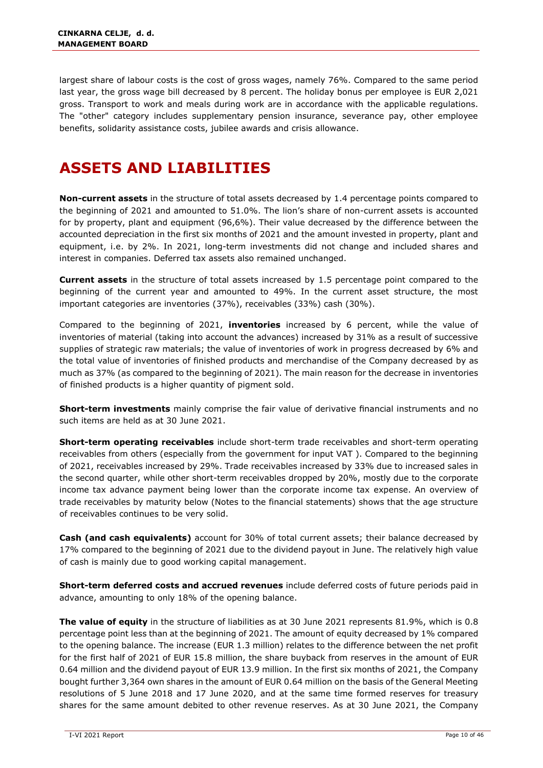largest share of labour costs is the cost of gross wages, namely 76%. Compared to the same period last year, the gross wage bill decreased by 8 percent. The holiday bonus per employee is EUR 2,021 gross. Transport to work and meals during work are in accordance with the applicable regulations. The "other" category includes supplementary pension insurance, severance pay, other employee benefits, solidarity assistance costs, jubilee awards and crisis allowance.

# <span id="page-10-0"></span>**ASSETS AND LIABILITIES**

**Non-current assets** in the structure of total assets decreased by 1.4 percentage points compared to the beginning of 2021 and amounted to 51.0%. The lion's share of non-current assets is accounted for by property, plant and equipment (96,6%). Their value decreased by the difference between the accounted depreciation in the first six months of 2021 and the amount invested in property, plant and equipment, i.e. by 2%. In 2021, long-term investments did not change and included shares and interest in companies. Deferred tax assets also remained unchanged.

**Current assets** in the structure of total assets increased by 1.5 percentage point compared to the beginning of the current year and amounted to 49%. In the current asset structure, the most important categories are inventories (37%), receivables (33%) cash (30%).

Compared to the beginning of 2021, **inventories** increased by 6 percent, while the value of inventories of material (taking into account the advances) increased by 31% as a result of successive supplies of strategic raw materials; the value of inventories of work in progress decreased by 6% and the total value of inventories of finished products and merchandise of the Company decreased by as much as 37% (as compared to the beginning of 2021). The main reason for the decrease in inventories of finished products is a higher quantity of pigment sold.

**Short-term investments** mainly comprise the fair value of derivative financial instruments and no such items are held as at 30 June 2021.

**Short-term operating receivables** include short-term trade receivables and short-term operating receivables from others (especially from the government for input VAT ). Compared to the beginning of 2021, receivables increased by 29%. Trade receivables increased by 33% due to increased sales in the second quarter, while other short-term receivables dropped by 20%, mostly due to the corporate income tax advance payment being lower than the corporate income tax expense. An overview of trade receivables by maturity below (Notes to the financial statements) shows that the age structure of receivables continues to be very solid.

**Cash (and cash equivalents)** account for 30% of total current assets; their balance decreased by 17% compared to the beginning of 2021 due to the dividend payout in June. The relatively high value of cash is mainly due to good working capital management.

**Short-term deferred costs and accrued revenues** include deferred costs of future periods paid in advance, amounting to only 18% of the opening balance.

**The value of equity** in the structure of liabilities as at 30 June 2021 represents 81.9%, which is 0.8 percentage point less than at the beginning of 2021. The amount of equity decreased by 1% compared to the opening balance. The increase (EUR 1.3 million) relates to the difference between the net profit for the first half of 2021 of EUR 15.8 million, the share buyback from reserves in the amount of EUR 0.64 million and the dividend payout of EUR 13.9 million. In the first six months of 2021, the Company bought further 3,364 own shares in the amount of EUR 0.64 million on the basis of the General Meeting resolutions of 5 June 2018 and 17 June 2020, and at the same time formed reserves for treasury shares for the same amount debited to other revenue reserves. As at 30 June 2021, the Company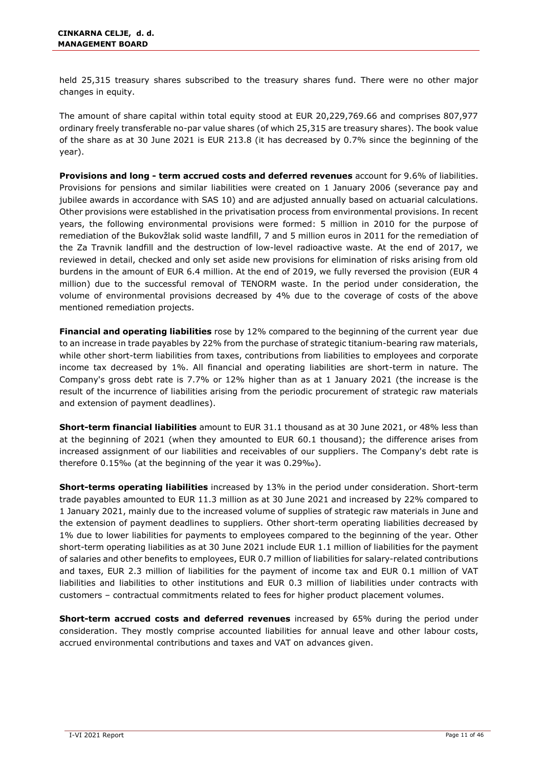held 25,315 treasury shares subscribed to the treasury shares fund. There were no other major changes in equity.

The amount of share capital within total equity stood at EUR 20,229,769.66 and comprises 807,977 ordinary freely transferable no-par value shares (of which 25,315 are treasury shares). The book value of the share as at 30 June 2021 is EUR 213.8 (it has decreased by 0.7% since the beginning of the year).

**Provisions and long - term accrued costs and deferred revenues** account for 9.6% of liabilities. Provisions for pensions and similar liabilities were created on 1 January 2006 (severance pay and jubilee awards in accordance with SAS 10) and are adjusted annually based on actuarial calculations. Other provisions were established in the privatisation process from environmental provisions. In recent years, the following environmental provisions were formed: 5 million in 2010 for the purpose of remediation of the Bukovžlak solid waste landfill, 7 and 5 million euros in 2011 for the remediation of the Za Travnik landfill and the destruction of low-level radioactive waste. At the end of 2017, we reviewed in detail, checked and only set aside new provisions for elimination of risks arising from old burdens in the amount of EUR 6.4 million. At the end of 2019, we fully reversed the provision (EUR 4 million) due to the successful removal of TENORM waste. In the period under consideration, the volume of environmental provisions decreased by 4% due to the coverage of costs of the above mentioned remediation projects.

**Financial and operating liabilities** rose by 12% compared to the beginning of the current year due to an increase in trade payables by 22% from the purchase of strategic titanium-bearing raw materials, while other short-term liabilities from taxes, contributions from liabilities to employees and corporate income tax decreased by 1%. All financial and operating liabilities are short-term in nature. The Company's gross debt rate is 7.7% or 12% higher than as at 1 January 2021 (the increase is the result of the incurrence of liabilities arising from the periodic procurement of strategic raw materials and extension of payment deadlines).

**Short-term financial liabilities** amount to EUR 31.1 thousand as at 30 June 2021, or 48% less than at the beginning of 2021 (when they amounted to EUR 60.1 thousand); the difference arises from increased assignment of our liabilities and receivables of our suppliers. The Company's debt rate is therefore 0.15‰ (at the beginning of the year it was 0.29‰).

**Short-terms operating liabilities** increased by 13% in the period under consideration. Short-term trade payables amounted to EUR 11.3 million as at 30 June 2021 and increased by 22% compared to 1 January 2021, mainly due to the increased volume of supplies of strategic raw materials in June and the extension of payment deadlines to suppliers. Other short-term operating liabilities decreased by 1% due to lower liabilities for payments to employees compared to the beginning of the year. Other short-term operating liabilities as at 30 June 2021 include EUR 1.1 million of liabilities for the payment of salaries and other benefits to employees, EUR 0.7 million of liabilities for salary-related contributions and taxes, EUR 2.3 million of liabilities for the payment of income tax and EUR 0.1 million of VAT liabilities and liabilities to other institutions and EUR 0.3 million of liabilities under contracts with customers – contractual commitments related to fees for higher product placement volumes.

**Short-term accrued costs and deferred revenues** increased by 65% during the period under consideration. They mostly comprise accounted liabilities for annual leave and other labour costs, accrued environmental contributions and taxes and VAT on advances given.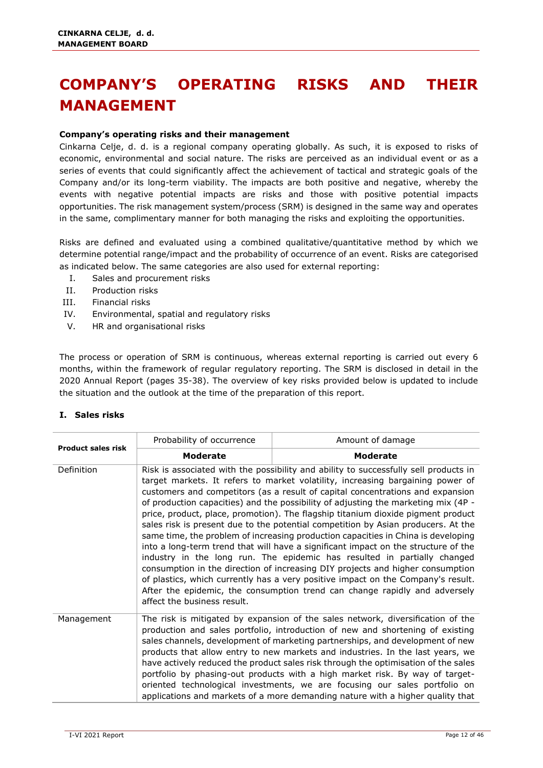# <span id="page-12-0"></span>**COMPANY'S OPERATING RISKS AND THEIR MANAGEMENT**

#### **Company's operating risks and their management**

Cinkarna Celje, d. d. is a regional company operating globally. As such, it is exposed to risks of economic, environmental and social nature. The risks are perceived as an individual event or as a series of events that could significantly affect the achievement of tactical and strategic goals of the Company and/or its long-term viability. The impacts are both positive and negative, whereby the events with negative potential impacts are risks and those with positive potential impacts opportunities. The risk management system/process (SRM) is designed in the same way and operates in the same, complimentary manner for both managing the risks and exploiting the opportunities.

Risks are defined and evaluated using a combined qualitative/quantitative method by which we determine potential range/impact and the probability of occurrence of an event. Risks are categorised as indicated below. The same categories are also used for external reporting:

- I. Sales and procurement risks
- II. Production risks
- III. Financial risks
- IV. Environmental, spatial and regulatory risks
- V. HR and organisational risks

The process or operation of SRM is continuous, whereas external reporting is carried out every 6 months, within the framework of regular regulatory reporting. The SRM is disclosed in detail in the 2020 Annual Report (pages 35-38). The overview of key risks provided below is updated to include the situation and the outlook at the time of the preparation of this report.

| I. Sales risks |  |
|----------------|--|
|----------------|--|

| <b>Product sales risk</b> | Probability of occurrence                                                                                                                                                                                                                                                                                                                                                                                                                                                                                                                                                                                                                                                                                                                                                                                                                                                                                                                                                                                                                                         | Amount of damage |
|---------------------------|-------------------------------------------------------------------------------------------------------------------------------------------------------------------------------------------------------------------------------------------------------------------------------------------------------------------------------------------------------------------------------------------------------------------------------------------------------------------------------------------------------------------------------------------------------------------------------------------------------------------------------------------------------------------------------------------------------------------------------------------------------------------------------------------------------------------------------------------------------------------------------------------------------------------------------------------------------------------------------------------------------------------------------------------------------------------|------------------|
|                           | <b>Moderate</b>                                                                                                                                                                                                                                                                                                                                                                                                                                                                                                                                                                                                                                                                                                                                                                                                                                                                                                                                                                                                                                                   | <b>Moderate</b>  |
| Definition                | Risk is associated with the possibility and ability to successfully sell products in<br>target markets. It refers to market volatility, increasing bargaining power of<br>customers and competitors (as a result of capital concentrations and expansion<br>of production capacities) and the possibility of adjusting the marketing mix (4P -<br>price, product, place, promotion). The flagship titanium dioxide pigment product<br>sales risk is present due to the potential competition by Asian producers. At the<br>same time, the problem of increasing production capacities in China is developing<br>into a long-term trend that will have a significant impact on the structure of the<br>industry in the long run. The epidemic has resulted in partially changed<br>consumption in the direction of increasing DIY projects and higher consumption<br>of plastics, which currently has a very positive impact on the Company's result.<br>After the epidemic, the consumption trend can change rapidly and adversely<br>affect the business result. |                  |
| Management                | The risk is mitigated by expansion of the sales network, diversification of the<br>production and sales portfolio, introduction of new and shortening of existing<br>sales channels, development of marketing partnerships, and development of new<br>products that allow entry to new markets and industries. In the last years, we<br>have actively reduced the product sales risk through the optimisation of the sales<br>portfolio by phasing-out products with a high market risk. By way of target-<br>oriented technological investments, we are focusing our sales portfolio on<br>applications and markets of a more demanding nature with a higher quality that                                                                                                                                                                                                                                                                                                                                                                                        |                  |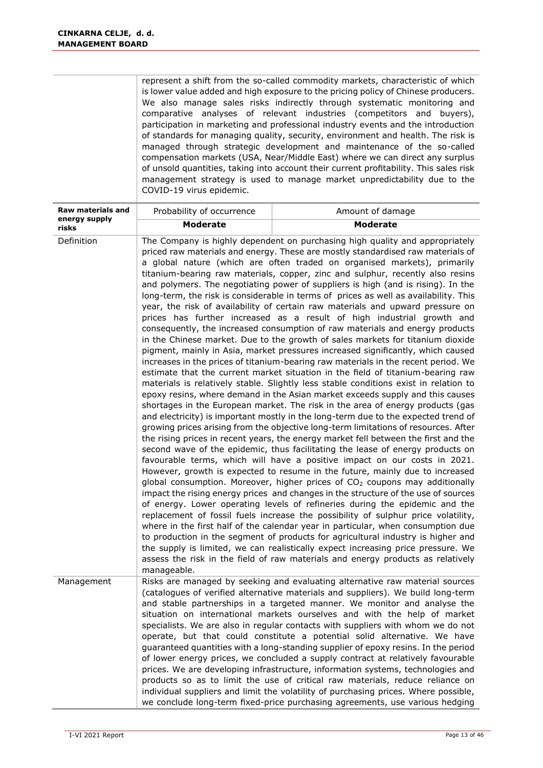|                                    | represent a shift from the so-called commodity markets, characteristic of which<br>is lower value added and high exposure to the pricing policy of Chinese producers.<br>We also manage sales risks indirectly through systematic monitoring and<br>comparative analyses of relevant industries (competitors and buyers),<br>participation in marketing and professional industry events and the introduction<br>of standards for managing quality, security, environment and health. The risk is<br>managed through strategic development and maintenance of the so-called<br>compensation markets (USA, Near/Middle East) where we can direct any surplus<br>of unsold quantities, taking into account their current profitability. This sales risk<br>management strategy is used to manage market unpredictability due to the<br>COVID-19 virus epidemic.                                                                                                                                                                                                                                                                                                                                                                                                                                                                                                                                                                                                                                                                                                                                                                                                                                                                                                                                                                                                                                                                                                                                                                                                                                                                                                                                                                                                                                                                                                                                                                                                                                                                                                                                                                              |                  |  |
|------------------------------------|--------------------------------------------------------------------------------------------------------------------------------------------------------------------------------------------------------------------------------------------------------------------------------------------------------------------------------------------------------------------------------------------------------------------------------------------------------------------------------------------------------------------------------------------------------------------------------------------------------------------------------------------------------------------------------------------------------------------------------------------------------------------------------------------------------------------------------------------------------------------------------------------------------------------------------------------------------------------------------------------------------------------------------------------------------------------------------------------------------------------------------------------------------------------------------------------------------------------------------------------------------------------------------------------------------------------------------------------------------------------------------------------------------------------------------------------------------------------------------------------------------------------------------------------------------------------------------------------------------------------------------------------------------------------------------------------------------------------------------------------------------------------------------------------------------------------------------------------------------------------------------------------------------------------------------------------------------------------------------------------------------------------------------------------------------------------------------------------------------------------------------------------------------------------------------------------------------------------------------------------------------------------------------------------------------------------------------------------------------------------------------------------------------------------------------------------------------------------------------------------------------------------------------------------------------------------------------------------------------------------------------------------|------------------|--|
| Raw materials and<br>energy supply | Probability of occurrence                                                                                                                                                                                                                                                                                                                                                                                                                                                                                                                                                                                                                                                                                                                                                                                                                                                                                                                                                                                                                                                                                                                                                                                                                                                                                                                                                                                                                                                                                                                                                                                                                                                                                                                                                                                                                                                                                                                                                                                                                                                                                                                                                                                                                                                                                                                                                                                                                                                                                                                                                                                                                  | Amount of damage |  |
| risks                              |                                                                                                                                                                                                                                                                                                                                                                                                                                                                                                                                                                                                                                                                                                                                                                                                                                                                                                                                                                                                                                                                                                                                                                                                                                                                                                                                                                                                                                                                                                                                                                                                                                                                                                                                                                                                                                                                                                                                                                                                                                                                                                                                                                                                                                                                                                                                                                                                                                                                                                                                                                                                                                            |                  |  |
| Definition                         | <b>Moderate</b><br><b>Moderate</b><br>The Company is highly dependent on purchasing high quality and appropriately<br>priced raw materials and energy. These are mostly standardised raw materials of<br>a global nature (which are often traded on organised markets), primarily<br>titanium-bearing raw materials, copper, zinc and sulphur, recently also resins<br>and polymers. The negotiating power of suppliers is high (and is rising). In the<br>long-term, the risk is considerable in terms of prices as well as availability. This<br>year, the risk of availability of certain raw materials and upward pressure on<br>prices has further increased as a result of high industrial growth and<br>consequently, the increased consumption of raw materials and energy products<br>in the Chinese market. Due to the growth of sales markets for titanium dioxide<br>pigment, mainly in Asia, market pressures increased significantly, which caused<br>increases in the prices of titanium-bearing raw materials in the recent period. We<br>estimate that the current market situation in the field of titanium-bearing raw<br>materials is relatively stable. Slightly less stable conditions exist in relation to<br>epoxy resins, where demand in the Asian market exceeds supply and this causes<br>shortages in the European market. The risk in the area of energy products (gas<br>and electricity) is important mostly in the long-term due to the expected trend of<br>growing prices arising from the objective long-term limitations of resources. After<br>the rising prices in recent years, the energy market fell between the first and the<br>second wave of the epidemic, thus facilitating the lease of energy products on<br>favourable terms, which will have a positive impact on our costs in 2021.<br>However, growth is expected to resume in the future, mainly due to increased<br>global consumption. Moreover, higher prices of CO <sub>2</sub> coupons may additionally<br>impact the rising energy prices and changes in the structure of the use of sources<br>of energy. Lower operating levels of refineries during the epidemic and the<br>replacement of fossil fuels increase the possibility of sulphur price volatility,<br>where in the first half of the calendar year in particular, when consumption due<br>to production in the segment of products for agricultural industry is higher and<br>the supply is limited, we can realistically expect increasing price pressure. We<br>assess the risk in the field of raw materials and energy products as relatively<br>manageable. |                  |  |
| Management                         | Risks are managed by seeking and evaluating alternative raw material sources<br>(catalogues of verified alternative materials and suppliers). We build long-term<br>and stable partnerships in a targeted manner. We monitor and analyse the<br>situation on international markets ourselves and with the help of market<br>specialists. We are also in regular contacts with suppliers with whom we do not<br>operate, but that could constitute a potential solid alternative. We have<br>guaranteed quantities with a long-standing supplier of epoxy resins. In the period<br>of lower energy prices, we concluded a supply contract at relatively favourable<br>prices. We are developing infrastructure, information systems, technologies and<br>products so as to limit the use of critical raw materials, reduce reliance on<br>individual suppliers and limit the volatility of purchasing prices. Where possible,<br>we conclude long-term fixed-price purchasing agreements, use various hedging                                                                                                                                                                                                                                                                                                                                                                                                                                                                                                                                                                                                                                                                                                                                                                                                                                                                                                                                                                                                                                                                                                                                                                                                                                                                                                                                                                                                                                                                                                                                                                                                                               |                  |  |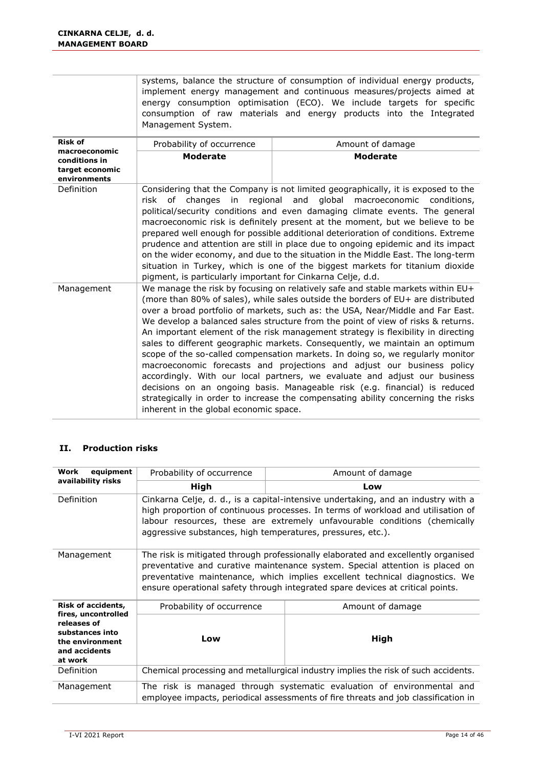|                                                                       | systems, balance the structure of consumption of individual energy products, |  |  |
|-----------------------------------------------------------------------|------------------------------------------------------------------------------|--|--|
| implement energy management and continuous measures/projects aimed at |                                                                              |  |  |
|                                                                       | energy consumption optimisation (ECO). We include targets for specific       |  |  |
|                                                                       | consumption of raw materials and energy products into the Integrated         |  |  |
| Management System.                                                    |                                                                              |  |  |
|                                                                       |                                                                              |  |  |

| <b>Risk of</b>                                                    | Probability of occurrence                                                                                                                                                                                                                                                                                                                                                                                                                                                                                                                                                                                                                                                                                                                                                                                                                                                                                                                                         | Amount of damage |  |
|-------------------------------------------------------------------|-------------------------------------------------------------------------------------------------------------------------------------------------------------------------------------------------------------------------------------------------------------------------------------------------------------------------------------------------------------------------------------------------------------------------------------------------------------------------------------------------------------------------------------------------------------------------------------------------------------------------------------------------------------------------------------------------------------------------------------------------------------------------------------------------------------------------------------------------------------------------------------------------------------------------------------------------------------------|------------------|--|
| macroeconomic<br>conditions in<br>target economic<br>environments | <b>Moderate</b>                                                                                                                                                                                                                                                                                                                                                                                                                                                                                                                                                                                                                                                                                                                                                                                                                                                                                                                                                   | <b>Moderate</b>  |  |
| Definition                                                        | Considering that the Company is not limited geographically, it is exposed to the<br>risk of changes in regional and global macroeconomic conditions,<br>political/security conditions and even damaging climate events. The general<br>macroeconomic risk is definitely present at the moment, but we believe to be<br>prepared well enough for possible additional deterioration of conditions. Extreme<br>prudence and attention are still in place due to ongoing epidemic and its impact<br>on the wider economy, and due to the situation in the Middle East. The long-term<br>situation in Turkey, which is one of the biggest markets for titanium dioxide<br>pigment, is particularly important for Cinkarna Celje, d.d.                                                                                                                                                                                                                                  |                  |  |
| Management                                                        | We manage the risk by focusing on relatively safe and stable markets within EU+<br>(more than 80% of sales), while sales outside the borders of EU+ are distributed<br>over a broad portfolio of markets, such as: the USA, Near/Middle and Far East.<br>We develop a balanced sales structure from the point of view of risks & returns.<br>An important element of the risk management strategy is flexibility in directing<br>sales to different geographic markets. Consequently, we maintain an optimum<br>scope of the so-called compensation markets. In doing so, we regularly monitor<br>macroeconomic forecasts and projections and adjust our business policy<br>accordingly. With our local partners, we evaluate and adjust our business<br>decisions on an ongoing basis. Manageable risk (e.g. financial) is reduced<br>strategically in order to increase the compensating ability concerning the risks<br>inherent in the global economic space. |                  |  |

#### **II. Production risks**

| equipment<br>Work                                                                                    | Probability of occurrence<br>Amount of damage                                                                                                                                                                                                                                                                                      |                  |  |  |
|------------------------------------------------------------------------------------------------------|------------------------------------------------------------------------------------------------------------------------------------------------------------------------------------------------------------------------------------------------------------------------------------------------------------------------------------|------------------|--|--|
| availability risks                                                                                   | High                                                                                                                                                                                                                                                                                                                               | Low              |  |  |
| Definition                                                                                           | Cinkarna Celje, d. d., is a capital-intensive undertaking, and an industry with a<br>high proportion of continuous processes. In terms of workload and utilisation of<br>labour resources, these are extremely unfavourable conditions (chemically<br>aggressive substances, high temperatures, pressures, etc.).                  |                  |  |  |
| Management                                                                                           | The risk is mitigated through professionally elaborated and excellently organised<br>preventative and curative maintenance system. Special attention is placed on<br>preventative maintenance, which implies excellent technical diagnostics. We<br>ensure operational safety through integrated spare devices at critical points. |                  |  |  |
| <b>Risk of accidents,</b>                                                                            | Probability of occurrence                                                                                                                                                                                                                                                                                                          | Amount of damage |  |  |
| fires, uncontrolled<br>releases of<br>substances into<br>the environment<br>and accidents<br>at work | Low                                                                                                                                                                                                                                                                                                                                | High             |  |  |
| Definition                                                                                           | Chemical processing and metallurgical industry implies the risk of such accidents.                                                                                                                                                                                                                                                 |                  |  |  |
| Management                                                                                           | The risk is managed through systematic evaluation of environmental and<br>employee impacts, periodical assessments of fire threats and job classification in                                                                                                                                                                       |                  |  |  |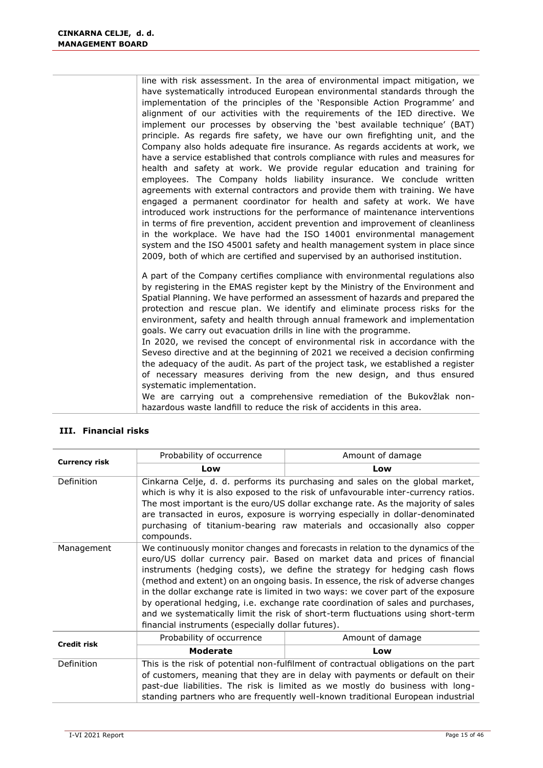line with risk assessment. In the area of environmental impact mitigation, we have systematically introduced European environmental standards through the implementation of the principles of the 'Responsible Action Programme' and alignment of our activities with the requirements of the IED directive. We implement our processes by observing the 'best available technique' (BAT) principle. As regards fire safety, we have our own firefighting unit, and the Company also holds adequate fire insurance. As regards accidents at work, we have a service established that controls compliance with rules and measures for health and safety at work. We provide regular education and training for employees. The Company holds liability insurance. We conclude written agreements with external contractors and provide them with training. We have engaged a permanent coordinator for health and safety at work. We have introduced work instructions for the performance of maintenance interventions in terms of fire prevention, accident prevention and improvement of cleanliness in the workplace. We have had the ISO 14001 environmental management system and the ISO 45001 safety and health management system in place since 2009, both of which are certified and supervised by an authorised institution.

A part of the Company certifies compliance with environmental regulations also by registering in the EMAS register kept by the Ministry of the Environment and Spatial Planning. We have performed an assessment of hazards and prepared the protection and rescue plan. We identify and eliminate process risks for the environment, safety and health through annual framework and implementation goals. We carry out evacuation drills in line with the programme.

In 2020, we revised the concept of environmental risk in accordance with the Seveso directive and at the beginning of 2021 we received a decision confirming the adequacy of the audit. As part of the project task, we established a register of necessary measures deriving from the new design, and thus ensured systematic implementation.

We are carrying out a comprehensive remediation of the Bukovžlak nonhazardous waste landfill to reduce the risk of accidents in this area.

| <b>Currency risk</b> | Probability of occurrence                                                                                                                                                                                                                                                                                                                                                                                                                                                                                                                                                                                                                          | Amount of damage |  |
|----------------------|----------------------------------------------------------------------------------------------------------------------------------------------------------------------------------------------------------------------------------------------------------------------------------------------------------------------------------------------------------------------------------------------------------------------------------------------------------------------------------------------------------------------------------------------------------------------------------------------------------------------------------------------------|------------------|--|
|                      | Low                                                                                                                                                                                                                                                                                                                                                                                                                                                                                                                                                                                                                                                | Low              |  |
| Definition           | Cinkarna Celje, d. d. performs its purchasing and sales on the global market,<br>which is why it is also exposed to the risk of unfavourable inter-currency ratios.<br>The most important is the euro/US dollar exchange rate. As the majority of sales<br>are transacted in euros, exposure is worrying especially in dollar-denominated<br>purchasing of titanium-bearing raw materials and occasionally also copper<br>compounds.                                                                                                                                                                                                               |                  |  |
| Management           | We continuously monitor changes and forecasts in relation to the dynamics of the<br>euro/US dollar currency pair. Based on market data and prices of financial<br>instruments (hedging costs), we define the strategy for hedging cash flows<br>(method and extent) on an ongoing basis. In essence, the risk of adverse changes<br>in the dollar exchange rate is limited in two ways: we cover part of the exposure<br>by operational hedging, i.e. exchange rate coordination of sales and purchases,<br>and we systematically limit the risk of short-term fluctuations using short-term<br>financial instruments (especially dollar futures). |                  |  |
| <b>Credit risk</b>   | Probability of occurrence                                                                                                                                                                                                                                                                                                                                                                                                                                                                                                                                                                                                                          | Amount of damage |  |
|                      | <b>Moderate</b>                                                                                                                                                                                                                                                                                                                                                                                                                                                                                                                                                                                                                                    | Low              |  |
| Definition           | This is the risk of potential non-fulfilment of contractual obligations on the part<br>of customers, meaning that they are in delay with payments or default on their<br>past-due liabilities. The risk is limited as we mostly do business with long-<br>standing partners who are frequently well-known traditional European industrial                                                                                                                                                                                                                                                                                                          |                  |  |

#### **III. Financial risks**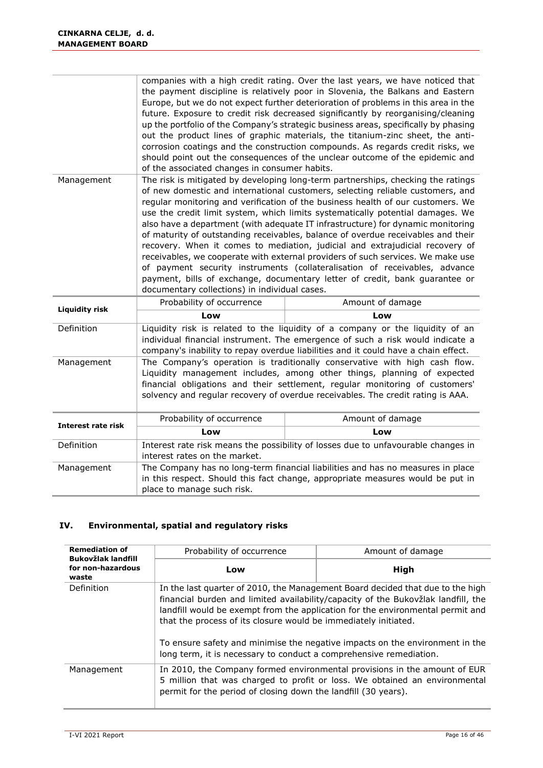|                           | companies with a high credit rating. Over the last years, we have noticed that<br>the payment discipline is relatively poor in Slovenia, the Balkans and Eastern<br>Europe, but we do not expect further deterioration of problems in this area in the<br>future. Exposure to credit risk decreased significantly by reorganising/cleaning<br>up the portfolio of the Company's strategic business areas, specifically by phasing<br>out the product lines of graphic materials, the titanium-zinc sheet, the anti-<br>corrosion coatings and the construction compounds. As regards credit risks, we<br>should point out the consequences of the unclear outcome of the epidemic and<br>of the associated changes in consumer habits.                                                                                                                                                          |                                                                                                                                                                                                                                                        |  |  |
|---------------------------|-------------------------------------------------------------------------------------------------------------------------------------------------------------------------------------------------------------------------------------------------------------------------------------------------------------------------------------------------------------------------------------------------------------------------------------------------------------------------------------------------------------------------------------------------------------------------------------------------------------------------------------------------------------------------------------------------------------------------------------------------------------------------------------------------------------------------------------------------------------------------------------------------|--------------------------------------------------------------------------------------------------------------------------------------------------------------------------------------------------------------------------------------------------------|--|--|
| Management                | The risk is mitigated by developing long-term partnerships, checking the ratings<br>of new domestic and international customers, selecting reliable customers, and<br>reqular monitoring and verification of the business health of our customers. We<br>use the credit limit system, which limits systematically potential damages. We<br>also have a department (with adequate IT infrastructure) for dynamic monitoring<br>of maturity of outstanding receivables, balance of overdue receivables and their<br>recovery. When it comes to mediation, judicial and extrajudicial recovery of<br>receivables, we cooperate with external providers of such services. We make use<br>of payment security instruments (collateralisation of receivables, advance<br>payment, bills of exchange, documentary letter of credit, bank guarantee or<br>documentary collections) in individual cases. |                                                                                                                                                                                                                                                        |  |  |
| <b>Liquidity risk</b>     | Probability of occurrence                                                                                                                                                                                                                                                                                                                                                                                                                                                                                                                                                                                                                                                                                                                                                                                                                                                                       | Amount of damage                                                                                                                                                                                                                                       |  |  |
|                           | Low                                                                                                                                                                                                                                                                                                                                                                                                                                                                                                                                                                                                                                                                                                                                                                                                                                                                                             | Low                                                                                                                                                                                                                                                    |  |  |
| Definition                |                                                                                                                                                                                                                                                                                                                                                                                                                                                                                                                                                                                                                                                                                                                                                                                                                                                                                                 | Liquidity risk is related to the liquidity of a company or the liquidity of an<br>individual financial instrument. The emergence of such a risk would indicate a<br>company's inability to repay overdue liabilities and it could have a chain effect. |  |  |
| Management                | The Company's operation is traditionally conservative with high cash flow.<br>Liquidity management includes, among other things, planning of expected<br>financial obligations and their settlement, regular monitoring of customers'<br>solvency and regular recovery of overdue receivables. The credit rating is AAA.                                                                                                                                                                                                                                                                                                                                                                                                                                                                                                                                                                        |                                                                                                                                                                                                                                                        |  |  |
| <b>Interest rate risk</b> | Probability of occurrence                                                                                                                                                                                                                                                                                                                                                                                                                                                                                                                                                                                                                                                                                                                                                                                                                                                                       | Amount of damage                                                                                                                                                                                                                                       |  |  |
|                           | Low                                                                                                                                                                                                                                                                                                                                                                                                                                                                                                                                                                                                                                                                                                                                                                                                                                                                                             | Low                                                                                                                                                                                                                                                    |  |  |
| Definition                | interest rates on the market.                                                                                                                                                                                                                                                                                                                                                                                                                                                                                                                                                                                                                                                                                                                                                                                                                                                                   | Interest rate risk means the possibility of losses due to unfavourable changes in                                                                                                                                                                      |  |  |
| Management                | The Company has no long-term financial liabilities and has no measures in place<br>in this respect. Should this fact change, appropriate measures would be put in<br>place to manage such risk.                                                                                                                                                                                                                                                                                                                                                                                                                                                                                                                                                                                                                                                                                                 |                                                                                                                                                                                                                                                        |  |  |

### **IV. Environmental, spatial and regulatory risks**

| <b>Remediation of</b><br><b>Bukovžlak landfill</b>                                                                                                                                                                                      | Probability of occurrence                                                                                                                                                                                                                                                                                                | Amount of damage                                                                                                                                   |  |
|-----------------------------------------------------------------------------------------------------------------------------------------------------------------------------------------------------------------------------------------|--------------------------------------------------------------------------------------------------------------------------------------------------------------------------------------------------------------------------------------------------------------------------------------------------------------------------|----------------------------------------------------------------------------------------------------------------------------------------------------|--|
| for non-hazardous<br>waste                                                                                                                                                                                                              | Low                                                                                                                                                                                                                                                                                                                      | High                                                                                                                                               |  |
| Definition                                                                                                                                                                                                                              | In the last quarter of 2010, the Management Board decided that due to the high<br>financial burden and limited availability/capacity of the Bukovžlak landfill, the<br>landfill would be exempt from the application for the environmental permit and<br>that the process of its closure would be immediately initiated. |                                                                                                                                                    |  |
|                                                                                                                                                                                                                                         |                                                                                                                                                                                                                                                                                                                          | To ensure safety and minimise the negative impacts on the environment in the<br>long term, it is necessary to conduct a comprehensive remediation. |  |
| In 2010, the Company formed environmental provisions in the amount of EUR<br>Management<br>5 million that was charged to profit or loss. We obtained an environmental<br>permit for the period of closing down the landfill (30 years). |                                                                                                                                                                                                                                                                                                                          |                                                                                                                                                    |  |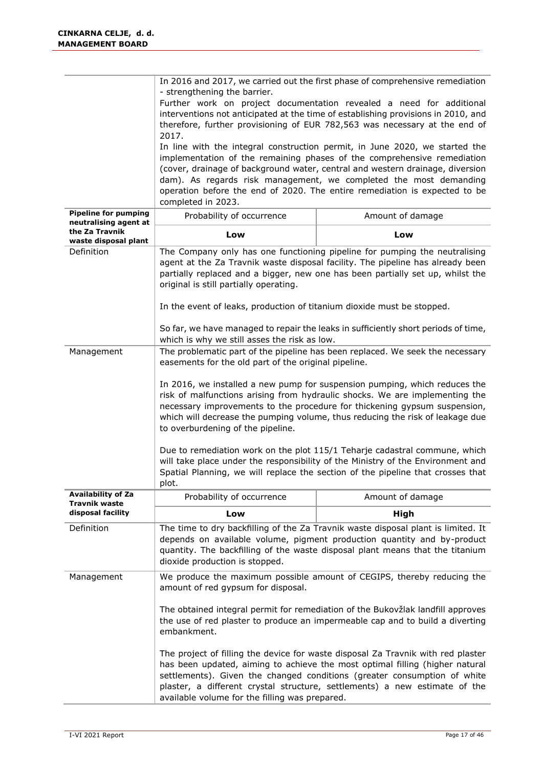|                                                      | In 2016 and 2017, we carried out the first phase of comprehensive remediation<br>- strengthening the barrier.<br>Further work on project documentation revealed a need for additional<br>interventions not anticipated at the time of establishing provisions in 2010, and<br>therefore, further provisioning of EUR 782,563 was necessary at the end of<br>2017.<br>In line with the integral construction permit, in June 2020, we started the<br>implementation of the remaining phases of the comprehensive remediation<br>(cover, drainage of background water, central and western drainage, diversion<br>dam). As regards risk management, we completed the most demanding<br>operation before the end of 2020. The entire remediation is expected to be<br>completed in 2023. |                                                                                                                                                                                                                                               |  |  |  |
|------------------------------------------------------|---------------------------------------------------------------------------------------------------------------------------------------------------------------------------------------------------------------------------------------------------------------------------------------------------------------------------------------------------------------------------------------------------------------------------------------------------------------------------------------------------------------------------------------------------------------------------------------------------------------------------------------------------------------------------------------------------------------------------------------------------------------------------------------|-----------------------------------------------------------------------------------------------------------------------------------------------------------------------------------------------------------------------------------------------|--|--|--|
| <b>Pipeline for pumping</b><br>neutralising agent at | Probability of occurrence                                                                                                                                                                                                                                                                                                                                                                                                                                                                                                                                                                                                                                                                                                                                                             | Amount of damage                                                                                                                                                                                                                              |  |  |  |
| the Za Travnik<br>waste disposal plant               | Low                                                                                                                                                                                                                                                                                                                                                                                                                                                                                                                                                                                                                                                                                                                                                                                   | Low                                                                                                                                                                                                                                           |  |  |  |
| Definition                                           | The Company only has one functioning pipeline for pumping the neutralising<br>agent at the Za Travnik waste disposal facility. The pipeline has already been<br>partially replaced and a bigger, new one has been partially set up, whilst the<br>original is still partially operating.<br>In the event of leaks, production of titanium dioxide must be stopped.<br>So far, we have managed to repair the leaks in sufficiently short periods of time,<br>which is why we still asses the risk as low.                                                                                                                                                                                                                                                                              |                                                                                                                                                                                                                                               |  |  |  |
| Management                                           | easements for the old part of the original pipeline.                                                                                                                                                                                                                                                                                                                                                                                                                                                                                                                                                                                                                                                                                                                                  | The problematic part of the pipeline has been replaced. We seek the necessary                                                                                                                                                                 |  |  |  |
|                                                      | In 2016, we installed a new pump for suspension pumping, which reduces the<br>risk of malfunctions arising from hydraulic shocks. We are implementing the<br>necessary improvements to the procedure for thickening gypsum suspension,<br>which will decrease the pumping volume, thus reducing the risk of leakage due<br>to overburdening of the pipeline.<br>Due to remediation work on the plot 115/1 Teharje cadastral commune, which<br>will take place under the responsibility of the Ministry of the Environment and<br>Spatial Planning, we will replace the section of the pipeline that crosses that<br>plot.                                                                                                                                                             |                                                                                                                                                                                                                                               |  |  |  |
| <b>Availability of Za</b><br>Travnik waste           | Probability of occurrence                                                                                                                                                                                                                                                                                                                                                                                                                                                                                                                                                                                                                                                                                                                                                             | Amount of damage                                                                                                                                                                                                                              |  |  |  |
| disposal facility                                    | Low                                                                                                                                                                                                                                                                                                                                                                                                                                                                                                                                                                                                                                                                                                                                                                                   | High                                                                                                                                                                                                                                          |  |  |  |
| Definition                                           | dioxide production is stopped.                                                                                                                                                                                                                                                                                                                                                                                                                                                                                                                                                                                                                                                                                                                                                        | The time to dry backfilling of the Za Travnik waste disposal plant is limited. It<br>depends on available volume, pigment production quantity and by-product<br>quantity. The backfilling of the waste disposal plant means that the titanium |  |  |  |
| Management                                           | amount of red gypsum for disposal.                                                                                                                                                                                                                                                                                                                                                                                                                                                                                                                                                                                                                                                                                                                                                    | We produce the maximum possible amount of CEGIPS, thereby reducing the                                                                                                                                                                        |  |  |  |
|                                                      | The obtained integral permit for remediation of the Bukovžlak landfill approves<br>the use of red plaster to produce an impermeable cap and to build a diverting<br>embankment.                                                                                                                                                                                                                                                                                                                                                                                                                                                                                                                                                                                                       |                                                                                                                                                                                                                                               |  |  |  |
|                                                      | The project of filling the device for waste disposal Za Travnik with red plaster<br>has been updated, aiming to achieve the most optimal filling (higher natural<br>settlements). Given the changed conditions (greater consumption of white<br>plaster, a different crystal structure, settlements) a new estimate of the<br>available volume for the filling was prepared.                                                                                                                                                                                                                                                                                                                                                                                                          |                                                                                                                                                                                                                                               |  |  |  |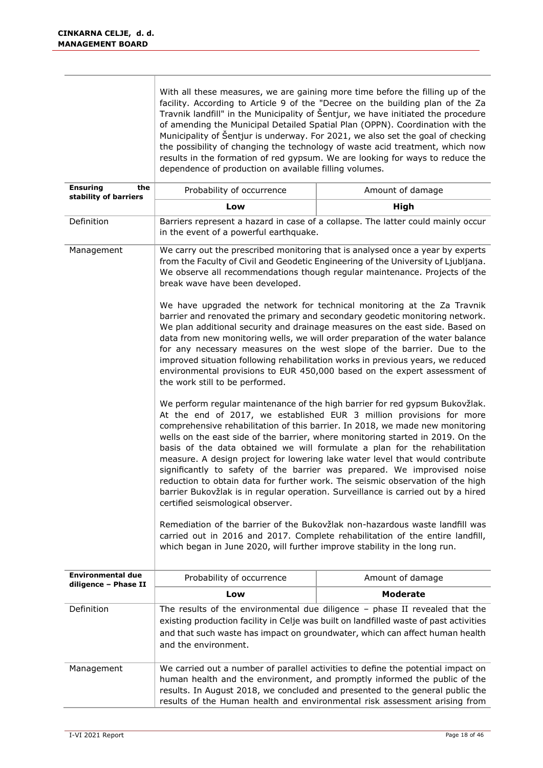|                                                 | With all these measures, we are gaining more time before the filling up of the<br>facility. According to Article 9 of the "Decree on the building plan of the Za<br>Travnik landfill" in the Municipality of Šentjur, we have initiated the procedure<br>of amending the Municipal Detailed Spatial Plan (OPPN). Coordination with the<br>Municipality of Sentjur is underway. For 2021, we also set the goal of checking<br>the possibility of changing the technology of waste acid treatment, which now<br>results in the formation of red gypsum. We are looking for ways to reduce the<br>dependence of production on available filling volumes.                                                                                                                           |                                                                                                                                                                                                                                                    |  |  |
|-------------------------------------------------|---------------------------------------------------------------------------------------------------------------------------------------------------------------------------------------------------------------------------------------------------------------------------------------------------------------------------------------------------------------------------------------------------------------------------------------------------------------------------------------------------------------------------------------------------------------------------------------------------------------------------------------------------------------------------------------------------------------------------------------------------------------------------------|----------------------------------------------------------------------------------------------------------------------------------------------------------------------------------------------------------------------------------------------------|--|--|
| <b>Ensuring</b><br>the<br>stability of barriers | Probability of occurrence                                                                                                                                                                                                                                                                                                                                                                                                                                                                                                                                                                                                                                                                                                                                                       | Amount of damage                                                                                                                                                                                                                                   |  |  |
|                                                 | Low                                                                                                                                                                                                                                                                                                                                                                                                                                                                                                                                                                                                                                                                                                                                                                             | High                                                                                                                                                                                                                                               |  |  |
| Definition                                      | in the event of a powerful earthquake.                                                                                                                                                                                                                                                                                                                                                                                                                                                                                                                                                                                                                                                                                                                                          | Barriers represent a hazard in case of a collapse. The latter could mainly occur                                                                                                                                                                   |  |  |
| Management                                      | break wave have been developed.                                                                                                                                                                                                                                                                                                                                                                                                                                                                                                                                                                                                                                                                                                                                                 | We carry out the prescribed monitoring that is analysed once a year by experts<br>from the Faculty of Civil and Geodetic Engineering of the University of Ljubljana.<br>We observe all recommendations though regular maintenance. Projects of the |  |  |
|                                                 | We have upgraded the network for technical monitoring at the Za Travnik<br>barrier and renovated the primary and secondary geodetic monitoring network.<br>We plan additional security and drainage measures on the east side. Based on<br>data from new monitoring wells, we will order preparation of the water balance<br>for any necessary measures on the west slope of the barrier. Due to the<br>improved situation following rehabilitation works in previous years, we reduced<br>environmental provisions to EUR 450,000 based on the expert assessment of<br>the work still to be performed.                                                                                                                                                                         |                                                                                                                                                                                                                                                    |  |  |
|                                                 | We perform regular maintenance of the high barrier for red gypsum Bukovžlak.<br>At the end of 2017, we established EUR 3 million provisions for more<br>comprehensive rehabilitation of this barrier. In 2018, we made new monitoring<br>wells on the east side of the barrier, where monitoring started in 2019. On the<br>basis of the data obtained we will formulate a plan for the rehabilitation<br>measure. A design project for lowering lake water level that would contribute<br>significantly to safety of the barrier was prepared. We improvised noise<br>reduction to obtain data for further work. The seismic observation of the high<br>barrier Bukovžlak is in regular operation. Surveillance is carried out by a hired<br>certified seismological observer. |                                                                                                                                                                                                                                                    |  |  |
|                                                 | Remediation of the barrier of the Bukovžlak non-hazardous waste landfill was<br>carried out in 2016 and 2017. Complete rehabilitation of the entire landfill,<br>which began in June 2020, will further improve stability in the long run.                                                                                                                                                                                                                                                                                                                                                                                                                                                                                                                                      |                                                                                                                                                                                                                                                    |  |  |
| Environmental due<br>diligence - Phase II       | Probability of occurrence                                                                                                                                                                                                                                                                                                                                                                                                                                                                                                                                                                                                                                                                                                                                                       | Amount of damage                                                                                                                                                                                                                                   |  |  |
|                                                 | Low                                                                                                                                                                                                                                                                                                                                                                                                                                                                                                                                                                                                                                                                                                                                                                             | <b>Moderate</b>                                                                                                                                                                                                                                    |  |  |
| Definition                                      | The results of the environmental due diligence $-$ phase II revealed that the<br>existing production facility in Celje was built on landfilled waste of past activities<br>and that such waste has impact on groundwater, which can affect human health<br>and the environment.                                                                                                                                                                                                                                                                                                                                                                                                                                                                                                 |                                                                                                                                                                                                                                                    |  |  |
| Management                                      | We carried out a number of parallel activities to define the potential impact on<br>human health and the environment, and promptly informed the public of the<br>results. In August 2018, we concluded and presented to the general public the<br>results of the Human health and environmental risk assessment arising from                                                                                                                                                                                                                                                                                                                                                                                                                                                    |                                                                                                                                                                                                                                                    |  |  |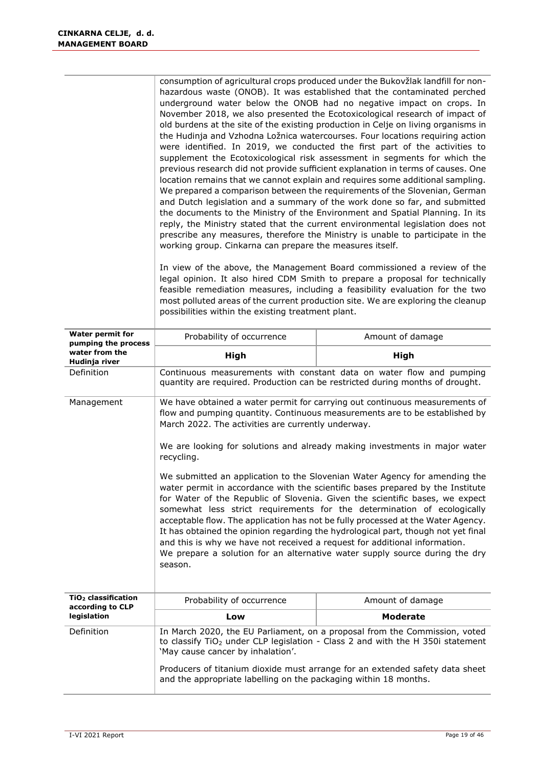|                                                     | consumption of agricultural crops produced under the Bukovžlak landfill for non-<br>hazardous waste (ONOB). It was established that the contaminated perched<br>underground water below the ONOB had no negative impact on crops. In<br>November 2018, we also presented the Ecotoxicological research of impact of<br>old burdens at the site of the existing production in Celje on living organisms in<br>the Hudinja and Vzhodna Ložnica watercourses. Four locations requiring action<br>were identified. In 2019, we conducted the first part of the activities to<br>supplement the Ecotoxicological risk assessment in segments for which the<br>previous research did not provide sufficient explanation in terms of causes. One<br>location remains that we cannot explain and requires some additional sampling.<br>We prepared a comparison between the requirements of the Slovenian, German<br>and Dutch legislation and a summary of the work done so far, and submitted<br>the documents to the Ministry of the Environment and Spatial Planning. In its<br>reply, the Ministry stated that the current environmental legislation does not<br>prescribe any measures, therefore the Ministry is unable to participate in the<br>working group. Cinkarna can prepare the measures itself.<br>In view of the above, the Management Board commissioned a review of the<br>legal opinion. It also hired CDM Smith to prepare a proposal for technically<br>feasible remediation measures, including a feasibility evaluation for the two<br>most polluted areas of the current production site. We are exploring the cleanup<br>possibilities within the existing treatment plant. |                                                                                                                                                       |  |  |
|-----------------------------------------------------|------------------------------------------------------------------------------------------------------------------------------------------------------------------------------------------------------------------------------------------------------------------------------------------------------------------------------------------------------------------------------------------------------------------------------------------------------------------------------------------------------------------------------------------------------------------------------------------------------------------------------------------------------------------------------------------------------------------------------------------------------------------------------------------------------------------------------------------------------------------------------------------------------------------------------------------------------------------------------------------------------------------------------------------------------------------------------------------------------------------------------------------------------------------------------------------------------------------------------------------------------------------------------------------------------------------------------------------------------------------------------------------------------------------------------------------------------------------------------------------------------------------------------------------------------------------------------------------------------------------------------------------------------------------------------------------------|-------------------------------------------------------------------------------------------------------------------------------------------------------|--|--|
| <b>Water permit for</b><br>pumping the process      | Probability of occurrence                                                                                                                                                                                                                                                                                                                                                                                                                                                                                                                                                                                                                                                                                                                                                                                                                                                                                                                                                                                                                                                                                                                                                                                                                                                                                                                                                                                                                                                                                                                                                                                                                                                                      | Amount of damage                                                                                                                                      |  |  |
| water from the<br>Hudinja river                     | <b>High</b>                                                                                                                                                                                                                                                                                                                                                                                                                                                                                                                                                                                                                                                                                                                                                                                                                                                                                                                                                                                                                                                                                                                                                                                                                                                                                                                                                                                                                                                                                                                                                                                                                                                                                    | High                                                                                                                                                  |  |  |
| Definition                                          |                                                                                                                                                                                                                                                                                                                                                                                                                                                                                                                                                                                                                                                                                                                                                                                                                                                                                                                                                                                                                                                                                                                                                                                                                                                                                                                                                                                                                                                                                                                                                                                                                                                                                                | Continuous measurements with constant data on water flow and pumping<br>quantity are required. Production can be restricted during months of drought. |  |  |
| Management                                          | We have obtained a water permit for carrying out continuous measurements of<br>flow and pumping quantity. Continuous measurements are to be established by<br>March 2022. The activities are currently underway.<br>We are looking for solutions and already making investments in major water<br>recycling.<br>We submitted an application to the Slovenian Water Agency for amending the<br>water permit in accordance with the scientific bases prepared by the Institute<br>for Water of the Republic of Slovenia. Given the scientific bases, we expect<br>somewhat less strict requirements for the determination of ecologically<br>acceptable flow. The application has not be fully processed at the Water Agency.<br>It has obtained the opinion regarding the hydrological part, though not yet final<br>and this is why we have not received a request for additional information.<br>We prepare a solution for an alternative water supply source during the dry<br>season.                                                                                                                                                                                                                                                                                                                                                                                                                                                                                                                                                                                                                                                                                                       |                                                                                                                                                       |  |  |
| TiO <sub>2</sub> classification<br>according to CLP | Probability of occurrence<br>Amount of damage                                                                                                                                                                                                                                                                                                                                                                                                                                                                                                                                                                                                                                                                                                                                                                                                                                                                                                                                                                                                                                                                                                                                                                                                                                                                                                                                                                                                                                                                                                                                                                                                                                                  |                                                                                                                                                       |  |  |
| legislation                                         | Low                                                                                                                                                                                                                                                                                                                                                                                                                                                                                                                                                                                                                                                                                                                                                                                                                                                                                                                                                                                                                                                                                                                                                                                                                                                                                                                                                                                                                                                                                                                                                                                                                                                                                            | <b>Moderate</b>                                                                                                                                       |  |  |
| Definition                                          | In March 2020, the EU Parliament, on a proposal from the Commission, voted<br>to classify TiO <sub>2</sub> under CLP legislation - Class 2 and with the H 350i statement<br>'May cause cancer by inhalation'.<br>Producers of titanium dioxide must arrange for an extended safety data sheet<br>and the appropriate labelling on the packaging within 18 months.                                                                                                                                                                                                                                                                                                                                                                                                                                                                                                                                                                                                                                                                                                                                                                                                                                                                                                                                                                                                                                                                                                                                                                                                                                                                                                                              |                                                                                                                                                       |  |  |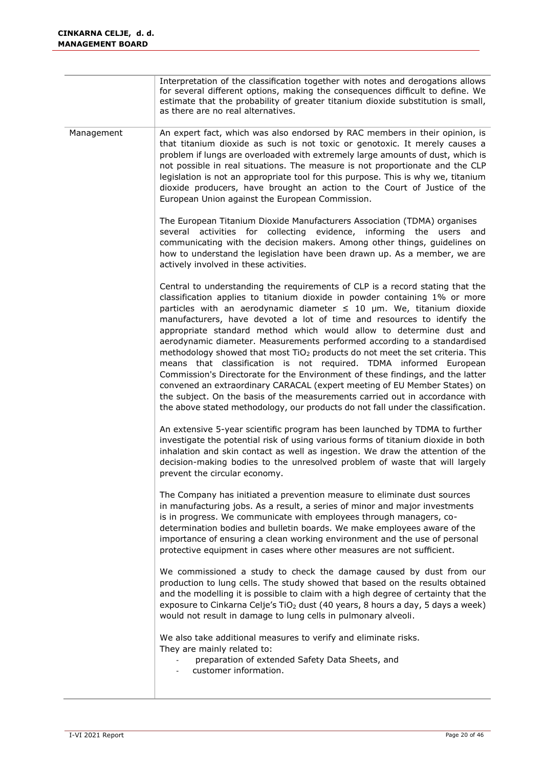|            | Interpretation of the classification together with notes and derogations allows<br>for several different options, making the consequences difficult to define. We<br>estimate that the probability of greater titanium dioxide substitution is small,<br>as there are no real alternatives.                                                                                                                                                                                                                                                                                                                                                                                                                                                                                                                                                                                                                                                                                 |
|------------|-----------------------------------------------------------------------------------------------------------------------------------------------------------------------------------------------------------------------------------------------------------------------------------------------------------------------------------------------------------------------------------------------------------------------------------------------------------------------------------------------------------------------------------------------------------------------------------------------------------------------------------------------------------------------------------------------------------------------------------------------------------------------------------------------------------------------------------------------------------------------------------------------------------------------------------------------------------------------------|
| Management | An expert fact, which was also endorsed by RAC members in their opinion, is<br>that titanium dioxide as such is not toxic or genotoxic. It merely causes a<br>problem if lungs are overloaded with extremely large amounts of dust, which is<br>not possible in real situations. The measure is not proportionate and the CLP<br>legislation is not an appropriate tool for this purpose. This is why we, titanium<br>dioxide producers, have brought an action to the Court of Justice of the<br>European Union against the European Commission.                                                                                                                                                                                                                                                                                                                                                                                                                           |
|            | The European Titanium Dioxide Manufacturers Association (TDMA) organises<br>several activities for collecting evidence, informing the users and<br>communicating with the decision makers. Among other things, guidelines on<br>how to understand the legislation have been drawn up. As a member, we are<br>actively involved in these activities.                                                                                                                                                                                                                                                                                                                                                                                                                                                                                                                                                                                                                         |
|            | Central to understanding the requirements of CLP is a record stating that the<br>classification applies to titanium dioxide in powder containing 1% or more<br>particles with an aerodynamic diameter $\leq$ 10 µm. We, titanium dioxide<br>manufacturers, have devoted a lot of time and resources to identify the<br>appropriate standard method which would allow to determine dust and<br>aerodynamic diameter. Measurements performed according to a standardised<br>methodology showed that most TiO <sub>2</sub> products do not meet the set criteria. This<br>means that classification is not required. TDMA informed European<br>Commission's Directorate for the Environment of these findings, and the latter<br>convened an extraordinary CARACAL (expert meeting of EU Member States) on<br>the subject. On the basis of the measurements carried out in accordance with<br>the above stated methodology, our products do not fall under the classification. |
|            | An extensive 5-year scientific program has been launched by TDMA to further<br>investigate the potential risk of using various forms of titanium dioxide in both<br>inhalation and skin contact as well as ingestion. We draw the attention of the<br>decision-making bodies to the unresolved problem of waste that will largely<br>prevent the circular economy.                                                                                                                                                                                                                                                                                                                                                                                                                                                                                                                                                                                                          |
|            | The Company has initiated a prevention measure to eliminate dust sources<br>in manufacturing jobs. As a result, a series of minor and major investments<br>is in progress. We communicate with employees through managers, co-<br>determination bodies and bulletin boards. We make employees aware of the<br>importance of ensuring a clean working environment and the use of personal<br>protective equipment in cases where other measures are not sufficient.                                                                                                                                                                                                                                                                                                                                                                                                                                                                                                          |
|            | We commissioned a study to check the damage caused by dust from our<br>production to lung cells. The study showed that based on the results obtained<br>and the modelling it is possible to claim with a high degree of certainty that the<br>exposure to Cinkarna Celje's TiO <sub>2</sub> dust (40 years, 8 hours a day, 5 days a week)<br>would not result in damage to lung cells in pulmonary alveoli.                                                                                                                                                                                                                                                                                                                                                                                                                                                                                                                                                                 |
|            | We also take additional measures to verify and eliminate risks.<br>They are mainly related to:<br>preparation of extended Safety Data Sheets, and<br>customer information.                                                                                                                                                                                                                                                                                                                                                                                                                                                                                                                                                                                                                                                                                                                                                                                                  |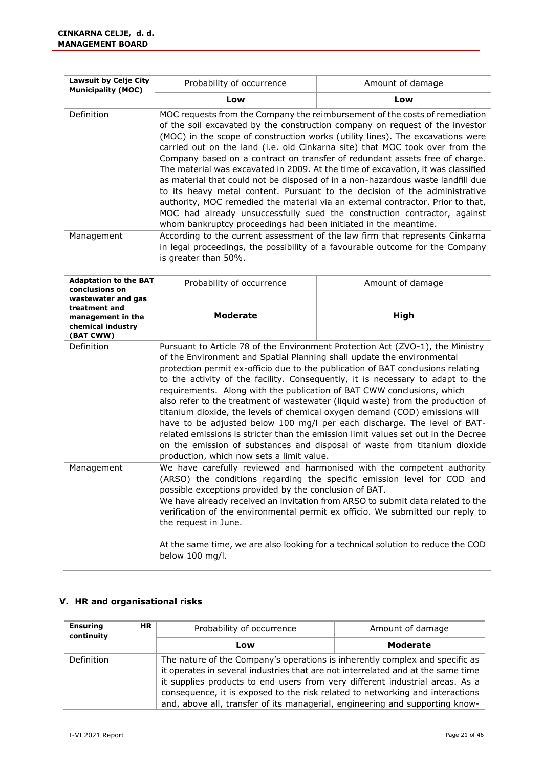| <b>Lawsuit by Celje City</b><br>Probability of occurrence<br><b>Municipality (MOC)</b>                                                                                                                                                                                                                                                                                                                                                                                                                    |                                                                                                                                                                                                                                                                                                                                                                                                                                                                                                                                                                                                                                                                                                                                                                                                                                                                                                     | Amount of damage                                                                                                                                                                                                                                                                                                                                                                                                                                                                                                                                                                                                                                                     |  |  |  |
|-----------------------------------------------------------------------------------------------------------------------------------------------------------------------------------------------------------------------------------------------------------------------------------------------------------------------------------------------------------------------------------------------------------------------------------------------------------------------------------------------------------|-----------------------------------------------------------------------------------------------------------------------------------------------------------------------------------------------------------------------------------------------------------------------------------------------------------------------------------------------------------------------------------------------------------------------------------------------------------------------------------------------------------------------------------------------------------------------------------------------------------------------------------------------------------------------------------------------------------------------------------------------------------------------------------------------------------------------------------------------------------------------------------------------------|----------------------------------------------------------------------------------------------------------------------------------------------------------------------------------------------------------------------------------------------------------------------------------------------------------------------------------------------------------------------------------------------------------------------------------------------------------------------------------------------------------------------------------------------------------------------------------------------------------------------------------------------------------------------|--|--|--|
|                                                                                                                                                                                                                                                                                                                                                                                                                                                                                                           | Low                                                                                                                                                                                                                                                                                                                                                                                                                                                                                                                                                                                                                                                                                                                                                                                                                                                                                                 | Low                                                                                                                                                                                                                                                                                                                                                                                                                                                                                                                                                                                                                                                                  |  |  |  |
| Definition                                                                                                                                                                                                                                                                                                                                                                                                                                                                                                | MOC requests from the Company the reimbursement of the costs of remediation<br>of the soil excavated by the construction company on request of the investor<br>(MOC) in the scope of construction works (utility lines). The excavations were<br>carried out on the land (i.e. old Cinkarna site) that MOC took over from the<br>Company based on a contract on transfer of redundant assets free of charge.<br>The material was excavated in 2009. At the time of excavation, it was classified<br>as material that could not be disposed of in a non-hazardous waste landfill due<br>to its heavy metal content. Pursuant to the decision of the administrative<br>authority, MOC remedied the material via an external contractor. Prior to that,<br>MOC had already unsuccessfully sued the construction contractor, against<br>whom bankruptcy proceedings had been initiated in the meantime. |                                                                                                                                                                                                                                                                                                                                                                                                                                                                                                                                                                                                                                                                      |  |  |  |
| Management                                                                                                                                                                                                                                                                                                                                                                                                                                                                                                | According to the current assessment of the law firm that represents Cinkarna<br>in legal proceedings, the possibility of a favourable outcome for the Company<br>is greater than 50%.                                                                                                                                                                                                                                                                                                                                                                                                                                                                                                                                                                                                                                                                                                               |                                                                                                                                                                                                                                                                                                                                                                                                                                                                                                                                                                                                                                                                      |  |  |  |
| <b>Adaptation to the BAT</b><br>conclusions on                                                                                                                                                                                                                                                                                                                                                                                                                                                            | Probability of occurrence                                                                                                                                                                                                                                                                                                                                                                                                                                                                                                                                                                                                                                                                                                                                                                                                                                                                           | Amount of damage                                                                                                                                                                                                                                                                                                                                                                                                                                                                                                                                                                                                                                                     |  |  |  |
| wastewater and gas<br>treatment and<br>management in the<br>chemical industry<br>(BAT CWW)                                                                                                                                                                                                                                                                                                                                                                                                                | <b>Moderate</b>                                                                                                                                                                                                                                                                                                                                                                                                                                                                                                                                                                                                                                                                                                                                                                                                                                                                                     | High                                                                                                                                                                                                                                                                                                                                                                                                                                                                                                                                                                                                                                                                 |  |  |  |
| Definition                                                                                                                                                                                                                                                                                                                                                                                                                                                                                                | of the Environment and Spatial Planning shall update the environmental<br>requirements. Along with the publication of BAT CWW conclusions, which<br>production, which now sets a limit value.                                                                                                                                                                                                                                                                                                                                                                                                                                                                                                                                                                                                                                                                                                       | Pursuant to Article 78 of the Environment Protection Act (ZVO-1), the Ministry<br>protection permit ex-officio due to the publication of BAT conclusions relating<br>to the activity of the facility. Consequently, it is necessary to adapt to the<br>also refer to the treatment of wastewater (liquid waste) from the production of<br>titanium dioxide, the levels of chemical oxygen demand (COD) emissions will<br>have to be adjusted below 100 mg/l per each discharge. The level of BAT-<br>related emissions is stricter than the emission limit values set out in the Decree<br>on the emission of substances and disposal of waste from titanium dioxide |  |  |  |
| We have carefully reviewed and harmonised with the competent authority<br>Management<br>(ARSO) the conditions regarding the specific emission level for COD and<br>possible exceptions provided by the conclusion of BAT.<br>We have already received an invitation from ARSO to submit data related to the<br>verification of the environmental permit ex officio. We submitted our reply to<br>the request in June.<br>At the same time, we are also looking for a technical solution to reduce the COD |                                                                                                                                                                                                                                                                                                                                                                                                                                                                                                                                                                                                                                                                                                                                                                                                                                                                                                     |                                                                                                                                                                                                                                                                                                                                                                                                                                                                                                                                                                                                                                                                      |  |  |  |
|                                                                                                                                                                                                                                                                                                                                                                                                                                                                                                           | below 100 mg/l.                                                                                                                                                                                                                                                                                                                                                                                                                                                                                                                                                                                                                                                                                                                                                                                                                                                                                     |                                                                                                                                                                                                                                                                                                                                                                                                                                                                                                                                                                                                                                                                      |  |  |  |

#### **V. HR and organisational risks**

| <b>Ensuring</b><br><b>HR</b><br>continuity | Probability of occurrence                                                                                                                                                                                                                                                                                                                                                                                         | Amount of damage |
|--------------------------------------------|-------------------------------------------------------------------------------------------------------------------------------------------------------------------------------------------------------------------------------------------------------------------------------------------------------------------------------------------------------------------------------------------------------------------|------------------|
|                                            | Low                                                                                                                                                                                                                                                                                                                                                                                                               | <b>Moderate</b>  |
| Definition                                 | The nature of the Company's operations is inherently complex and specific as<br>it operates in several industries that are not interrelated and at the same time<br>it supplies products to end users from very different industrial areas. As a<br>consequence, it is exposed to the risk related to networking and interactions<br>and, above all, transfer of its managerial, engineering and supporting know- |                  |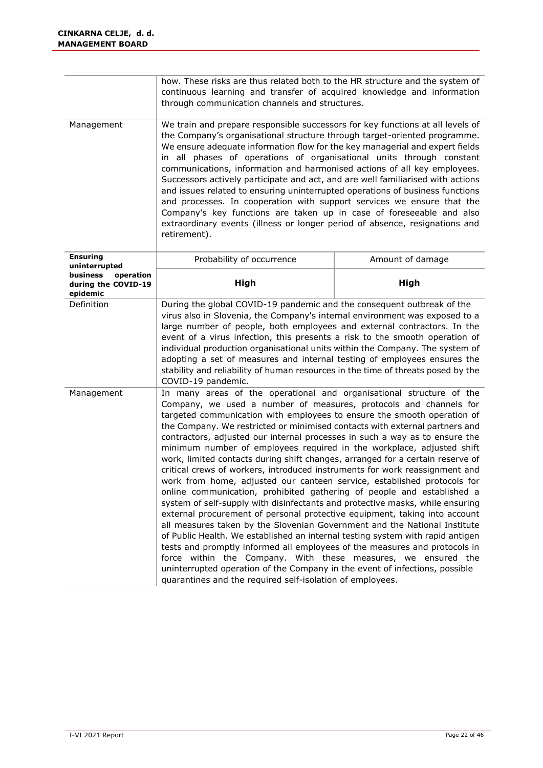|                                                          | how. These risks are thus related both to the HR structure and the system of<br>continuous learning and transfer of acquired knowledge and information<br>through communication channels and structures.                                                                                                                                                                                                                                                                                                                                                                                                                                                                                                                                                                                                                                                                                                                                                                                                                                                                                                                                                                                                                                                                             |                  |  |  |
|----------------------------------------------------------|--------------------------------------------------------------------------------------------------------------------------------------------------------------------------------------------------------------------------------------------------------------------------------------------------------------------------------------------------------------------------------------------------------------------------------------------------------------------------------------------------------------------------------------------------------------------------------------------------------------------------------------------------------------------------------------------------------------------------------------------------------------------------------------------------------------------------------------------------------------------------------------------------------------------------------------------------------------------------------------------------------------------------------------------------------------------------------------------------------------------------------------------------------------------------------------------------------------------------------------------------------------------------------------|------------------|--|--|
| Management                                               | We train and prepare responsible successors for key functions at all levels of<br>the Company's organisational structure through target-oriented programme.<br>We ensure adequate information flow for the key managerial and expert fields<br>in all phases of operations of organisational units through constant<br>communications, information and harmonised actions of all key employees.<br>Successors actively participate and act, and are well familiarised with actions<br>and issues related to ensuring uninterrupted operations of business functions<br>and processes. In cooperation with support services we ensure that the<br>Company's key functions are taken up in case of foreseeable and also<br>extraordinary events (illness or longer period of absence, resignations and<br>retirement).                                                                                                                                                                                                                                                                                                                                                                                                                                                                 |                  |  |  |
| <b>Ensuring</b><br>uninterrupted                         | Probability of occurrence                                                                                                                                                                                                                                                                                                                                                                                                                                                                                                                                                                                                                                                                                                                                                                                                                                                                                                                                                                                                                                                                                                                                                                                                                                                            | Amount of damage |  |  |
| business<br>operation<br>during the COVID-19<br>epidemic | High                                                                                                                                                                                                                                                                                                                                                                                                                                                                                                                                                                                                                                                                                                                                                                                                                                                                                                                                                                                                                                                                                                                                                                                                                                                                                 | High             |  |  |
| Definition                                               | During the global COVID-19 pandemic and the consequent outbreak of the<br>virus also in Slovenia, the Company's internal environment was exposed to a<br>large number of people, both employees and external contractors. In the<br>event of a virus infection, this presents a risk to the smooth operation of<br>individual production organisational units within the Company. The system of<br>adopting a set of measures and internal testing of employees ensures the<br>stability and reliability of human resources in the time of threats posed by the                                                                                                                                                                                                                                                                                                                                                                                                                                                                                                                                                                                                                                                                                                                      |                  |  |  |
| Management                                               | COVID-19 pandemic.<br>In many areas of the operational and organisational structure of the<br>Company, we used a number of measures, protocols and channels for<br>targeted communication with employees to ensure the smooth operation of<br>the Company. We restricted or minimised contacts with external partners and<br>contractors, adjusted our internal processes in such a way as to ensure the<br>minimum number of employees required in the workplace, adjusted shift<br>work, limited contacts during shift changes, arranged for a certain reserve of<br>critical crews of workers, introduced instruments for work reassignment and<br>work from home, adjusted our canteen service, established protocols for<br>online communication, prohibited gathering of people and established a<br>system of self-supply with disinfectants and protective masks, while ensuring<br>external procurement of personal protective equipment, taking into account<br>all measures taken by the Slovenian Government and the National Institute<br>of Public Health. We established an internal testing system with rapid antigen<br>tests and promptly informed all employees of the measures and protocols in<br>force within the Company. With these measures, we ensured the |                  |  |  |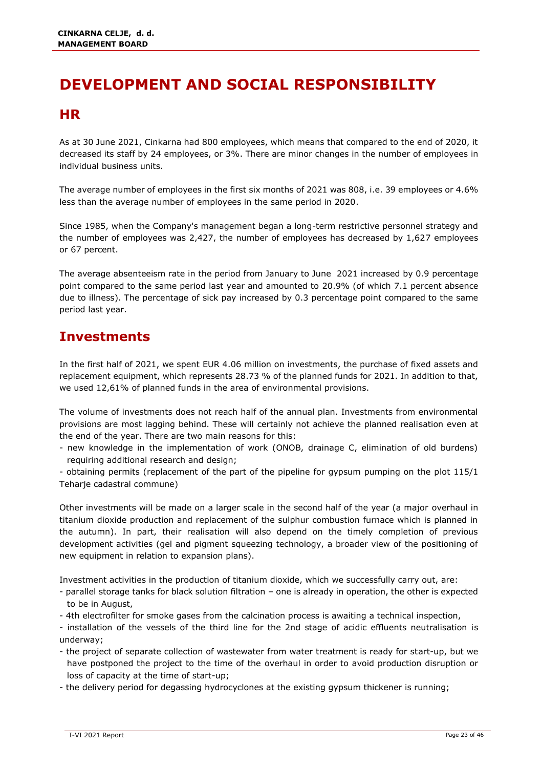# <span id="page-23-0"></span>**DEVELOPMENT AND SOCIAL RESPONSIBILITY**

### <span id="page-23-1"></span>**HR**

As at 30 June 2021, Cinkarna had 800 employees, which means that compared to the end of 2020, it decreased its staff by 24 employees, or 3%. There are minor changes in the number of employees in individual business units.

The average number of employees in the first six months of 2021 was 808, i.e. 39 employees or 4.6% less than the average number of employees in the same period in 2020.

Since 1985, when the Company's management began a long-term restrictive personnel strategy and the number of employees was 2,427, the number of employees has decreased by 1,627 employees or 67 percent.

The average absenteeism rate in the period from January to June 2021 increased by 0.9 percentage point compared to the same period last year and amounted to 20.9% (of which 7.1 percent absence due to illness). The percentage of sick pay increased by 0.3 percentage point compared to the same period last year.

### <span id="page-23-2"></span>**Investments**

In the first half of 2021, we spent EUR 4.06 million on investments, the purchase of fixed assets and replacement equipment, which represents 28.73 % of the planned funds for 2021. In addition to that, we used 12,61% of planned funds in the area of environmental provisions.

The volume of investments does not reach half of the annual plan. Investments from environmental provisions are most lagging behind. These will certainly not achieve the planned realisation even at the end of the year. There are two main reasons for this:

- new knowledge in the implementation of work (ONOB, drainage C, elimination of old burdens) requiring additional research and design;

- obtaining permits (replacement of the part of the pipeline for gypsum pumping on the plot 115/1 Teharje cadastral commune)

Other investments will be made on a larger scale in the second half of the year (a major overhaul in titanium dioxide production and replacement of the sulphur combustion furnace which is planned in the autumn). In part, their realisation will also depend on the timely completion of previous development activities (gel and pigment squeezing technology, a broader view of the positioning of new equipment in relation to expansion plans).

Investment activities in the production of titanium dioxide, which we successfully carry out, are:

- parallel storage tanks for black solution filtration one is already in operation, the other is expected to be in August,
- 4th electrofilter for smoke gases from the calcination process is awaiting a technical inspection,
- installation of the vessels of the third line for the 2nd stage of acidic effluents neutralisation is underway;
- the project of separate collection of wastewater from water treatment is ready for start-up, but we have postponed the project to the time of the overhaul in order to avoid production disruption or loss of capacity at the time of start-up;
- the delivery period for degassing hydrocyclones at the existing gypsum thickener is running;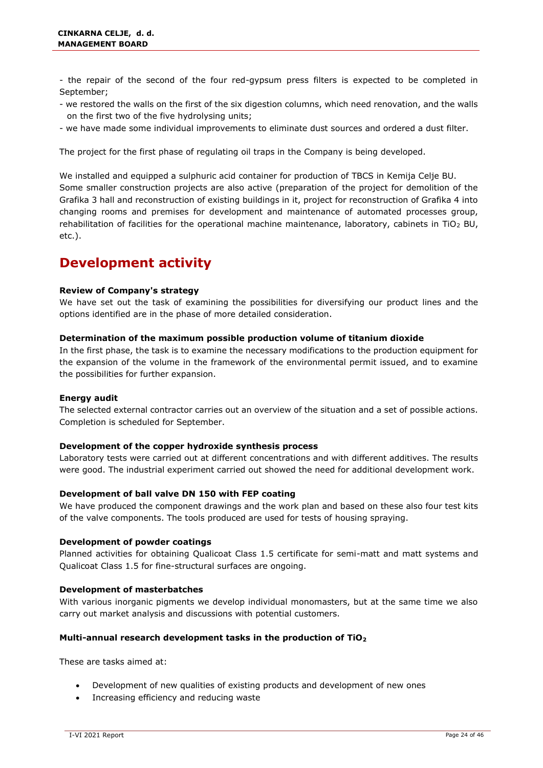- the repair of the second of the four red-gypsum press filters is expected to be completed in September;

- we restored the walls on the first of the six digestion columns, which need renovation, and the walls on the first two of the five hydrolysing units;
- we have made some individual improvements to eliminate dust sources and ordered a dust filter.

The project for the first phase of regulating oil traps in the Company is being developed.

We installed and equipped a sulphuric acid container for production of TBCS in Kemija Celje BU. Some smaller construction projects are also active (preparation of the project for demolition of the Grafika 3 hall and reconstruction of existing buildings in it, project for reconstruction of Grafika 4 into changing rooms and premises for development and maintenance of automated processes group, rehabilitation of facilities for the operational machine maintenance, laboratory, cabinets in TiO<sub>2</sub> BU, etc.).

### <span id="page-24-0"></span>**Development activity**

#### **Review of Company's strategy**

We have set out the task of examining the possibilities for diversifying our product lines and the options identified are in the phase of more detailed consideration.

#### **Determination of the maximum possible production volume of titanium dioxide**

In the first phase, the task is to examine the necessary modifications to the production equipment for the expansion of the volume in the framework of the environmental permit issued, and to examine the possibilities for further expansion.

#### **Energy audit**

The selected external contractor carries out an overview of the situation and a set of possible actions. Completion is scheduled for September.

#### **Development of the copper hydroxide synthesis process**

Laboratory tests were carried out at different concentrations and with different additives. The results were good. The industrial experiment carried out showed the need for additional development work.

#### **Development of ball valve DN 150 with FEP coating**

We have produced the component drawings and the work plan and based on these also four test kits of the valve components. The tools produced are used for tests of housing spraying.

#### **Development of powder coatings**

Planned activities for obtaining Qualicoat Class 1.5 certificate for semi-matt and matt systems and Qualicoat Class 1.5 for fine-structural surfaces are ongoing.

#### **Development of masterbatches**

With various inorganic pigments we develop individual monomasters, but at the same time we also carry out market analysis and discussions with potential customers.

#### **Multi-annual research development tasks in the production of TiO<sup>2</sup>**

These are tasks aimed at:

- Development of new qualities of existing products and development of new ones
- Increasing efficiency and reducing waste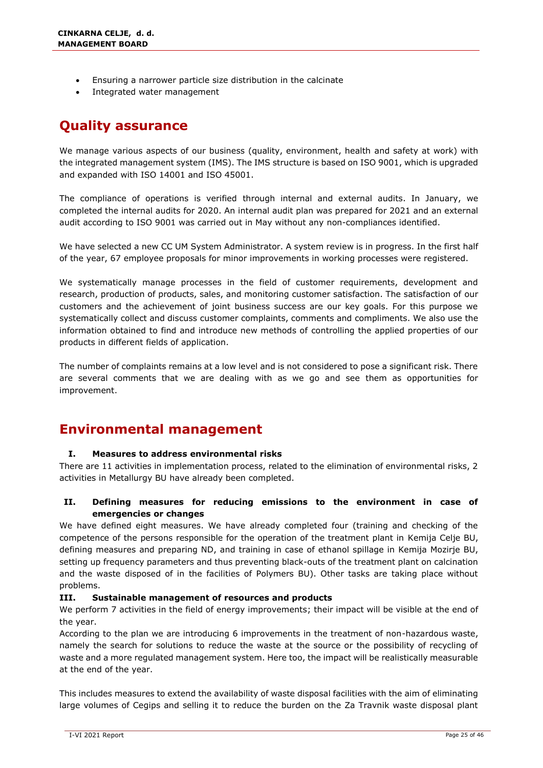- Ensuring a narrower particle size distribution in the calcinate
- Integrated water management

### <span id="page-25-0"></span>**Quality assurance**

We manage various aspects of our business (quality, environment, health and safety at work) with the integrated management system (IMS). The IMS structure is based on ISO 9001, which is upgraded and expanded with ISO 14001 and ISO 45001.

The compliance of operations is verified through internal and external audits. In January, we completed the internal audits for 2020. An internal audit plan was prepared for 2021 and an external audit according to ISO 9001 was carried out in May without any non-compliances identified.

We have selected a new CC UM System Administrator. A system review is in progress. In the first half of the year, 67 employee proposals for minor improvements in working processes were registered.

We systematically manage processes in the field of customer requirements, development and research, production of products, sales, and monitoring customer satisfaction. The satisfaction of our customers and the achievement of joint business success are our key goals. For this purpose we systematically collect and discuss customer complaints, comments and compliments. We also use the information obtained to find and introduce new methods of controlling the applied properties of our products in different fields of application.

The number of complaints remains at a low level and is not considered to pose a significant risk. There are several comments that we are dealing with as we go and see them as opportunities for improvement.

### <span id="page-25-1"></span>**Environmental management**

#### **I. Measures to address environmental risks**

There are 11 activities in implementation process, related to the elimination of environmental risks, 2 activities in Metallurgy BU have already been completed.

#### **II. Defining measures for reducing emissions to the environment in case of emergencies or changes**

We have defined eight measures. We have already completed four (training and checking of the competence of the persons responsible for the operation of the treatment plant in Kemija Celje BU, defining measures and preparing ND, and training in case of ethanol spillage in Kemija Mozirje BU, setting up frequency parameters and thus preventing black-outs of the treatment plant on calcination and the waste disposed of in the facilities of Polymers BU). Other tasks are taking place without problems.

#### **III. Sustainable management of resources and products**

We perform 7 activities in the field of energy improvements; their impact will be visible at the end of the year.

According to the plan we are introducing 6 improvements in the treatment of non-hazardous waste, namely the search for solutions to reduce the waste at the source or the possibility of recycling of waste and a more regulated management system. Here too, the impact will be realistically measurable at the end of the year.

This includes measures to extend the availability of waste disposal facilities with the aim of eliminating large volumes of Cegips and selling it to reduce the burden on the Za Travnik waste disposal plant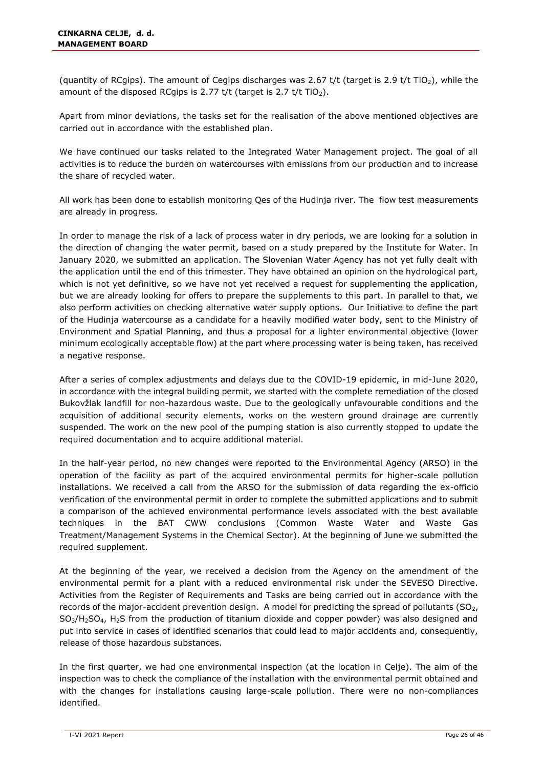(quantity of RCgips). The amount of Cegips discharges was 2.67 t/t (target is 2.9 t/t TiO<sub>2</sub>), while the amount of the disposed RCgips is 2.77 t/t (target is 2.7 t/t TiO<sub>2</sub>).

Apart from minor deviations, the tasks set for the realisation of the above mentioned objectives are carried out in accordance with the established plan.

We have continued our tasks related to the Integrated Water Management project. The goal of all activities is to reduce the burden on watercourses with emissions from our production and to increase the share of recycled water.

All work has been done to establish monitoring Qes of the Hudinja river. The flow test measurements are already in progress.

In order to manage the risk of a lack of process water in dry periods, we are looking for a solution in the direction of changing the water permit, based on a study prepared by the Institute for Water. In January 2020, we submitted an application. The Slovenian Water Agency has not yet fully dealt with the application until the end of this trimester. They have obtained an opinion on the hydrological part, which is not yet definitive, so we have not yet received a request for supplementing the application, but we are already looking for offers to prepare the supplements to this part. In parallel to that, we also perform activities on checking alternative water supply options. Our Initiative to define the part of the Hudinja watercourse as a candidate for a heavily modified water body, sent to the Ministry of Environment and Spatial Planning, and thus a proposal for a lighter environmental objective (lower minimum ecologically acceptable flow) at the part where processing water is being taken, has received a negative response.

After a series of complex adjustments and delays due to the COVID-19 epidemic, in mid-June 2020, in accordance with the integral building permit, we started with the complete remediation of the closed Bukovžlak landfill for non-hazardous waste. Due to the geologically unfavourable conditions and the acquisition of additional security elements, works on the western ground drainage are currently suspended. The work on the new pool of the pumping station is also currently stopped to update the required documentation and to acquire additional material.

In the half-year period, no new changes were reported to the Environmental Agency (ARSO) in the operation of the facility as part of the acquired environmental permits for higher-scale pollution installations. We received a call from the ARSO for the submission of data regarding the ex-officio verification of the environmental permit in order to complete the submitted applications and to submit a comparison of the achieved environmental performance levels associated with the best available techniques in the BAT CWW conclusions (Common Waste Water and Waste Gas Treatment/Management Systems in the Chemical Sector). At the beginning of June we submitted the required supplement.

At the beginning of the year, we received a decision from the Agency on the amendment of the environmental permit for a plant with a reduced environmental risk under the SEVESO Directive. Activities from the Register of Requirements and Tasks are being carried out in accordance with the records of the major-accident prevention design. A model for predicting the spread of pollutants ( $SO<sub>2</sub>$ ,  $SO<sub>3</sub>/H<sub>2</sub>SO<sub>4</sub>$ , H<sub>2</sub>S from the production of titanium dioxide and copper powder) was also designed and put into service in cases of identified scenarios that could lead to major accidents and, consequently, release of those hazardous substances.

In the first quarter, we had one environmental inspection (at the location in Celje). The aim of the inspection was to check the compliance of the installation with the environmental permit obtained and with the changes for installations causing large-scale pollution. There were no non-compliances identified.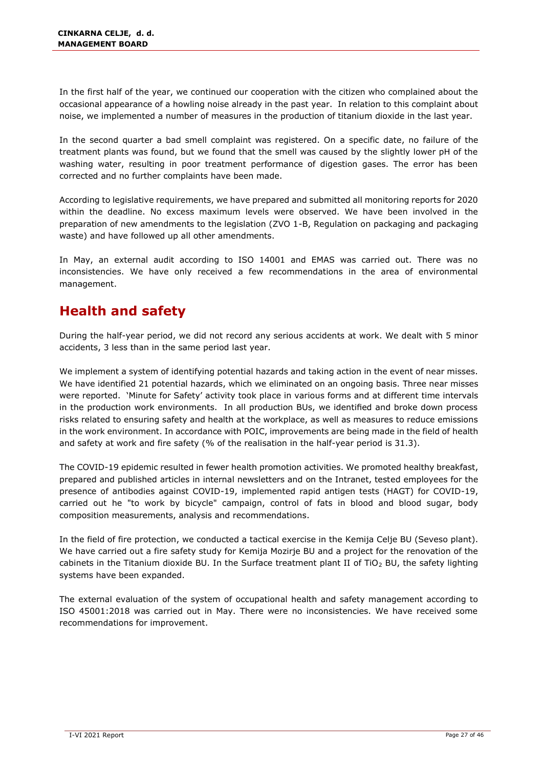In the first half of the year, we continued our cooperation with the citizen who complained about the occasional appearance of a howling noise already in the past year. In relation to this complaint about noise, we implemented a number of measures in the production of titanium dioxide in the last year.

In the second quarter a bad smell complaint was registered. On a specific date, no failure of the treatment plants was found, but we found that the smell was caused by the slightly lower pH of the washing water, resulting in poor treatment performance of digestion gases. The error has been corrected and no further complaints have been made.

According to legislative requirements, we have prepared and submitted all monitoring reports for 2020 within the deadline. No excess maximum levels were observed. We have been involved in the preparation of new amendments to the legislation (ZVO 1-B, Regulation on packaging and packaging waste) and have followed up all other amendments.

In May, an external audit according to ISO 14001 and EMAS was carried out. There was no inconsistencies. We have only received a few recommendations in the area of environmental management.

### <span id="page-27-0"></span>**Health and safety**

During the half-year period, we did not record any serious accidents at work. We dealt with 5 minor accidents, 3 less than in the same period last year.

We implement a system of identifying potential hazards and taking action in the event of near misses. We have identified 21 potential hazards, which we eliminated on an ongoing basis. Three near misses were reported. 'Minute for Safety' activity took place in various forms and at different time intervals in the production work environments. In all production BUs, we identified and broke down process risks related to ensuring safety and health at the workplace, as well as measures to reduce emissions in the work environment. In accordance with POIC, improvements are being made in the field of health and safety at work and fire safety (% of the realisation in the half-year period is 31.3).

The COVID-19 epidemic resulted in fewer health promotion activities. We promoted healthy breakfast, prepared and published articles in internal newsletters and on the Intranet, tested employees for the presence of antibodies against COVID-19, implemented rapid antigen tests (HAGT) for COVID-19, carried out he "to work by bicycle" campaign, control of fats in blood and blood sugar, body composition measurements, analysis and recommendations.

In the field of fire protection, we conducted a tactical exercise in the Kemija Celje BU (Seveso plant). We have carried out a fire safety study for Kemija Mozirje BU and a project for the renovation of the cabinets in the Titanium dioxide BU. In the Surface treatment plant II of TiO<sub>2</sub> BU, the safety lighting systems have been expanded.

The external evaluation of the system of occupational health and safety management according to ISO 45001:2018 was carried out in May. There were no inconsistencies. We have received some recommendations for improvement.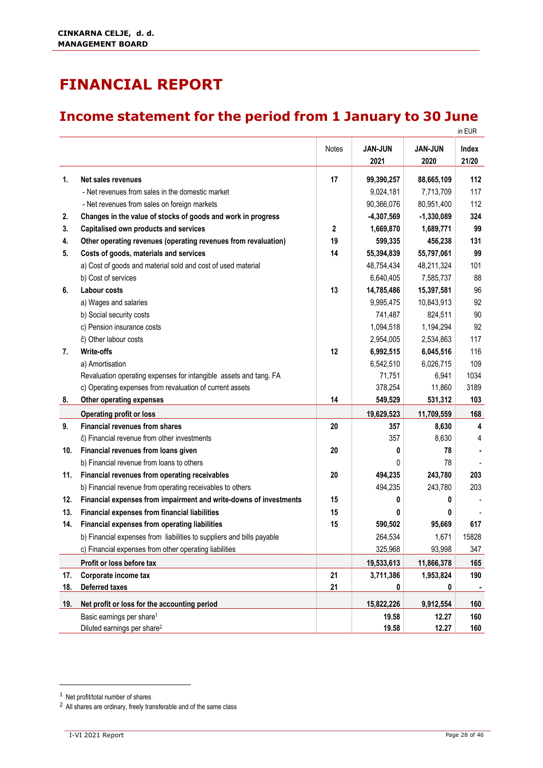# <span id="page-28-0"></span>**FINANCIAL REPORT**

### <span id="page-28-1"></span>**Income statement for the period from 1 January to 30 June**

|     |                                                                       |             |                |                | in EUR |
|-----|-----------------------------------------------------------------------|-------------|----------------|----------------|--------|
|     |                                                                       | Notes       | <b>JAN-JUN</b> | <b>JAN-JUN</b> | Index  |
|     |                                                                       |             | 2021           | 2020           | 21/20  |
| 1.  | Net sales revenues                                                    | 17          | 99,390,257     | 88,665,109     | 112    |
|     | - Net revenues from sales in the domestic market                      |             | 9,024,181      | 7,713,709      | 117    |
|     | - Net revenues from sales on foreign markets                          |             | 90,366,076     | 80,951,400     | 112    |
| 2.  | Changes in the value of stocks of goods and work in progress          |             | $-4,307,569$   | $-1,330,089$   | 324    |
| 3.  | Capitalised own products and services                                 | $\mathbf 2$ | 1,669,870      | 1,689,771      | 99     |
| 4.  | Other operating revenues (operating revenues from revaluation)        | 19          | 599,335        | 456,238        | 131    |
| 5.  | Costs of goods, materials and services                                | 14          | 55,394,839     | 55,797,061     | 99     |
|     | a) Cost of goods and material sold and cost of used material          |             | 48,754,434     | 48,211,324     | 101    |
|     | b) Cost of services                                                   |             | 6,640,405      | 7,585,737      | 88     |
| 6.  | <b>Labour costs</b>                                                   | 13          | 14,785,486     | 15,397,581     | 96     |
|     | a) Wages and salaries                                                 |             | 9,995,475      | 10,843,913     | 92     |
|     | b) Social security costs                                              |             | 741,487        | 824,511        | 90     |
|     | c) Pension insurance costs                                            |             | 1,094,518      | 1,194,294      | 92     |
|     | č) Other labour costs                                                 |             | 2,954,005      | 2,534,863      | 117    |
| 7.  | <b>Write-offs</b>                                                     | 12          | 6,992,515      | 6,045,516      | 116    |
|     | a) Amortisation                                                       |             | 6,542,510      | 6,026,715      | 109    |
|     | Revaluation operating expenses for intangible assets and tang. FA     |             | 71,751         | 6,941          | 1034   |
|     | c) Operating expenses from revaluation of current assets              |             | 378,254        | 11,860         | 3189   |
| 8.  | Other operating expenses                                              | 14          | 549,529        | 531,312        | 103    |
|     | <b>Operating profit or loss</b>                                       |             | 19,629,523     | 11,709,559     | 168    |
| 9.  | <b>Financial revenues from shares</b>                                 | 20          | 357            | 8,630          | 4      |
|     | č) Financial revenue from other investments                           |             | 357            | 8,630          | 4      |
| 10. | Financial revenues from loans given                                   | 20          | 0              | 78             |        |
|     | b) Financial revenue from loans to others                             |             | 0              | 78             |        |
| 11. | Financial revenues from operating receivables                         | 20          | 494,235        | 243,780        | 203    |
|     | b) Financial revenue from operating receivables to others             |             | 494,235        | 243,780        | 203    |
| 12. | Financial expenses from impairment and write-downs of investments     | 15          | 0              | 0              |        |
| 13. | <b>Financial expenses from financial liabilities</b>                  | 15          | 0              | 0              |        |
| 14. | Financial expenses from operating liabilities                         | 15          | 590,502        | 95,669         | 617    |
|     | b) Financial expenses from liabilities to suppliers and bills payable |             | 264,534        | 1,671          | 15828  |
|     | c) Financial expenses from other operating liabilities                |             | 325,968        | 93,998         | 347    |
|     | Profit or loss before tax                                             |             | 19,533,613     | 11,866,378     | 165    |
| 17. | Corporate income tax                                                  | 21          | 3,711,386      | 1,953,824      | 190    |
| 18. | <b>Deferred taxes</b>                                                 | 21          | 0              | 0              |        |
| 19. | Net profit or loss for the accounting period                          |             | 15,822,226     | 9,912,554      | 160    |
|     | Basic earnings per share <sup>1</sup>                                 |             | 19.58          | 12.27          | 160    |
|     | Diluted earnings per share <sup>2</sup>                               |             | 19.58          | 12.27          | 160    |

<sup>1</sup> Net profit/total number of shares

 $2$  All shares are ordinary, freely transferable and of the same class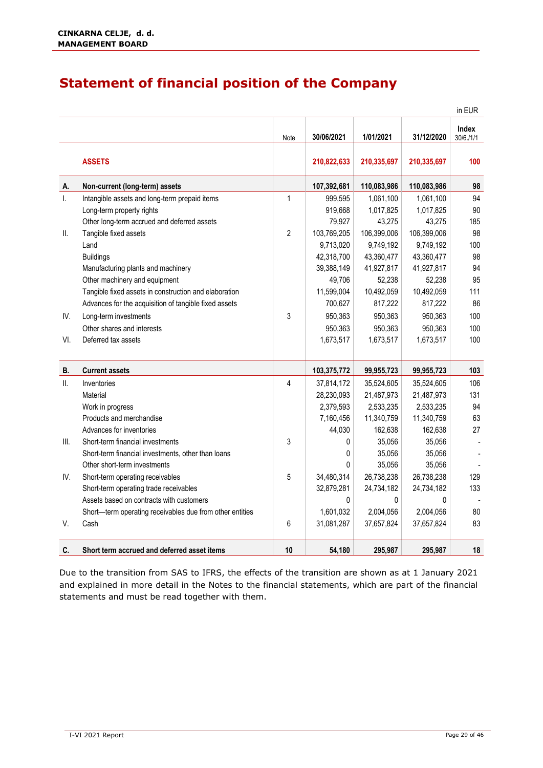### <span id="page-29-0"></span>**Statement of financial position of the Company**

|      |                                                          |                |             |              |             | in EUR                    |
|------|----------------------------------------------------------|----------------|-------------|--------------|-------------|---------------------------|
|      |                                                          | Note           | 30/06/2021  | 1/01/2021    | 31/12/2020  | <b>Index</b><br>30/6./1/1 |
|      | <b>ASSETS</b>                                            |                | 210,822,633 | 210,335,697  | 210,335,697 | 100                       |
| Α.   | Non-current (long-term) assets                           |                | 107,392,681 | 110,083,986  | 110,083,986 | 98                        |
| Ι.   | Intangible assets and long-term prepaid items            | $\mathbf{1}$   | 999,595     | 1,061,100    | 1,061,100   | 94                        |
|      | Long-term property rights                                |                | 919,668     | 1,017,825    | 1,017,825   | 90                        |
|      | Other long-term accrued and deferred assets              |                | 79,927      | 43,275       | 43,275      | 185                       |
| Ⅱ.   | Tangible fixed assets                                    | $\overline{2}$ | 103,769,205 | 106,399,006  | 106,399,006 | 98                        |
|      | Land                                                     |                | 9,713,020   | 9,749,192    | 9,749,192   | 100                       |
|      | <b>Buildings</b>                                         |                | 42,318,700  | 43,360,477   | 43,360,477  | 98                        |
|      | Manufacturing plants and machinery                       |                | 39,388,149  | 41,927,817   | 41,927,817  | 94                        |
|      | Other machinery and equipment                            |                | 49,706      | 52,238       | 52,238      | 95                        |
|      | Tangible fixed assets in construction and elaboration    |                | 11,599,004  | 10,492,059   | 10,492,059  | 111                       |
|      | Advances for the acquisition of tangible fixed assets    |                | 700,627     | 817,222      | 817,222     | 86                        |
| IV.  | Long-term investments                                    | 3              | 950,363     | 950,363      | 950,363     | 100                       |
|      | Other shares and interests                               |                | 950,363     | 950,363      | 950,363     | 100                       |
| VI.  | Deferred tax assets                                      |                | 1,673,517   | 1,673,517    | 1,673,517   | 100                       |
| В.   | <b>Current assets</b>                                    |                | 103,375,772 | 99,955,723   | 99,955,723  | 103                       |
| Ⅱ.   | Inventories                                              | 4              | 37,814,172  | 35,524,605   | 35,524,605  | 106                       |
|      | Material                                                 |                | 28,230,093  | 21,487,973   | 21,487,973  | 131                       |
|      | Work in progress                                         |                | 2,379,593   | 2,533,235    | 2,533,235   | 94                        |
|      | Products and merchandise                                 |                | 7,160,456   | 11,340,759   | 11,340,759  | 63                        |
|      | Advances for inventories                                 |                | 44,030      | 162,638      | 162,638     | 27                        |
| III. | Short-term financial investments                         | 3              | 0           | 35,056       | 35,056      |                           |
|      | Short-term financial investments, other than loans       |                | 0           | 35,056       | 35,056      |                           |
|      | Other short-term investments                             |                | 0           | 35,056       | 35,056      |                           |
| IV.  | Short-term operating receivables                         | 5              | 34,480,314  | 26,738,238   | 26,738,238  | 129                       |
|      | Short-term operating trade receivables                   |                | 32,879,281  | 24,734,182   | 24,734,182  | 133                       |
|      | Assets based on contracts with customers                 |                | 0           | $\mathbf{0}$ | 0           |                           |
|      | Short-term operating receivables due from other entities |                | 1,601,032   | 2,004,056    | 2,004,056   | 80                        |
| V.   | Cash                                                     | 6              | 31,081,287  | 37,657,824   | 37,657,824  | 83                        |
| C.   | Short term accrued and deferred asset items              | 10             | 54,180      | 295,987      | 295,987     | 18                        |

Due to the transition from SAS to IFRS, the effects of the transition are shown as at 1 January 2021 and explained in more detail in the Notes to the financial statements, which are part of the financial statements and must be read together with them.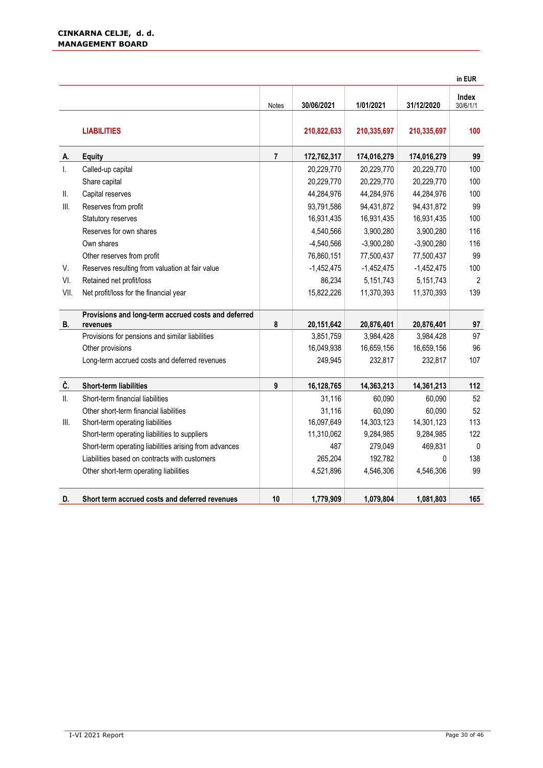|              |                                                                 |                         |              |              |              | in EUR            |
|--------------|-----------------------------------------------------------------|-------------------------|--------------|--------------|--------------|-------------------|
|              |                                                                 | Notes                   | 30/06/2021   | 1/01/2021    | 31/12/2020   | Index<br>30/6/1/1 |
|              | <b>LIABILITIES</b>                                              |                         | 210,822,633  | 210,335,697  | 210,335,697  | 100               |
| А.           | <b>Equity</b>                                                   | $\overline{\mathbf{r}}$ | 172,762,317  | 174,016,279  | 174,016,279  | 99                |
| $\mathsf{L}$ | Called-up capital                                               |                         | 20,229,770   | 20,229,770   | 20,229,770   | 100               |
|              | Share capital                                                   |                         | 20,229,770   | 20,229,770   | 20,229,770   | 100               |
| Ⅱ.           | Capital reserves                                                |                         | 44,284,976   | 44,284,976   | 44,284,976   | 100               |
| III.         | Reserves from profit                                            |                         | 93,791,586   | 94,431,872   | 94,431,872   | 99                |
|              | Statutory reserves                                              |                         | 16,931,435   | 16,931,435   | 16,931,435   | 100               |
|              | Reserves for own shares                                         |                         | 4,540,566    | 3,900,280    | 3,900,280    | 116               |
|              | Own shares                                                      |                         | $-4,540,566$ | $-3,900,280$ | $-3,900,280$ | 116               |
|              | Other reserves from profit                                      |                         | 76,860,151   | 77,500,437   | 77,500,437   | 99                |
| V.           | Reserves resulting from valuation at fair value                 |                         | $-1,452,475$ | $-1,452,475$ | $-1,452,475$ | 100               |
| VI.          | Retained net profit/loss                                        |                         | 86,234       | 5,151,743    | 5,151,743    | $\overline{2}$    |
| VII.         | Net profit/loss for the financial year                          |                         | 15,822,226   | 11,370,393   | 11,370,393   | 139               |
| <b>B.</b>    | Provisions and long-term accrued costs and deferred<br>revenues | 8                       | 20,151,642   | 20,876,401   | 20,876,401   | 97                |
|              | Provisions for pensions and similar liabilities                 |                         | 3,851,759    | 3,984,428    | 3,984,428    | 97                |
|              | Other provisions                                                |                         | 16,049,938   | 16,659,156   | 16,659,156   | 96                |
|              | Long-term accrued costs and deferred revenues                   |                         | 249,945      | 232,817      | 232,817      | 107               |
| Č.           | <b>Short-term liabilities</b>                                   | 9                       | 16,128,765   | 14,363,213   | 14,361,213   | 112               |
| II.          | Short-term financial liabilities                                |                         | 31,116       | 60,090       | 60,090       | 52                |
|              | Other short-term financial liabilities                          |                         | 31,116       | 60,090       | 60,090       | 52                |
| III.         | Short-term operating liabilities                                |                         | 16,097,649   | 14,303,123   | 14,301,123   | 113               |
|              | Short-term operating liabilities to suppliers                   |                         | 11,310,062   | 9,284,985    | 9,284,985    | 122               |
|              | Short-term operating liabilities arising from advances          |                         | 487          | 279,049      | 469,831      | $\pmb{0}$         |
|              | Liabilities based on contracts with customers                   |                         | 265,204      | 192,782      | 0            | 138               |
|              | Other short-term operating liabilities                          |                         | 4,521,896    | 4,546,306    | 4,546,306    | 99                |
| D.           | Short term accrued costs and deferred revenues                  | 10                      | 1,779,909    | 1,079,804    | 1,081,803    | 165               |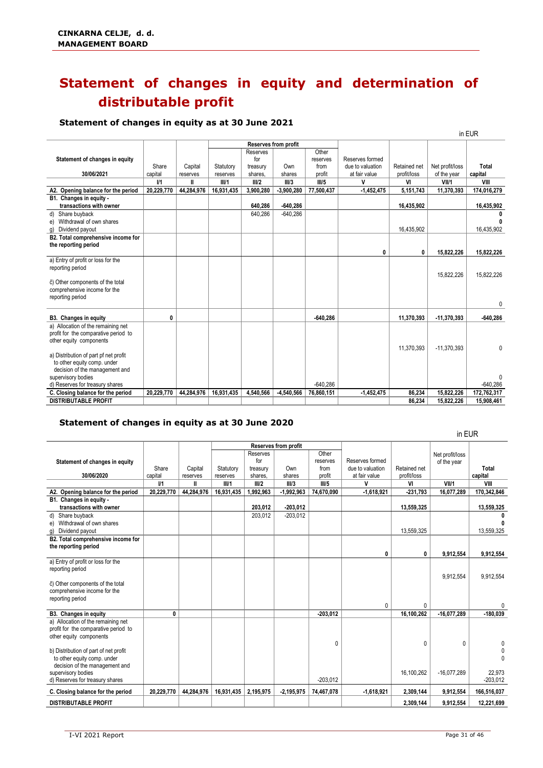# <span id="page-31-0"></span>**Statement of changes in equity and determination of distributable profit**

#### **Statement of changes in equity as at 30 June 2021**

|                                       |                |            |            |           |                             |            |                  |              |                 | in EUR      |
|---------------------------------------|----------------|------------|------------|-----------|-----------------------------|------------|------------------|--------------|-----------------|-------------|
|                                       |                |            |            |           | <b>Reserves from profit</b> |            |                  |              |                 |             |
|                                       |                |            |            | Reserves  |                             | Other      |                  |              |                 |             |
| Statement of changes in equity        |                |            |            | for       |                             | reserves   | Reserves formed  |              |                 |             |
|                                       | Share          | Capital    | Statutory  | treasury  | Own                         | from       | due to valuation | Retained net | Net profit/loss | Total       |
| 30/06/2021                            | capital        | reserves   | reserves   | shares.   | shares                      | profit     | at fair value    | profit/loss  | of the year     | capital     |
|                                       | V <sub>1</sub> | H          | III/1      | III/2     | III/3                       | III/5      | v                | VI           | VII/1           | VIII        |
| A2. Opening balance for the period    | 20,229,770     | 44.284.976 | 16,931,435 | 3,900,280 | $-3,900,280$                | 77,500,437 | $-1,452,475$     | 5,151,743    | 11,370,393      | 174,016,279 |
| B1. Changes in equity -               |                |            |            |           |                             |            |                  |              |                 |             |
| transactions with owner               |                |            |            | 640,286   | $-640,286$                  |            |                  | 16.435.902   |                 | 16,435,902  |
| Share buvback<br>d)                   |                |            |            | 640,286   | $-640,286$                  |            |                  |              |                 |             |
| Withdrawal of own shares<br>e)        |                |            |            |           |                             |            |                  |              |                 |             |
| Dividend payout<br>g)                 |                |            |            |           |                             |            |                  | 16,435,902   |                 | 16.435.902  |
| B2. Total comprehensive income for    |                |            |            |           |                             |            |                  |              |                 |             |
| the reporting period                  |                |            |            |           |                             |            |                  |              |                 |             |
|                                       |                |            |            |           |                             |            | 0                | 0            | 15.822.226      | 15.822.226  |
| a) Entry of profit or loss for the    |                |            |            |           |                             |            |                  |              |                 |             |
| reporting period                      |                |            |            |           |                             |            |                  |              |                 |             |
|                                       |                |            |            |           |                             |            |                  |              | 15,822,226      | 15,822,226  |
| č) Other components of the total      |                |            |            |           |                             |            |                  |              |                 |             |
| comprehensive income for the          |                |            |            |           |                             |            |                  |              |                 |             |
| reporting period                      |                |            |            |           |                             |            |                  |              |                 |             |
|                                       |                |            |            |           |                             |            |                  |              |                 | 0           |
| B3. Changes in equity                 | 0              |            |            |           |                             | $-640,286$ |                  | 11,370,393   | $-11,370,393$   | $-640.286$  |
| a) Allocation of the remaining net    |                |            |            |           |                             |            |                  |              |                 |             |
| profit for the comparative period to  |                |            |            |           |                             |            |                  |              |                 |             |
| other equity components               |                |            |            |           |                             |            |                  |              |                 |             |
|                                       |                |            |            |           |                             |            |                  | 11.370.393   | $-11.370.393$   | 0           |
| a) Distribution of part pf net profit |                |            |            |           |                             |            |                  |              |                 |             |
| to other equity comp. under           |                |            |            |           |                             |            |                  |              |                 |             |
| decision of the management and        |                |            |            |           |                             |            |                  |              |                 |             |
| supervisory bodies                    |                |            |            |           |                             |            |                  |              |                 | 0           |
| d) Reserves for treasury shares       |                |            |            |           |                             | $-640.286$ |                  |              |                 | $-640.286$  |
| C. Closing balance for the period     | 20,229,770     | 44,284,976 | 16,931,435 | 4,540,566 | $-4,540,566$                | 76,860,151 | $-1,452,475$     | 86,234       | 15,822,226      | 172,762,317 |
| <b>DISTRIBUTABLE PROFIT</b>           |                |            |            |           |                             |            |                  | 86.234       | 15.822.226      | 15.908.461  |

#### **Statement of changes in equity as at 30 June 2020**

Share capital<br>I/1 Capital reserves **Reserves from profit** Reserves formed due to valuation at fair value Retained net profit/loss Net profit/loss of the year **Total capital Statutory** reserves<br>III/1 Reserves for treasury shares, Own shares<br>III/3 **Other** reserves from profit **Statement of changes in equity 30/06/2020 I/1 II III/1 III/2 III/3 III/5 V VI VII/1 VIII A2. Opening balance for the period 20,229,770 44,284,976 16,931,435 1,992,963 -1,992,963 74,670,090 -1,618,921 -231,793 16,077,289 170,342,846 B1. Changes in equity transactions with owner**<br> **203,012** -203,012 -203,012 -203,012 -203,012 -203,012 -203,012 -203,012 -203,012 -203,012 -203,012 -203,012 -203,012 -203,012 -203,012 -203,012 -203,012 -203,012 -203,012 -203,012 -203,012 -203, d) Share buyback 203,012 -203,012 **0** e) Withdrawal of own shares **0**<br>g) Dividend payout **0**<br>g) Dividend payout 13,559,325 13,559,325 g) Dividend payout **B2. Total comprehensive income for the reporting period 0 0 9,912,554 9,912,554** a) Entry of profit or loss for the reporting period 9,912,554 9,912,554 č) Other components of the total comprehensive income for the reporting period 0 0 0 **B3. Changes in equity 0 -203,012 16,100,262 -16,077,289 -180,039** a) Allocation of the remaining net profit for the comparative period to other equity components 0 0 0 0 b) Distribution of part of net profit defined by the context of the context of the context of the context of the context of the context of the context of the context of the context of the context of the context of the cont  $\int$  to other equity comp. under decision of the management and<br>supervisory bodies supervisory bodies 16,100,262 -16,077,289 22,973 d) Reserves for treasury shares and the control of the control of the control of the control of the control of the control of the control of the control of the control of the control of the control of the control of the co **C. Closing balance for the period 20,229,770 44,284,976 16,931,435 2,195,975 -2,195,975 74,467,078 -1,618,921 2,309,144 9,912,554 166,516,037 DISTRIBUTABLE PROFIT 2,309,144 9,912,554 12,221,699**

in EUR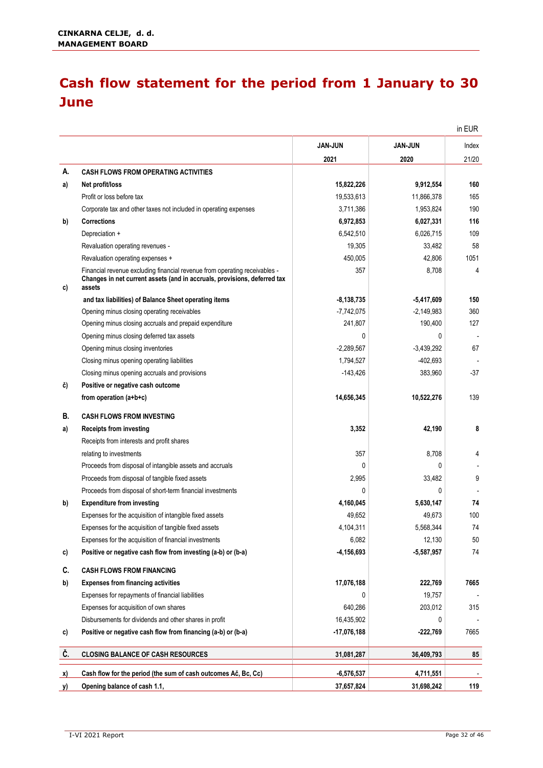### <span id="page-32-0"></span>**Cash flow statement for the period from 1 January to 30 June**

|           |                                                                                                                                                                  |                |                | in EUR |
|-----------|------------------------------------------------------------------------------------------------------------------------------------------------------------------|----------------|----------------|--------|
|           |                                                                                                                                                                  | <b>JAN-JUN</b> | <b>JAN-JUN</b> | Index  |
|           |                                                                                                                                                                  | 2021           | 2020           | 21/20  |
| А.        | <b>CASH FLOWS FROM OPERATING ACTIVITIES</b>                                                                                                                      |                |                |        |
| a)        | Net profit/loss                                                                                                                                                  | 15,822,226     | 9,912,554      | 160    |
|           | Profit or loss before tax                                                                                                                                        | 19,533,613     | 11,866,378     | 165    |
|           | Corporate tax and other taxes not included in operating expenses                                                                                                 | 3,711,386      | 1,953,824      | 190    |
| b)        | <b>Corrections</b>                                                                                                                                               | 6,972,853      | 6,027,331      | 116    |
|           | Depreciation +                                                                                                                                                   | 6,542,510      | 6,026,715      | 109    |
|           | Revaluation operating revenues -                                                                                                                                 | 19,305         | 33,482         | 58     |
|           | Revaluation operating expenses +                                                                                                                                 | 450,005        | 42,806         | 1051   |
| c)        | Financial revenue excluding financial revenue from operating receivables -<br>Changes in net current assets (and in accruals, provisions, deferred tax<br>assets | 357            | 8,708          | 4      |
|           | and tax liabilities) of Balance Sheet operating items                                                                                                            | $-8,138,735$   | $-5,417,609$   | 150    |
|           | Opening minus closing operating receivables                                                                                                                      | $-7,742,075$   | $-2,149,983$   | 360    |
|           | Opening minus closing accruals and prepaid expenditure                                                                                                           | 241,807        | 190,400        | 127    |
|           | Opening minus closing deferred tax assets                                                                                                                        | $\Omega$       | 0              |        |
|           | Opening minus closing inventories                                                                                                                                | $-2,289,567$   | $-3,439,292$   | 67     |
|           | Closing minus opening operating liabilities                                                                                                                      | 1,794,527      | $-402,693$     |        |
|           | Closing minus opening accruals and provisions                                                                                                                    | $-143,426$     | 383,960        | $-37$  |
| č)        | Positive or negative cash outcome                                                                                                                                |                |                |        |
|           | from operation (a+b+c)                                                                                                                                           | 14,656,345     | 10,522,276     | 139    |
| В.        | <b>CASH FLOWS FROM INVESTING</b>                                                                                                                                 |                |                |        |
| a)        | <b>Receipts from investing</b>                                                                                                                                   | 3,352          | 42,190         | 8      |
|           | Receipts from interests and profit shares                                                                                                                        |                |                |        |
|           | relating to investments                                                                                                                                          | 357            | 8,708          | 4      |
|           | Proceeds from disposal of intangible assets and accruals                                                                                                         | $\Omega$       | 0              |        |
|           | Proceeds from disposal of tangible fixed assets                                                                                                                  | 2,995          | 33,482         | 9      |
|           | Proceeds from disposal of short-term financial investments                                                                                                       | $\Omega$       | 0              |        |
| b)        | <b>Expenditure from investing</b>                                                                                                                                | 4,160,045      | 5,630,147      | 74     |
|           | Expenses for the acquisition of intangible fixed assets                                                                                                          | 49,652         | 49,673         | 100    |
|           | Expenses for the acquisition of tangible fixed assets                                                                                                            | 4,104,311      | 5,568,344      | 74     |
|           | Expenses for the acquisition of financial investments                                                                                                            | 6,082          | 12,130         | 50     |
| c)        | Positive or negative cash flow from investing (a-b) or (b-a)                                                                                                     | $-4, 156, 693$ | $-5,587,957$   | 74     |
| C.        | <b>CASH FLOWS FROM FINANCING</b>                                                                                                                                 |                |                |        |
| b)        | <b>Expenses from financing activities</b>                                                                                                                        | 17,076,188     | 222,769        | 7665   |
|           | Expenses for repayments of financial liabilities                                                                                                                 | 0              | 19,757         |        |
|           | Expenses for acquisition of own shares                                                                                                                           | 640,286        | 203,012        | 315    |
|           | Disbursements for dividends and other shares in profit                                                                                                           | 16,435,902     | 0              |        |
| C)        | Positive or negative cash flow from financing (a-b) or (b-a)                                                                                                     | $-17,076,188$  | -222,769       | 7665   |
| Č.        | <b>CLOSING BALANCE OF CASH RESOURCES</b>                                                                                                                         | 31,081,287     | 36,409,793     | 85     |
| x)        | Cash flow for the period (the sum of cash outcomes Ač, Bc, Cc)                                                                                                   | $-6,576,537$   | 4,711,551      |        |
| <u>y)</u> | Opening balance of cash 1.1,                                                                                                                                     | 37,657,824     | 31,698,242     | 119    |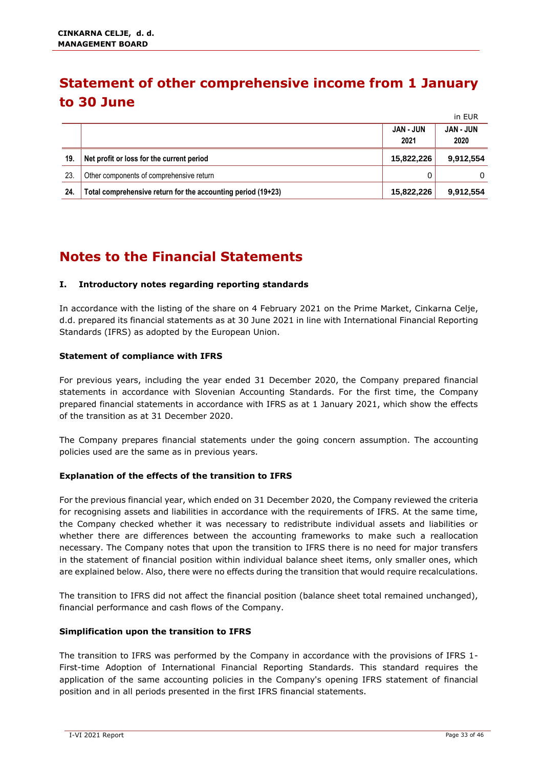### <span id="page-33-0"></span>**Statement of other comprehensive income from 1 January to 30 June**

|     |                                                              |                          | III EUK                  |
|-----|--------------------------------------------------------------|--------------------------|--------------------------|
|     |                                                              | <b>JAN - JUN</b><br>2021 | <b>JAN - JUN</b><br>2020 |
| 19. | Net profit or loss for the current period                    | 15,822,226               | 9,912,554                |
| 23. | Other components of comprehensive return                     |                          | 0                        |
| 24. | Total comprehensive return for the accounting period (19+23) | 15,822,226               | 9,912,554                |

### <span id="page-33-1"></span>**Notes to the Financial Statements**

#### **I. Introductory notes regarding reporting standards**

In accordance with the listing of the share on 4 February 2021 on the Prime Market, Cinkarna Celje, d.d. prepared its financial statements as at 30 June 2021 in line with International Financial Reporting Standards (IFRS) as adopted by the European Union.

#### **Statement of compliance with IFRS**

For previous years, including the year ended 31 December 2020, the Company prepared financial statements in accordance with Slovenian Accounting Standards. For the first time, the Company prepared financial statements in accordance with IFRS as at 1 January 2021, which show the effects of the transition as at 31 December 2020.

The Company prepares financial statements under the going concern assumption. The accounting policies used are the same as in previous years.

#### **Explanation of the effects of the transition to IFRS**

For the previous financial year, which ended on 31 December 2020, the Company reviewed the criteria for recognising assets and liabilities in accordance with the requirements of IFRS. At the same time, the Company checked whether it was necessary to redistribute individual assets and liabilities or whether there are differences between the accounting frameworks to make such a reallocation necessary. The Company notes that upon the transition to IFRS there is no need for major transfers in the statement of financial position within individual balance sheet items, only smaller ones, which are explained below. Also, there were no effects during the transition that would require recalculations.

The transition to IFRS did not affect the financial position (balance sheet total remained unchanged), financial performance and cash flows of the Company.

#### **Simplification upon the transition to IFRS**

The transition to IFRS was performed by the Company in accordance with the provisions of IFRS 1- First-time Adoption of International Financial Reporting Standards. This standard requires the application of the same accounting policies in the Company's opening IFRS statement of financial position and in all periods presented in the first IFRS financial statements.

in EUR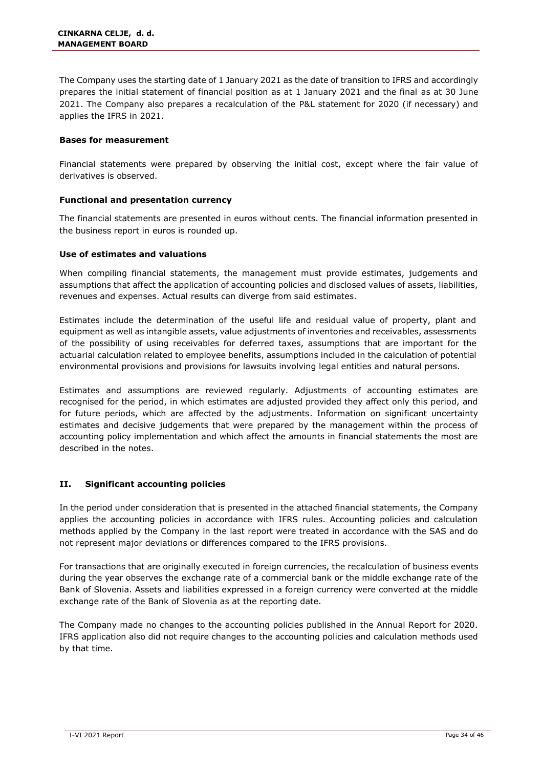The Company uses the starting date of 1 January 2021 as the date of transition to IFRS and accordingly prepares the initial statement of financial position as at 1 January 2021 and the final as at 30 June 2021. The Company also prepares a recalculation of the P&L statement for 2020 (if necessary) and applies the IFRS in 2021.

#### **Bases for measurement**

Financial statements were prepared by observing the initial cost, except where the fair value of derivatives is observed.

#### **Functional and presentation currency**

The financial statements are presented in euros without cents. The financial information presented in the business report in euros is rounded up.

#### **Use of estimates and valuations**

When compiling financial statements, the management must provide estimates, judgements and assumptions that affect the application of accounting policies and disclosed values of assets, liabilities, revenues and expenses. Actual results can diverge from said estimates.

Estimates include the determination of the useful life and residual value of property, plant and equipment as well as intangible assets, value adjustments of inventories and receivables, assessments of the possibility of using receivables for deferred taxes, assumptions that are important for the actuarial calculation related to employee benefits, assumptions included in the calculation of potential environmental provisions and provisions for lawsuits involving legal entities and natural persons.

Estimates and assumptions are reviewed regularly. Adjustments of accounting estimates are recognised for the period, in which estimates are adjusted provided they affect only this period, and for future periods, which are affected by the adjustments. Information on significant uncertainty estimates and decisive judgements that were prepared by the management within the process of accounting policy implementation and which affect the amounts in financial statements the most are described in the notes.

#### **II. Significant accounting policies**

In the period under consideration that is presented in the attached financial statements, the Company applies the accounting policies in accordance with IFRS rules. Accounting policies and calculation methods applied by the Company in the last report were treated in accordance with the SAS and do not represent major deviations or differences compared to the IFRS provisions.

For transactions that are originally executed in foreign currencies, the recalculation of business events during the year observes the exchange rate of a commercial bank or the middle exchange rate of the Bank of Slovenia. Assets and liabilities expressed in a foreign currency were converted at the middle exchange rate of the Bank of Slovenia as at the reporting date.

The Company made no changes to the accounting policies published in the Annual Report for 2020. IFRS application also did not require changes to the accounting policies and calculation methods used by that time.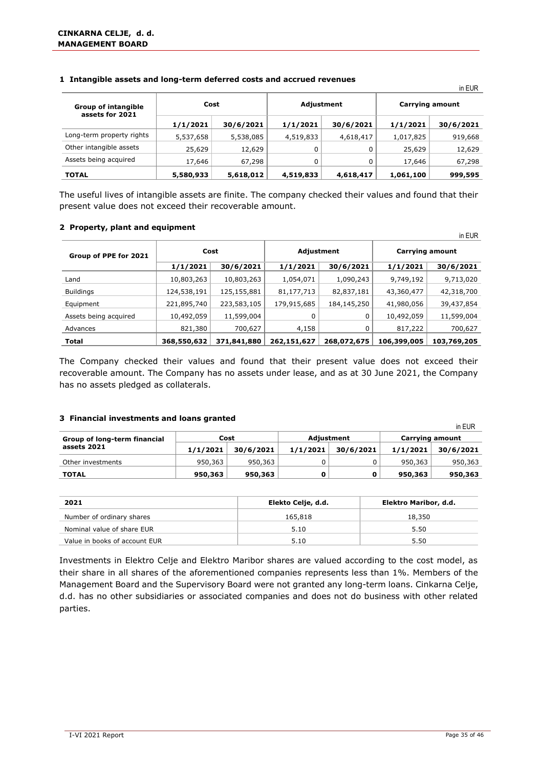| <b>Group of intangible</b><br>assets for 2021 | Cost      |           | Adjustment |           | <b>Carrying amount</b> |           |  |
|-----------------------------------------------|-----------|-----------|------------|-----------|------------------------|-----------|--|
|                                               | 1/1/2021  | 30/6/2021 | 1/1/2021   | 30/6/2021 | 1/1/2021               | 30/6/2021 |  |
| Long-term property rights                     | 5,537,658 | 5,538,085 | 4,519,833  | 4,618,417 | 1,017,825              | 919,668   |  |
| Other intangible assets                       | 25,629    | 12,629    |            |           | 25,629                 | 12,629    |  |
| Assets being acquired                         | 17,646    | 67,298    |            |           | 17,646                 | 67,298    |  |
| <b>TOTAL</b>                                  | 5,580,933 | 5,618,012 | 4,519,833  | 4,618,417 | 1,061,100              | 999,595   |  |

#### **1 Intangible assets and long-term deferred costs and accrued revenues**

The useful lives of intangible assets are finite. The company checked their values and found that their present value does not exceed their recoverable amount.

#### **2 Property, plant and equipment**

| .                     |             |             |             |             |                        | in EUR      |  |
|-----------------------|-------------|-------------|-------------|-------------|------------------------|-------------|--|
| Group of PPE for 2021 | Cost        |             |             | Adjustment  | <b>Carrying amount</b> |             |  |
|                       | 1/1/2021    | 30/6/2021   | 1/1/2021    | 30/6/2021   | 1/1/2021               | 30/6/2021   |  |
| Land                  | 10,803,263  | 10,803,263  | 1,054,071   | 1,090,243   | 9,749,192              | 9,713,020   |  |
| <b>Buildings</b>      | 124,538,191 | 125,155,881 | 81,177,713  | 82,837,181  | 43,360,477             | 42,318,700  |  |
| Equipment             | 221,895,740 | 223,583,105 | 179,915,685 | 184,145,250 | 41,980,056             | 39,437,854  |  |
| Assets being acquired | 10,492,059  | 11,599,004  |             | 0           | 10,492,059             | 11,599,004  |  |
| Advances              | 821,380     | 700,627     | 4,158       |             | 817,222                | 700,627     |  |
| <b>Total</b>          | 368,550,632 | 371,841,880 | 262,151,627 | 268,072,675 | 106,399,005            | 103,769,205 |  |

The Company checked their values and found that their present value does not exceed their recoverable amount. The Company has no assets under lease, and as at 30 June 2021, the Company has no assets pledged as collaterals.

#### **3 Financial investments and loans granted**

|                              |          |           |          |            |                 | in EUR    |  |
|------------------------------|----------|-----------|----------|------------|-----------------|-----------|--|
| Group of long-term financial |          | Cost      |          | Adjustment | Carrying amount |           |  |
| assets 2021                  | 1/1/2021 | 30/6/2021 | 1/1/2021 | 30/6/2021  | 1/1/2021        | 30/6/2021 |  |
| Other investments            | 950,363  | 950,363   |          |            | 950,363         | 950,363   |  |
| <b>TOTAL</b>                 | 950,363  | 950,363   |          | 0          | 950,363         | 950,363   |  |

| 2021                          | Elekto Celje, d.d. | Elektro Maribor, d.d. |
|-------------------------------|--------------------|-----------------------|
| Number of ordinary shares     | 165,818            | 18,350                |
| Nominal value of share EUR    | 5.10               | 5.50                  |
| Value in books of account EUR | 5.10               | 5.50                  |

Investments in Elektro Celje and Elektro Maribor shares are valued according to the cost model, as their share in all shares of the aforementioned companies represents less than 1%. Members of the Management Board and the Supervisory Board were not granted any long-term loans. Cinkarna Celje, d.d. has no other subsidiaries or associated companies and does not do business with other related parties.

in EUR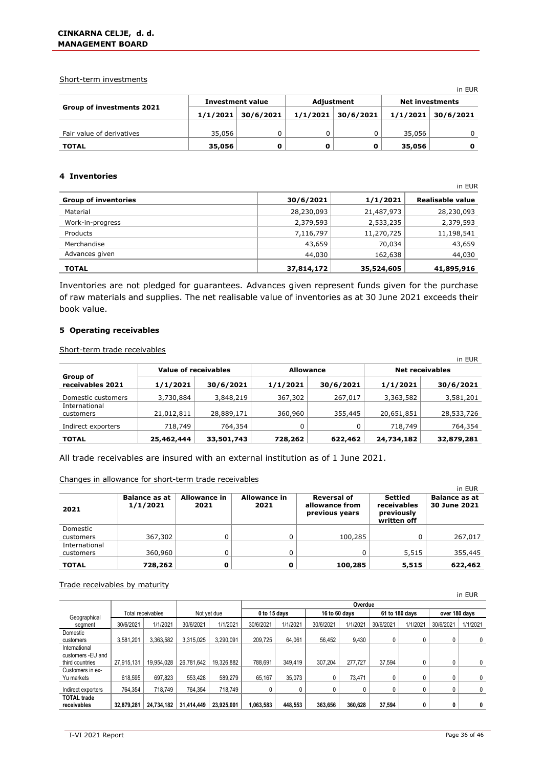#### Short-term investments

|                                  |        |                         |            |                      |                        | .                    |  |
|----------------------------------|--------|-------------------------|------------|----------------------|------------------------|----------------------|--|
|                                  |        | <b>Investment value</b> | Adjustment |                      | <b>Net investments</b> |                      |  |
| <b>Group of investments 2021</b> |        | $1/1/2021$ 30/6/2021    |            | $1/1/2021$ 30/6/2021 |                        | $1/1/2021$ 30/6/2021 |  |
|                                  |        |                         |            |                      |                        |                      |  |
| Fair value of derivatives        | 35,056 |                         |            |                      | 35,056                 |                      |  |
| <b>TOTAL</b>                     | 35,056 |                         |            |                      | 35,056                 |                      |  |

#### **4 Inventories**

|                             |            |            | in EUR           |
|-----------------------------|------------|------------|------------------|
| <b>Group of inventories</b> | 30/6/2021  | 1/1/2021   | Realisable value |
| Material                    | 28,230,093 | 21,487,973 | 28,230,093       |
| Work-in-progress            | 2,379,593  | 2,533,235  | 2,379,593        |
| Products                    | 7,116,797  | 11,270,725 | 11,198,541       |
| Merchandise                 | 43,659     | 70,034     | 43,659           |
| Advances given              | 44,030     | 162,638    | 44,030           |
| <b>TOTAL</b>                | 37,814,172 | 35,524,605 | 41,895,916       |

Inventories are not pledged for guarantees. Advances given represent funds given for the purchase of raw materials and supplies. The net realisable value of inventories as at 30 June 2021 exceeds their book value.

#### **5 Operating receivables**

Short-term trade receivables

|                              |                      |            |                  |           |                        | $III$ LUR  |  |
|------------------------------|----------------------|------------|------------------|-----------|------------------------|------------|--|
|                              | Value of receivables |            | <b>Allowance</b> |           | <b>Net receivables</b> |            |  |
| Group of<br>receivables 2021 | 1/1/2021             | 30/6/2021  | 1/1/2021         | 30/6/2021 | 1/1/2021               | 30/6/2021  |  |
| Domestic customers           | 3,730,884            | 3,848,219  | 367,302          | 267,017   | 3,363,582              | 3,581,201  |  |
| International<br>customers   | 21,012,811           | 28,889,171 | 360,960          | 355,445   | 20,651,851             | 28,533,726 |  |
| Indirect exporters           | 718,749              | 764,354    |                  |           | 718,749                | 764,354    |  |
| <b>TOTAL</b>                 | 25,462,444           | 33,501,743 | 728,262          | 622,462   | 24,734,182             | 32,879,281 |  |

All trade receivables are insured with an external institution as of 1 June 2021.

#### Changes in allowance for short-term trade receivables

|               |                                  |                             |                             |                                                        |                                                            | in EUR                               |
|---------------|----------------------------------|-----------------------------|-----------------------------|--------------------------------------------------------|------------------------------------------------------------|--------------------------------------|
| 2021          | <b>Balance as at</b><br>1/1/2021 | <b>Allowance in</b><br>2021 | <b>Allowance in</b><br>2021 | <b>Reversal of</b><br>allowance from<br>previous years | <b>Settled</b><br>receivables<br>previously<br>written off | <b>Balance as at</b><br>30 June 2021 |
| Domestic      |                                  |                             |                             |                                                        |                                                            |                                      |
| customers     | 367,302                          |                             |                             | 100,285                                                |                                                            | 267,017                              |
| International |                                  |                             |                             |                                                        |                                                            |                                      |
| customers     | 360,960                          |                             |                             |                                                        | 5,515                                                      | 355,445                              |
| <b>TOTAL</b>  | 728,262                          |                             | Ω                           | 100,285                                                | 5,515                                                      | 622,462                              |

#### Trade receivables by maturity

|                    |            |                   |             |            |              |          |               |          |           |                |               | in EUR   |
|--------------------|------------|-------------------|-------------|------------|--------------|----------|---------------|----------|-----------|----------------|---------------|----------|
|                    |            |                   |             |            |              | Overdue  |               |          |           |                |               |          |
| Geographical       |            | Total receivables | Not vet due |            | 0 to 15 days |          | 16 to 60 days |          |           | 61 to 180 days | over 180 days |          |
| segment            | 30/6/2021  | 1/1/2021          | 30/6/2021   | 1/1/2021   | 30/6/2021    | 1/1/2021 | 30/6/2021     | 1/1/2021 | 30/6/2021 | 1/1/2021       | 30/6/2021     | 1/1/2021 |
| Domestic           |            |                   |             |            |              |          |               |          |           |                |               |          |
| customers          | 3.581.201  | 3.363.582         | 3.315.025   | 3,290,091  | 209.725      | 64.061   | 56.452        | 9,430    | 0         | 0              | 0             | 0        |
| International      |            |                   |             |            |              |          |               |          |           |                |               |          |
| customers -EU and  |            |                   |             |            |              |          |               |          |           |                |               |          |
| third countries    | 27.915.131 | 19.954.028        | 26.781.642  | 19.326.882 | 788.691      | 349.419  | 307.204       | 277.727  | 37.594    | 0              | 0             | 0        |
| Customers in ex-   |            |                   |             |            |              |          |               |          |           |                |               |          |
| Yu markets         | 618.595    | 697.823           | 553.428     | 589.279    | 65.167       | 35.073   | 0             | 73.471   | 0         | 0              | 0             | 0        |
| Indirect exporters | 764.354    | 718.749           | 764.354     | 718.749    |              |          | 0             |          |           | 0              | 0             | 0        |
| <b>TOTAL trade</b> |            |                   |             |            |              |          |               |          |           |                |               |          |
| receivables        | 32.879.281 | 24.734.182        | 31.414.449  | 23.925.001 | 1.063.583    | 448.553  | 363.656       | 360.628  | 37.594    | 0              | 0             | 0        |

in EUR

in EUR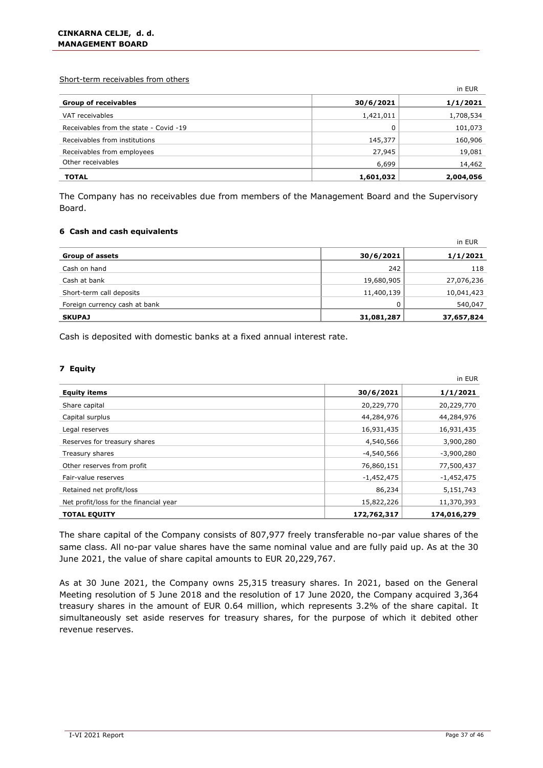Short-term receivables from others

|                                        |           | in EUR    |
|----------------------------------------|-----------|-----------|
| <b>Group of receivables</b>            | 30/6/2021 | 1/1/2021  |
| VAT receivables                        | 1,421,011 | 1,708,534 |
| Receivables from the state - Covid -19 | 0         | 101,073   |
| Receivables from institutions          | 145,377   | 160,906   |
| Receivables from employees             | 27,945    | 19,081    |
| Other receivables                      | 6,699     | 14,462    |
| <b>TOTAL</b>                           | 1,601,032 | 2,004,056 |

The Company has no receivables due from members of the Management Board and the Supervisory Board.

#### **6 Cash and cash equivalents**

|                               |            | in EUR     |
|-------------------------------|------------|------------|
| <b>Group of assets</b>        | 30/6/2021  | 1/1/2021   |
| Cash on hand                  | 242        | 118        |
| Cash at bank                  | 19,680,905 | 27,076,236 |
| Short-term call deposits      | 11,400,139 | 10,041,423 |
| Foreign currency cash at bank | 0          | 540,047    |
| <b>SKUPAJ</b>                 | 31,081,287 | 37,657,824 |

Cash is deposited with domestic banks at a fixed annual interest rate.

#### **7 Equity**

|                                        |              | in EUR       |
|----------------------------------------|--------------|--------------|
| <b>Equity items</b>                    | 30/6/2021    | 1/1/2021     |
| Share capital                          | 20,229,770   | 20,229,770   |
| Capital surplus                        | 44,284,976   | 44,284,976   |
| Legal reserves                         | 16,931,435   | 16,931,435   |
| Reserves for treasury shares           | 4,540,566    | 3,900,280    |
| Treasury shares                        | $-4,540,566$ | $-3,900,280$ |
| Other reserves from profit             | 76,860,151   | 77,500,437   |
| Fair-value reserves                    | $-1,452,475$ | $-1,452,475$ |
| Retained net profit/loss               | 86,234       | 5,151,743    |
| Net profit/loss for the financial year | 15,822,226   | 11,370,393   |
| <b>TOTAL EQUITY</b>                    | 172,762,317  | 174,016,279  |

The share capital of the Company consists of 807,977 freely transferable no-par value shares of the same class. All no-par value shares have the same nominal value and are fully paid up. As at the 30 June 2021, the value of share capital amounts to EUR 20,229,767.

As at 30 June 2021, the Company owns 25,315 treasury shares. In 2021, based on the General Meeting resolution of 5 June 2018 and the resolution of 17 June 2020, the Company acquired 3,364 treasury shares in the amount of EUR 0.64 million, which represents 3.2% of the share capital. It simultaneously set aside reserves for treasury shares, for the purpose of which it debited other revenue reserves.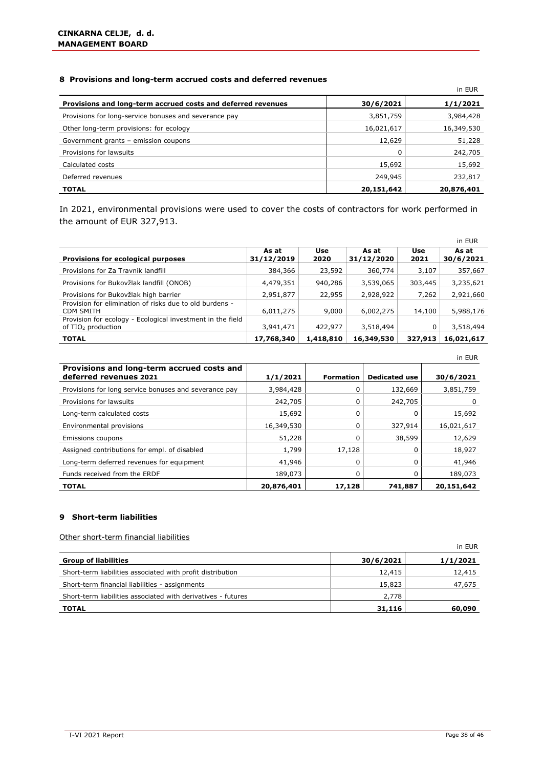#### **8 Provisions and long-term accrued costs and deferred revenues**

|                                                              |            | in EUR     |
|--------------------------------------------------------------|------------|------------|
| Provisions and long-term accrued costs and deferred revenues | 30/6/2021  | 1/1/2021   |
| Provisions for long-service bonuses and severance pay        | 3,851,759  | 3,984,428  |
| Other long-term provisions: for ecology                      | 16,021,617 | 16,349,530 |
| Government grants - emission coupons                         | 12,629     | 51,228     |
| Provisions for lawsuits                                      |            | 242,705    |
| Calculated costs                                             | 15,692     | 15,692     |
| Deferred revenues                                            | 249,945    | 232,817    |
| <b>TOTAL</b>                                                 | 20,151,642 | 20,876,401 |

In 2021, environmental provisions were used to cover the costs of contractors for work performed in the amount of EUR 327,913.

|                                                                                              |                     |             |                     |             | in EUR             |
|----------------------------------------------------------------------------------------------|---------------------|-------------|---------------------|-------------|--------------------|
| Provisions for ecological purposes                                                           | As at<br>31/12/2019 | Use<br>2020 | As at<br>31/12/2020 | Use<br>2021 | As at<br>30/6/2021 |
| Provisions for Za Travnik landfill                                                           | 384,366             | 23,592      | 360,774             | 3,107       | 357,667            |
| Provisions for Bukovžlak landfill (ONOB)                                                     | 4,479,351           | 940,286     | 3,539,065           | 303,445     | 3,235,621          |
| Provisions for Bukovžlak high barrier                                                        | 2,951,877           | 22,955      | 2,928,922           | 7,262       | 2,921,660          |
| Provision for elimination of risks due to old burdens -<br>CDM SMITH                         | 6,011,275           | 9,000       | 6,002,275           | 14,100      | 5,988,176          |
| Provision for ecology - Ecological investment in the field<br>of TIO <sub>2</sub> production | 3,941,471           | 422,977     | 3,518,494           |             | 3,518,494          |
| <b>TOTAL</b>                                                                                 | 17,768,340          | 1,418,810   | 16,349,530          | 327,913     | 16,021,617         |

|                                                                      |            |                  |                      | in EUR     |
|----------------------------------------------------------------------|------------|------------------|----------------------|------------|
| Provisions and long-term accrued costs and<br>deferred revenues 2021 | 1/1/2021   | <b>Formation</b> | <b>Dedicated use</b> | 30/6/2021  |
| Provisions for long service bonuses and severance pay                | 3,984,428  |                  | 132,669              | 3,851,759  |
| Provisions for lawsuits                                              | 242,705    | 0                | 242,705              | 0          |
| Long-term calculated costs                                           | 15,692     |                  |                      | 15,692     |
| Environmental provisions                                             | 16,349,530 | 0                | 327,914              | 16,021,617 |
| Emissions coupons                                                    | 51,228     | <sup>0</sup>     | 38,599               | 12,629     |
| Assigned contributions for empl. of disabled                         | 1,799      | 17,128           |                      | 18,927     |
| Long-term deferred revenues for equipment                            | 41,946     | 0                | 0                    | 41,946     |
| Funds received from the ERDF                                         | 189,073    |                  |                      | 189,073    |
| <b>TOTAL</b>                                                         | 20,876,401 | 17,128           | 741,887              | 20,151,642 |

#### **9 Short-term liabilities**

Other short-term financial liabilities

| oaner onore eerm midneidi nabinaco                           |           | in EUR   |
|--------------------------------------------------------------|-----------|----------|
| <b>Group of liabilities</b>                                  | 30/6/2021 | 1/1/2021 |
| Short-term liabilities associated with profit distribution   | 12,415    | 12,415   |
| Short-term financial liabilities - assignments               | 15,823    | 47,675   |
| Short-term liabilities associated with derivatives - futures | 2,778     |          |
| <b>TOTAL</b>                                                 | 31,116    | 60,090   |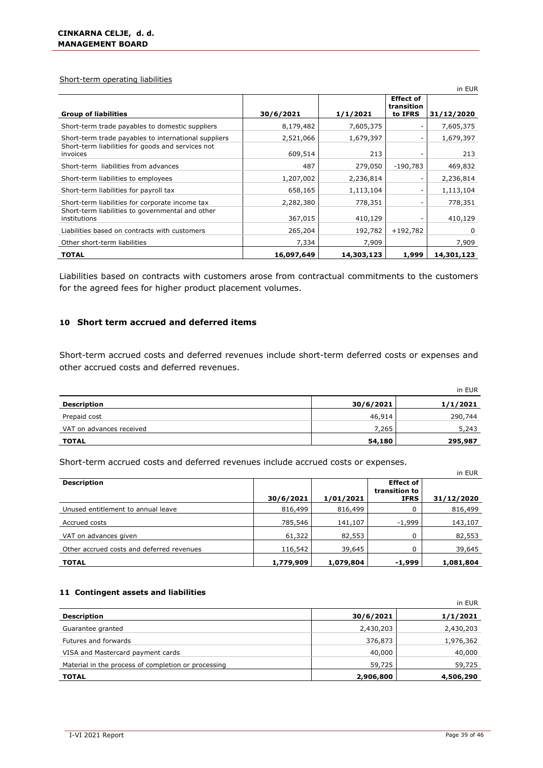#### Short-term operating liabilities

|                                                                                                                       |                      |                    |                                           | in EUR             |
|-----------------------------------------------------------------------------------------------------------------------|----------------------|--------------------|-------------------------------------------|--------------------|
| <b>Group of liabilities</b>                                                                                           | 30/6/2021            | 1/1/2021           | <b>Effect of</b><br>transition<br>to IFRS | 31/12/2020         |
| Short-term trade payables to domestic suppliers                                                                       | 8,179,482            | 7,605,375          |                                           | 7,605,375          |
| Short-term trade payables to international suppliers<br>Short-term liabilities for goods and services not<br>invoices | 2,521,066<br>609,514 | 1,679,397<br>213   |                                           | 1,679,397<br>213   |
| Short-term liabilities from advances                                                                                  | 487                  | 279,050            | $-190.783$                                | 469,832            |
| Short-term liabilities to employees                                                                                   | 1,207,002            | 2,236,814          | -                                         | 2,236,814          |
| Short-term liabilities for payroll tax                                                                                | 658,165              | 1,113,104          |                                           | 1,113,104          |
| Short-term liabilities for corporate income tax<br>Short-term liabilities to governmental and other<br>institutions   | 2,282,380<br>367,015 | 778,351<br>410,129 |                                           | 778,351<br>410,129 |
| Liabilities based on contracts with customers                                                                         | 265,204              | 192,782            | $+192,782$                                | 0                  |
| Other short-term liabilities                                                                                          | 7,334                | 7,909              |                                           | 7,909              |
| <b>TOTAL</b>                                                                                                          | 16,097,649           | 14,303,123         | 1,999                                     | 14,301,123         |

Liabilities based on contracts with customers arose from contractual commitments to the customers for the agreed fees for higher product placement volumes.

#### **10 Short term accrued and deferred items**

Short-term accrued costs and deferred revenues include short-term deferred costs or expenses and other accrued costs and deferred revenues.

|                          |           | in EUR   |
|--------------------------|-----------|----------|
| Description              | 30/6/2021 | 1/1/2021 |
| Prepaid cost             | 46,914    | 290,744  |
| VAT on advances received | 7,265     | 5,243    |
| <b>TOTAL</b>             | 54,180    | 295,987  |

Short-term accrued costs and deferred revenues include accrued costs or expenses.

|                                           |           |           |                                                  | .          |
|-------------------------------------------|-----------|-----------|--------------------------------------------------|------------|
| <b>Description</b>                        | 30/6/2021 | 1/01/2021 | <b>Effect of</b><br>transition to<br><b>IFRS</b> | 31/12/2020 |
| Unused entitlement to annual leave        | 816,499   | 816,499   |                                                  | 816,499    |
| Accrued costs                             | 785,546   | 141,107   | $-1,999$                                         | 143,107    |
| VAT on advances given                     | 61,322    | 82,553    |                                                  | 82,553     |
| Other accrued costs and deferred revenues | 116,542   | 39,645    |                                                  | 39,645     |
| <b>TOTAL</b>                              | 1,779,909 | 1,079,804 | -1,999                                           | 1,081,804  |

#### **11 Contingent assets and liabilities**

|                                                     |           | in EUR    |
|-----------------------------------------------------|-----------|-----------|
| <b>Description</b>                                  | 30/6/2021 | 1/1/2021  |
| Guarantee granted                                   | 2,430,203 | 2,430,203 |
| Futures and forwards                                | 376,873   | 1,976,362 |
| VISA and Mastercard payment cards                   | 40,000    | 40,000    |
| Material in the process of completion or processing | 59,725    | 59,725    |
| <b>TOTAL</b>                                        | 2,906,800 | 4,506,290 |

in EUR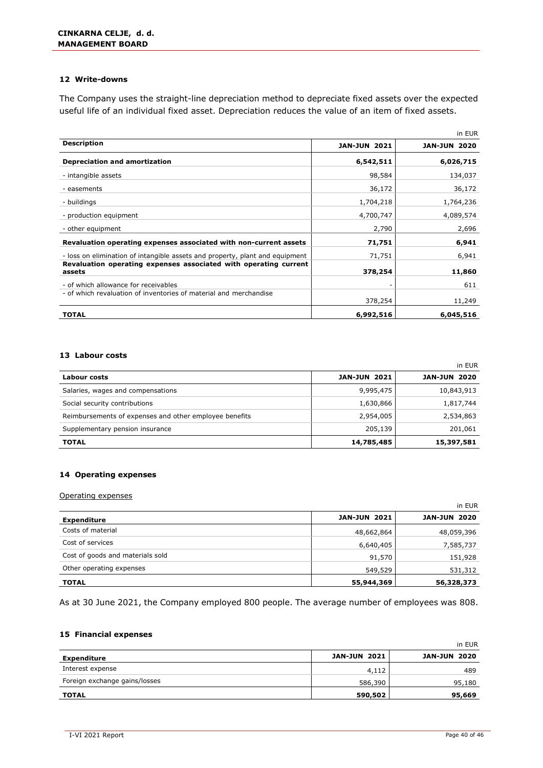#### **12 Write-downs**

The Company uses the straight-line depreciation method to depreciate fixed assets over the expected useful life of an individual fixed asset. Depreciation reduces the value of an item of fixed assets.

|                                                                              |                     | in EUR              |
|------------------------------------------------------------------------------|---------------------|---------------------|
| <b>Description</b>                                                           | <b>JAN-JUN 2021</b> | <b>JAN-JUN 2020</b> |
| <b>Depreciation and amortization</b>                                         | 6,542,511           | 6,026,715           |
| - intangible assets                                                          | 98,584              | 134,037             |
| - easements                                                                  | 36,172              | 36,172              |
| - buildings                                                                  | 1,704,218           | 1,764,236           |
| - production equipment                                                       | 4,700,747           | 4,089,574           |
| - other equipment                                                            | 2,790               | 2,696               |
| Revaluation operating expenses associated with non-current assets            | 71,751              | 6,941               |
| - loss on elimination of intangible assets and property, plant and equipment | 71,751              | 6,941               |
| Revaluation operating expenses associated with operating current<br>assets   | 378,254             | 11,860              |
| - of which allowance for receivables                                         |                     | 611                 |
| - of which revaluation of inventories of material and merchandise            | 378,254             | 11,249              |
| <b>TOTAL</b>                                                                 | 6,992,516           | 6,045,516           |

#### **13 Labour costs**

|                                                        |                     | in EUR              |
|--------------------------------------------------------|---------------------|---------------------|
| Labour costs                                           | <b>JAN-JUN 2021</b> | <b>JAN-JUN 2020</b> |
| Salaries, wages and compensations                      | 9,995,475           | 10,843,913          |
| Social security contributions                          | 1,630,866           | 1,817,744           |
| Reimbursements of expenses and other employee benefits | 2,954,005           | 2,534,863           |
| Supplementary pension insurance                        | 205,139             | 201,061             |
| <b>TOTAL</b>                                           | 14,785,485          | 15,397,581          |

#### **14 Operating expenses**

#### Operating expenses

|                                  | in EUR              |                     |  |  |  |
|----------------------------------|---------------------|---------------------|--|--|--|
| <b>Expenditure</b>               | <b>JAN-JUN 2021</b> | <b>JAN-JUN 2020</b> |  |  |  |
| Costs of material                | 48,662,864          | 48,059,396          |  |  |  |
| Cost of services                 | 6,640,405           | 7,585,737           |  |  |  |
| Cost of goods and materials sold | 91,570              | 151,928             |  |  |  |
| Other operating expenses         | 549,529             | 531,312             |  |  |  |
| <b>TOTAL</b>                     | 55,944,369          | 56,328,373          |  |  |  |

As at 30 June 2021, the Company employed 800 people. The average number of employees was 808.

#### **15 Financial expenses**

|                               |                     | in EUR              |
|-------------------------------|---------------------|---------------------|
| <b>Expenditure</b>            | <b>JAN-JUN 2021</b> | <b>JAN-JUN 2020</b> |
| Interest expense              | 4,112               | 489                 |
| Foreign exchange gains/losses | 586,390             | 95,180              |
| <b>TOTAL</b>                  | 590,502             | 95,669              |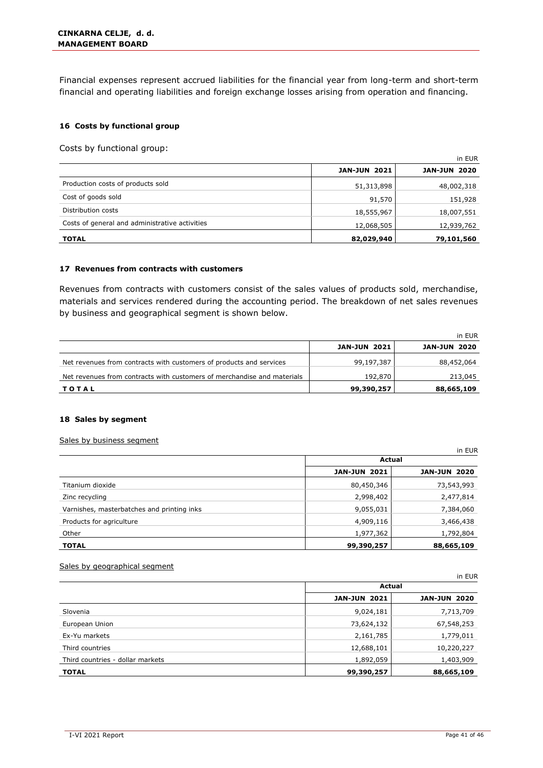Financial expenses represent accrued liabilities for the financial year from long-term and short-term financial and operating liabilities and foreign exchange losses arising from operation and financing.

#### **16 Costs by functional group**

Costs by functional group:

|                                                | in EUR              |                     |  |
|------------------------------------------------|---------------------|---------------------|--|
|                                                | <b>JAN-JUN 2021</b> | <b>JAN-JUN 2020</b> |  |
| Production costs of products sold              | 51,313,898          | 48,002,318          |  |
| Cost of goods sold                             | 91,570              | 151,928             |  |
| Distribution costs                             | 18,555,967          | 18,007,551          |  |
| Costs of general and administrative activities | 12,068,505          | 12,939,762          |  |
| <b>TOTAL</b>                                   | 82,029,940          | 79,101,560          |  |

#### **17 Revenues from contracts with customers**

Revenues from contracts with customers consist of the sales values of products sold, merchandise, materials and services rendered during the accounting period. The breakdown of net sales revenues by business and geographical segment is shown below.

|                                                                         |                     | in EUR              |
|-------------------------------------------------------------------------|---------------------|---------------------|
|                                                                         | <b>JAN-JUN 2021</b> | <b>JAN-JUN 2020</b> |
| Net revenues from contracts with customers of products and services     | 99,197,387          | 88,452,064          |
| Net revenues from contracts with customers of merchandise and materials | 192,870             | 213,045             |
| TOTAL                                                                   | 99,390,257          | 88,665,109          |

#### **18 Sales by segment**

#### Sales by business segment

|                                            |                     | in EUR              |  |
|--------------------------------------------|---------------------|---------------------|--|
|                                            | Actual              |                     |  |
|                                            | <b>JAN-JUN 2021</b> | <b>JAN-JUN 2020</b> |  |
| Titanium dioxide                           | 80,450,346          | 73,543,993          |  |
| Zinc recycling                             | 2,998,402           | 2,477,814           |  |
| Varnishes, masterbatches and printing inks | 9,055,031           | 7,384,060           |  |
| Products for agriculture                   | 4,909,116           | 3,466,438           |  |
| Other                                      | 1,977,362           | 1,792,804           |  |
| <b>TOTAL</b>                               | 99,390,257          | 88,665,109          |  |

#### Sales by geographical segment

|                                  |                     | in EUR              |
|----------------------------------|---------------------|---------------------|
|                                  | Actual              |                     |
|                                  | <b>JAN-JUN 2021</b> | <b>JAN-JUN 2020</b> |
| Slovenia                         | 9,024,181           | 7,713,709           |
| European Union                   | 73,624,132          | 67,548,253          |
| Ex-Yu markets                    | 2,161,785           | 1,779,011           |
| Third countries                  | 12,688,101          | 10,220,227          |
| Third countries - dollar markets | 1,892,059           | 1,403,909           |
| <b>TOTAL</b>                     | 99,390,257          | 88,665,109          |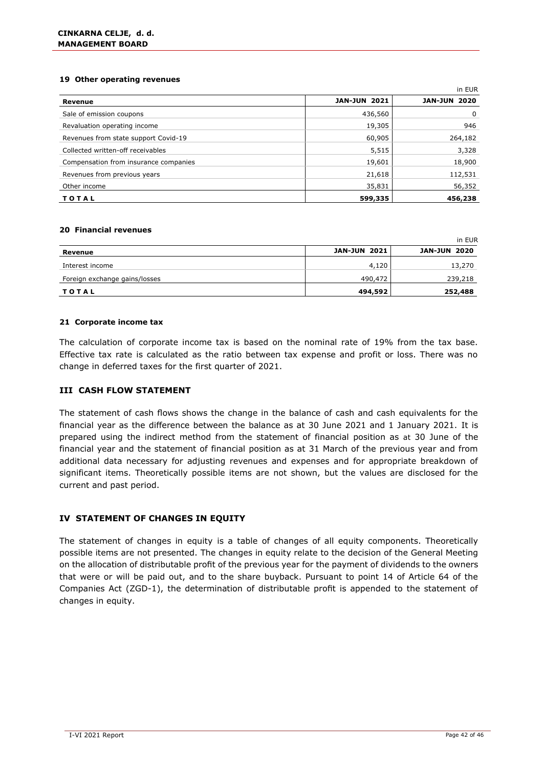#### **19 Other operating revenues**

|                                       |                     | in EUR              |
|---------------------------------------|---------------------|---------------------|
| Revenue                               | <b>JAN-JUN 2021</b> | <b>JAN-JUN 2020</b> |
| Sale of emission coupons              | 436,560             | 0                   |
| Revaluation operating income          | 19,305              | 946                 |
| Revenues from state support Covid-19  | 60,905              | 264,182             |
| Collected written-off receivables     | 5,515               | 3,328               |
| Compensation from insurance companies | 19,601              | 18,900              |
| Revenues from previous years          | 21,618              | 112,531             |
| Other income                          | 35,831              | 56,352              |
| TOTAL                                 | 599,335             | 456,238             |

#### **20 Financial revenues**

|                               |                     | in EUR              |
|-------------------------------|---------------------|---------------------|
| Revenue                       | <b>JAN-JUN 2021</b> | <b>JAN-JUN 2020</b> |
| Interest income               | 4,120               | 13,270              |
| Foreign exchange gains/losses | 490,472             | 239,218             |
| TOTAL                         | 494,592             | 252,488             |

#### **21 Corporate income tax**

The calculation of corporate income tax is based on the nominal rate of 19% from the tax base. Effective tax rate is calculated as the ratio between tax expense and profit or loss. There was no change in deferred taxes for the first quarter of 2021.

#### **III CASH FLOW STATEMENT**

The statement of cash flows shows the change in the balance of cash and cash equivalents for the financial year as the difference between the balance as at 30 June 2021 and 1 January 2021. It is prepared using the indirect method from the statement of financial position as at 30 June of the financial year and the statement of financial position as at 31 March of the previous year and from additional data necessary for adjusting revenues and expenses and for appropriate breakdown of significant items. Theoretically possible items are not shown, but the values are disclosed for the current and past period.

#### **IV STATEMENT OF CHANGES IN EQUITY**

The statement of changes in equity is a table of changes of all equity components. Theoretically possible items are not presented. The changes in equity relate to the decision of the General Meeting on the allocation of distributable profit of the previous year for the payment of dividends to the owners that were or will be paid out, and to the share buyback. Pursuant to point 14 of Article 64 of the Companies Act (ZGD-1), the determination of distributable profit is appended to the statement of changes in equity.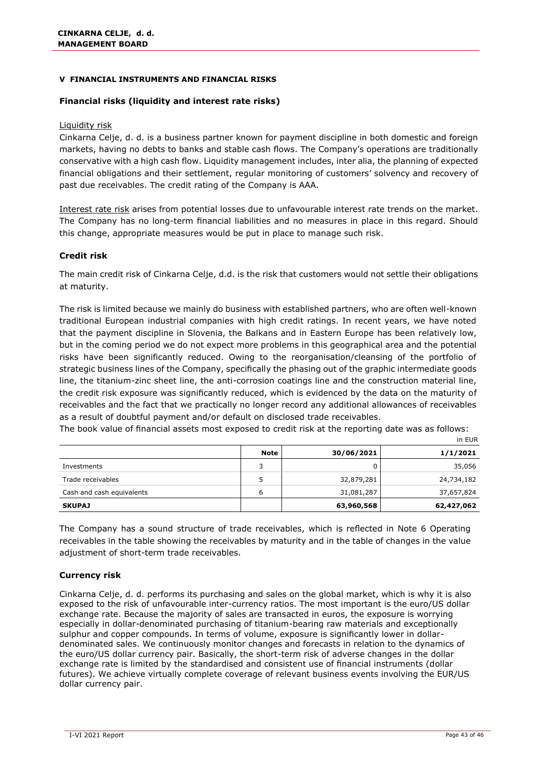#### **V FINANCIAL INSTRUMENTS AND FINANCIAL RISKS**

#### **Financial risks (liquidity and interest rate risks)**

#### Liquidity risk

Cinkarna Celje, d. d. is a business partner known for payment discipline in both domestic and foreign markets, having no debts to banks and stable cash flows. The Company's operations are traditionally conservative with a high cash flow. Liquidity management includes, inter alia, the planning of expected financial obligations and their settlement, regular monitoring of customers' solvency and recovery of past due receivables. The credit rating of the Company is AAA.

Interest rate risk arises from potential losses due to unfavourable interest rate trends on the market. The Company has no long-term financial liabilities and no measures in place in this regard. Should this change, appropriate measures would be put in place to manage such risk.

#### **Credit risk**

The main credit risk of Cinkarna Celje, d.d. is the risk that customers would not settle their obligations at maturity.

The risk is limited because we mainly do business with established partners, who are often well-known traditional European industrial companies with high credit ratings. In recent years, we have noted that the payment discipline in Slovenia, the Balkans and in Eastern Europe has been relatively low, but in the coming period we do not expect more problems in this geographical area and the potential risks have been significantly reduced. Owing to the reorganisation/cleansing of the portfolio of strategic business lines of the Company, specifically the phasing out of the graphic intermediate goods line, the titanium-zinc sheet line, the anti-corrosion coatings line and the construction material line, the credit risk exposure was significantly reduced, which is evidenced by the data on the maturity of receivables and the fact that we practically no longer record any additional allowances of receivables as a result of doubtful payment and/or default on disclosed trade receivables.

The book value of financial assets most exposed to credit risk at the reporting date was as follows: in EUR

|                           | <b>Note</b> | 30/06/2021 | 1/1/2021   |
|---------------------------|-------------|------------|------------|
| Investments               | ิว          |            | 35,056     |
| Trade receivables         | 5           | 32,879,281 | 24,734,182 |
| Cash and cash equivalents | 6           | 31,081,287 | 37,657,824 |
| <b>SKUPAJ</b>             |             | 63,960,568 | 62,427,062 |

The Company has a sound structure of trade receivables, which is reflected in Note 6 Operating receivables in the table showing the receivables by maturity and in the table of changes in the value adjustment of short-term trade receivables.

#### **Currency risk**

Cinkarna Celje, d. d. performs its purchasing and sales on the global market, which is why it is also exposed to the risk of unfavourable inter-currency ratios. The most important is the euro/US dollar exchange rate. Because the majority of sales are transacted in euros, the exposure is worrying especially in dollar-denominated purchasing of titanium-bearing raw materials and exceptionally sulphur and copper compounds. In terms of volume, exposure is significantly lower in dollardenominated sales. We continuously monitor changes and forecasts in relation to the dynamics of the euro/US dollar currency pair. Basically, the short-term risk of adverse changes in the dollar exchange rate is limited by the standardised and consistent use of financial instruments (dollar futures). We achieve virtually complete coverage of relevant business events involving the EUR/US dollar currency pair.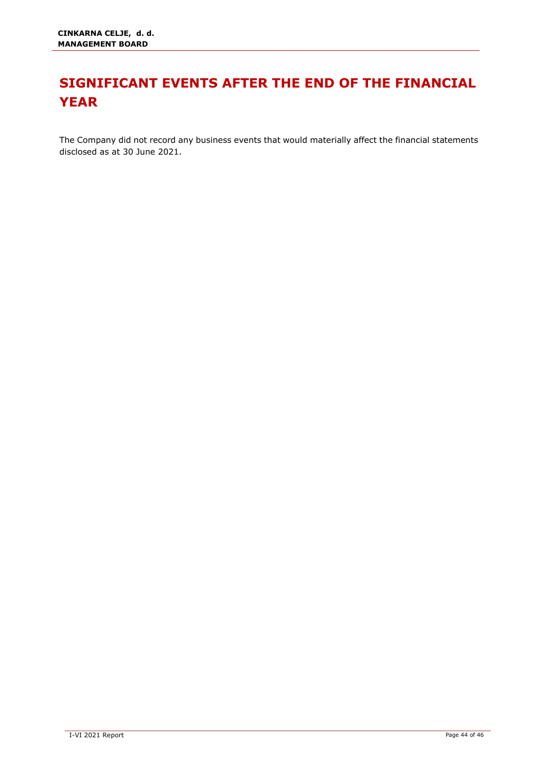# <span id="page-44-0"></span>**SIGNIFICANT EVENTS AFTER THE END OF THE FINANCIAL YEAR**

The Company did not record any business events that would materially affect the financial statements disclosed as at 30 June 2021.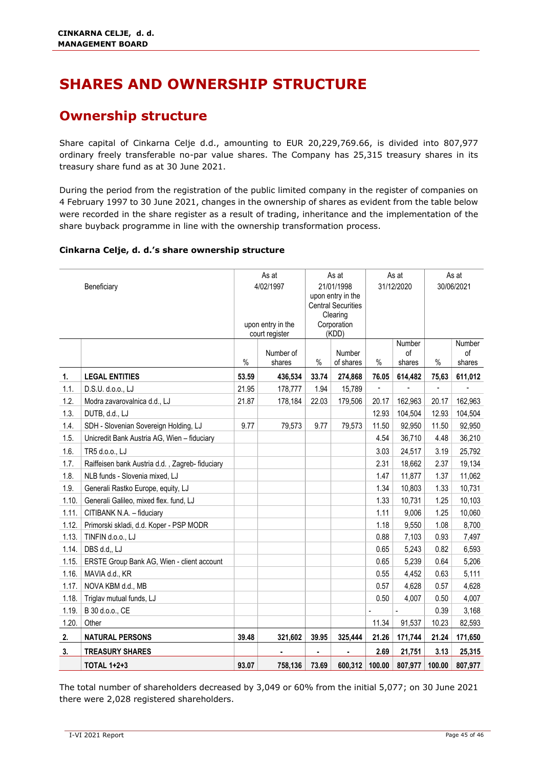# <span id="page-45-0"></span>**SHARES AND OWNERSHIP STRUCTURE**

### <span id="page-45-1"></span>**Ownership structure**

Share capital of Cinkarna Celje d.d., amounting to EUR 20,229,769.66, is divided into 807,977 ordinary freely transferable no-par value shares. The Company has 25,315 treasury shares in its treasury share fund as at 30 June 2021.

During the period from the registration of the public limited company in the register of companies on 4 February 1997 to 30 June 2021, changes in the ownership of shares as evident from the table below were recorded in the share register as a result of trading, inheritance and the implementation of the share buyback programme in line with the ownership transformation process.

#### **Cinkarna Celje, d. d.'s share ownership structure**

|       | Beneficiary                                     | As at<br>As at<br>4/02/1997<br>21/01/1998<br>upon entry in the<br><b>Central Securities</b><br>Clearing<br>Corporation<br>upon entry in the<br>(KDD)<br>court register |                     | As at<br>31/12/2020<br>Number |                     | As at<br>30/06/2021<br>Number |              |                          |              |
|-------|-------------------------------------------------|------------------------------------------------------------------------------------------------------------------------------------------------------------------------|---------------------|-------------------------------|---------------------|-------------------------------|--------------|--------------------------|--------------|
|       |                                                 | $\%$                                                                                                                                                                   | Number of<br>shares | $\%$                          | Number<br>of shares | $\%$                          | of<br>shares | %                        | of<br>shares |
| 1.    | <b>LEGAL ENTITIES</b>                           | 53.59                                                                                                                                                                  | 436,534             | 33.74                         | 274,868             | 76.05                         | 614,482      | 75,63                    | 611,012      |
| 1.1.  | D.S.U. d.o.o., LJ                               | 21.95                                                                                                                                                                  | 178,777             | 1.94                          | 15,789              |                               |              | $\overline{\phantom{a}}$ |              |
| 1.2.  | Modra zavarovalnica d.d., LJ                    | 21.87                                                                                                                                                                  | 178,184             | 22.03                         | 179,506             | 20.17                         | 162,963      | 20.17                    | 162,963      |
| 1.3.  | DUTB, d.d., LJ                                  |                                                                                                                                                                        |                     |                               |                     | 12.93                         | 104,504      | 12.93                    | 104,504      |
| 1.4.  | SDH - Slovenian Sovereign Holding, LJ           | 9.77                                                                                                                                                                   | 79,573              | 9.77                          | 79,573              | 11.50                         | 92,950       | 11.50                    | 92,950       |
| 1.5.  | Unicredit Bank Austria AG, Wien - fiduciary     |                                                                                                                                                                        |                     |                               |                     | 4.54                          | 36,710       | 4.48                     | 36,210       |
| 1.6.  | TR5 d.o.o., LJ                                  |                                                                                                                                                                        |                     |                               |                     | 3.03                          | 24,517       | 3.19                     | 25,792       |
| 1.7.  | Raiffeisen bank Austria d.d., Zagreb- fiduciary |                                                                                                                                                                        |                     |                               |                     | 2.31                          | 18,662       | 2.37                     | 19,134       |
| 1.8.  | NLB funds - Slovenia mixed, LJ                  |                                                                                                                                                                        |                     |                               |                     | 1.47                          | 11,877       | 1.37                     | 11,062       |
| 1.9.  | Generali Rastko Europe, equity, LJ              |                                                                                                                                                                        |                     |                               |                     | 1.34                          | 10,803       | 1.33                     | 10,731       |
| 1.10. | Generali Galileo, mixed flex. fund, LJ          |                                                                                                                                                                        |                     |                               |                     | 1.33                          | 10,731       | 1.25                     | 10,103       |
| 1.11. | CITIBANK N.A. - fiduciary                       |                                                                                                                                                                        |                     |                               |                     | 1.11                          | 9,006        | 1.25                     | 10,060       |
| 1.12. | Primorski skladi, d.d. Koper - PSP MODR         |                                                                                                                                                                        |                     |                               |                     | 1.18                          | 9,550        | 1.08                     | 8,700        |
| 1.13. | TINFIN d.o.o., LJ                               |                                                                                                                                                                        |                     |                               |                     | 0.88                          | 7,103        | 0.93                     | 7,497        |
| 1.14. | DBS d.d., LJ                                    |                                                                                                                                                                        |                     |                               |                     | 0.65                          | 5,243        | 0.82                     | 6,593        |
| 1.15. | ERSTE Group Bank AG, Wien - client account      |                                                                                                                                                                        |                     |                               |                     | 0.65                          | 5,239        | 0.64                     | 5,206        |
| 1.16. | MAVIA d.d., KR                                  |                                                                                                                                                                        |                     |                               |                     | 0.55                          | 4,452        | 0.63                     | 5,111        |
| 1.17. | NOVA KBM d.d., MB                               |                                                                                                                                                                        |                     |                               |                     | 0.57                          | 4,628        | 0.57                     | 4,628        |
| 1.18. | Triglav mutual funds, LJ                        |                                                                                                                                                                        |                     |                               |                     | 0.50                          | 4,007        | 0.50                     | 4,007        |
| 1.19. | B 30 d.o.o., CE                                 |                                                                                                                                                                        |                     |                               |                     |                               |              | 0.39                     | 3,168        |
| 1.20. | Other                                           |                                                                                                                                                                        |                     |                               |                     | 11.34                         | 91,537       | 10.23                    | 82,593       |
| 2.    | <b>NATURAL PERSONS</b>                          | 39.48                                                                                                                                                                  | 321,602             | 39.95                         | 325,444             | 21.26                         | 171,744      | 21.24                    | 171,650      |
| 3.    | <b>TREASURY SHARES</b>                          |                                                                                                                                                                        | $\blacksquare$      | ä,                            |                     | 2.69                          | 21,751       | 3.13                     | 25,315       |
|       | <b>TOTAL 1+2+3</b>                              | 93.07                                                                                                                                                                  | 758,136             | 73.69                         | 600,312             | 100.00                        | 807,977      | 100.00                   | 807,977      |

The total number of shareholders decreased by 3,049 or 60% from the initial 5,077; on 30 June 2021 there were 2,028 registered shareholders.